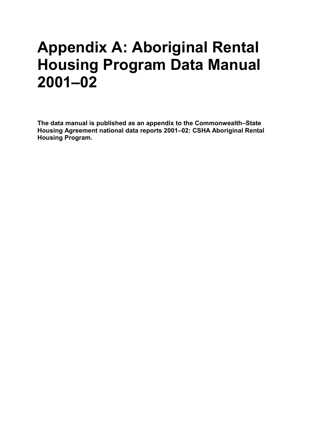# **Appendix A: Aboriginal Rental Housing Program Data Manual 2001–02**

**The data manual is published as an appendix to the Commonwealth–State Housing Agreement national data reports 2001–02: CSHA Aboriginal Rental Housing Program.**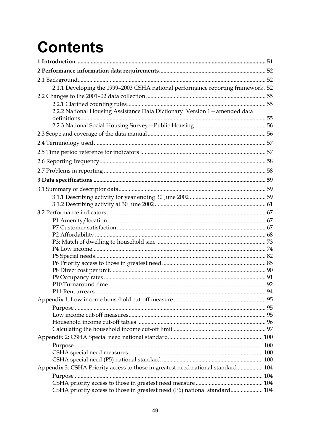# **Contents**

| 2.1.1 Developing the 1999-2003 CSHA national performance reporting framework. 52  |  |
|-----------------------------------------------------------------------------------|--|
|                                                                                   |  |
|                                                                                   |  |
| 2.2.2 National Housing Assistance Data Dictionary Version 1-amended data          |  |
|                                                                                   |  |
|                                                                                   |  |
|                                                                                   |  |
|                                                                                   |  |
|                                                                                   |  |
|                                                                                   |  |
|                                                                                   |  |
|                                                                                   |  |
|                                                                                   |  |
|                                                                                   |  |
|                                                                                   |  |
|                                                                                   |  |
|                                                                                   |  |
|                                                                                   |  |
|                                                                                   |  |
|                                                                                   |  |
|                                                                                   |  |
|                                                                                   |  |
|                                                                                   |  |
|                                                                                   |  |
|                                                                                   |  |
|                                                                                   |  |
|                                                                                   |  |
|                                                                                   |  |
|                                                                                   |  |
|                                                                                   |  |
|                                                                                   |  |
|                                                                                   |  |
|                                                                                   |  |
|                                                                                   |  |
| Appendix 3: CSHA Priority access to those in greatest need national standard  104 |  |
|                                                                                   |  |
|                                                                                   |  |
| CSHA priority access to those in greatest need (P6) national standard 104         |  |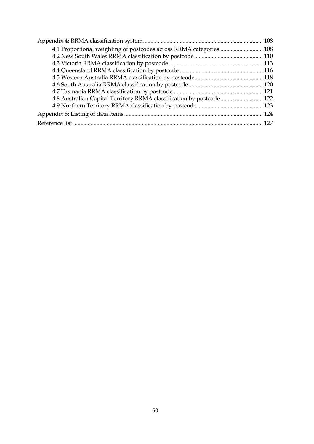| 4.1 Proportional weighting of postcodes across RRMA categories  108  |  |
|----------------------------------------------------------------------|--|
|                                                                      |  |
|                                                                      |  |
|                                                                      |  |
|                                                                      |  |
|                                                                      |  |
|                                                                      |  |
| 4.8 Australian Capital Territory RRMA classification by postcode 122 |  |
|                                                                      |  |
|                                                                      |  |
|                                                                      |  |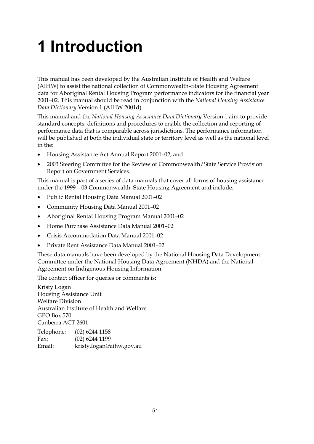# <span id="page-3-0"></span>**1 Introduction**

This manual has been developed by the Australian Institute of Health and Welfare (AIHW) to assist the national collection of Commonwealth–State Housing Agreement data for Aboriginal Rental Housing Program performance indicators for the financial year 2001–02. This manual should be read in conjunction with the *National Housing Assistance Data Dictionary* Version 1 (AIHW 2001d).

This manual and the *National Housing Assistance Data Dictionary* Version 1 aim to provide standard concepts, definitions and procedures to enable the collection and reporting of performance data that is comparable across jurisdictions. The performance information will be published at both the individual state or territory level as well as the national level in the:

- Housing Assistance Act Annual Report 2001–02; and
- 2003 Steering Committee for the Review of Commonwealth/State Service Provision Report on Government Services.

This manual is part of a series of data manuals that cover all forms of housing assistance under the 1999—03 Commonwealth–State Housing Agreement and include:

- Public Rental Housing Data Manual 2001–02
- Community Housing Data Manual 2001–02
- Aboriginal Rental Housing Program Manual 2001–02
- Home Purchase Assistance Data Manual 2001–02
- Crisis Accommodation Data Manual 2001–02
- Private Rent Assistance Data Manual 2001–02

These data manuals have been developed by the National Housing Data Development Committee under the National Housing Data Agreement (NHDA) and the National Agreement on Indigenous Housing Information.

The contact officer for queries or comments is:

Kristy Logan Housing Assistance Unit Welfare Division Australian Institute of Health and Welfare GPO Box 570 Canberra ACT 2601

| Telephone: | $(02)$ 6244 1158         |
|------------|--------------------------|
| Fax:       | $(02)$ 6244 1199         |
| Email:     | kristy.logan@aihw.gov.au |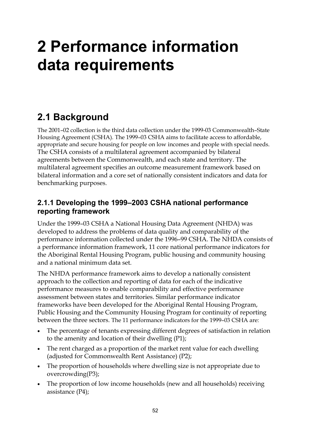# <span id="page-4-0"></span>**2 Performance information data requirements**

# **2.1 Background**

The 2001–02 collection is the third data collection under the 1999-03 Commonwealth–State Housing Agreement (CSHA). The 1999–03 CSHA aims to facilitate access to affordable, appropriate and secure housing for people on low incomes and people with special needs. The CSHA consists of a multilateral agreement accompanied by bilateral agreements between the Commonwealth, and each state and territory. The multilateral agreement specifies an outcome measurement framework based on bilateral information and a core set of nationally consistent indicators and data for benchmarking purposes.

## **2.1.1 Developing the 1999–2003 CSHA national performance reporting framework**

Under the 1999–03 CSHA a National Housing Data Agreement (NHDA) was developed to address the problems of data quality and comparability of the performance information collected under the 1996–99 CSHA. The NHDA consists of a performance information framework, 11 core national performance indicators for the Aboriginal Rental Housing Program, public housing and community housing and a national minimum data set.

The NHDA performance framework aims to develop a nationally consistent approach to the collection and reporting of data for each of the indicative performance measures to enable comparability and effective performance assessment between states and territories. Similar performance indicator frameworks have been developed for the Aboriginal Rental Housing Program, Public Housing and the Community Housing Program for continuity of reporting between the three sectors. The 11 performance indicators for the 1999–03 CSHA are:

- The percentage of tenants expressing different degrees of satisfaction in relation to the amenity and location of their dwelling (P1);
- The rent charged as a proportion of the market rent value for each dwelling (adjusted for Commonwealth Rent Assistance) (P2);
- The proportion of households where dwelling size is not appropriate due to overcrowding(P3);
- The proportion of low income households (new and all households) receiving assistance (P4);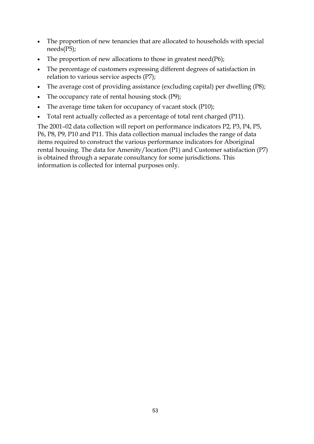- The proportion of new tenancies that are allocated to households with special needs(P5);
- The proportion of new allocations to those in greatest need( $P6$ );
- The percentage of customers expressing different degrees of satisfaction in relation to various service aspects (P7);
- The average cost of providing assistance (excluding capital) per dwelling (P8);
- The occupancy rate of rental housing stock (P9);
- The average time taken for occupancy of vacant stock (P10);
- Total rent actually collected as a percentage of total rent charged (P11).

The 2001–02 data collection will report on performance indicators P2, P3, P4, P5, P6, P8, P9, P10 and P11. This data collection manual includes the range of data items required to construct the various performance indicators for Aboriginal rental housing. The data for Amenity/location (P1) and Customer satisfaction (P7) is obtained through a separate consultancy for some jurisdictions. This information is collected for internal purposes only.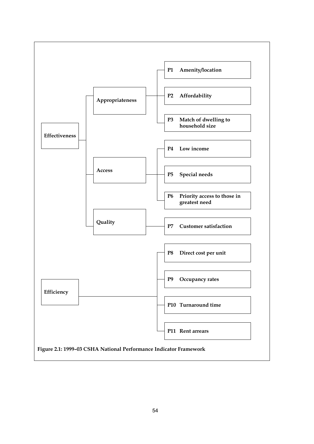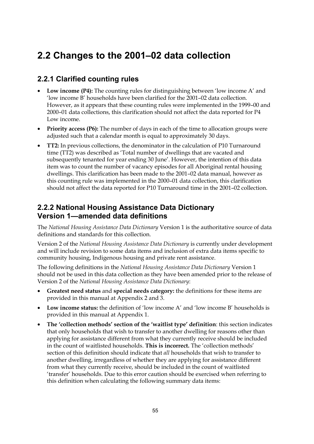# <span id="page-7-0"></span>**2.2 Changes to the 2001–02 data collection**

## **2.2.1 Clarified counting rules**

- **Low income (P4):** The counting rules for distinguishing between 'low income A' and 'low income B' households have been clarified for the 2001–02 data collection. However, as it appears that these counting rules were implemented in the 1999–00 and 2000–01 data collections, this clarification should not affect the data reported for P4 Low income.
- **Priority access (P6):** The number of days in each of the time to allocation groups were adjusted such that a calendar month is equal to approximately 30 days.
- **TT2:** In previous collections, the denominator in the calculation of P10 Turnaround time (TT2) was described as 'Total number of dwellings that are vacated and subsequently tenanted for year ending 30 June'. However, the intention of this data item was to count the number of vacancy episodes for all Aboriginal rental housing dwellings. This clarification has been made to the 2001–02 data manual, however as this counting rule was implemented in the 2000–01 data collection, this clarification should not affect the data reported for P10 Turnaround time in the 2001–02 collection.

## **2.2.2 National Housing Assistance Data Dictionary Version 1—amended data definitions**

The *National Housing Assistance Data Dictionary* Version 1 is the authoritative source of data definitions and standards for this collection.

Version 2 of the *National Housing Assistance Data Dictionary* is currently under development and will include revision to some data items and inclusion of extra data items specific to community housing, Indigenous housing and private rent assistance.

The following definitions in the *National Housing Assistance Data Dictionary* Version 1 should not be used in this data collection as they have been amended prior to the release of Version 2 of the *National Housing Assistance Data Dictionary*:

- **Greatest need status** and **special needs category:** the definitions for these items are provided in this manual at Appendix 2 and 3.
- **Low income status:** the definition of 'low income A' and 'low income B' households is provided in this manual at Appendix 1.
- **The 'collection methods' section of the 'waitlist type' definition**: this section indicates that only households that wish to transfer to another dwelling for reasons other than applying for assistance different from what they currently receive should be included in the count of waitlisted households. **This is incorrect.** The 'collection methods' section of this definition should indicate that *all* households that wish to transfer to another dwelling, irregardless of whether they are applying for assistance different from what they currently receive, should be included in the count of waitlisted 'transfer' households. Due to this error caution should be exercised when referring to this definition when calculating the following summary data items: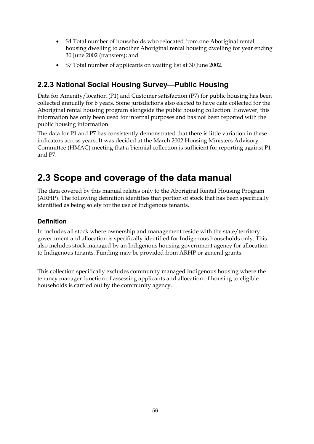- <span id="page-8-0"></span>• S4 Total number of households who relocated from one Aboriginal rental housing dwelling to another Aboriginal rental housing dwelling for year ending 30 June 2002 (transfers); and
- S7 Total number of applicants on waiting list at 30 June 2002.

## **2.2.3 National Social Housing Survey—Public Housing**

Data for Amenity/location (P1) and Customer satisfaction (P7) for public housing has been collected annually for 6 years. Some jurisdictions also elected to have data collected for the Aboriginal rental housing program alongside the public housing collection. However, this information has only been used for internal purposes and has not been reported with the public housing information.

The data for P1 and P7 has consistently demonstrated that there is little variation in these indicators across years. It was decided at the March 2002 Housing Ministers Advisory Committee (HMAC) meeting that a biennial collection is sufficient for reporting against P1 and P7.

# **2.3 Scope and coverage of the data manual**

The data covered by this manual relates only to the Aboriginal Rental Housing Program (ARHP). The following definition identifies that portion of stock that has been specifically identified as being solely for the use of Indigenous tenants.

## **Definition**

In includes all stock where ownership and management reside with the state/territory government and allocation is specifically identified for Indigenous households only. This also includes stock managed by an Indigenous housing government agency for allocation to Indigenous tenants. Funding may be provided from ARHP or general grants.

This collection specifically excludes community managed Indigenous housing where the tenancy manager function of assessing applicants and allocation of housing to eligible households is carried out by the community agency.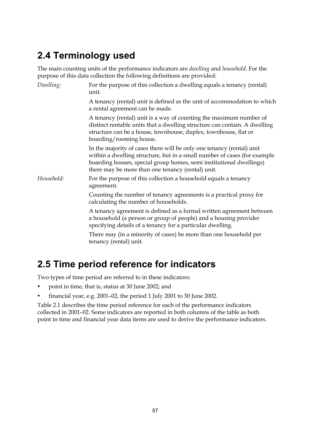# <span id="page-9-0"></span>**2.4 Terminology used**

The main counting units of the performance indicators are *dwelling* and *household*. For the purpose of this data collection the following definitions are provided:

| Dwelling:  | For the purpose of this collection a dwelling equals a tenancy (rental)<br>unit.                                                                                                                                                                                              |
|------------|-------------------------------------------------------------------------------------------------------------------------------------------------------------------------------------------------------------------------------------------------------------------------------|
|            | A tenancy (rental) unit is defined as the unit of accommodation to which<br>a rental agreement can be made.                                                                                                                                                                   |
|            | A tenancy (rental) unit is a way of counting the maximum number of<br>distinct rentable units that a dwelling structure can contain. A dwelling<br>structure can be a house, townhouse, duplex, townhouse, flat or<br>boarding/rooming house.                                 |
|            | In the majority of cases there will be only one tenancy (rental) unit<br>within a dwelling structure, but in a small number of cases (for example<br>boarding houses, special group homes, semi institutional dwellings)<br>there may be more than one tenancy (rental) unit. |
| Household: | For the purpose of this collection a household equals a tenancy<br>agreement.                                                                                                                                                                                                 |
|            | Counting the number of tenancy agreements is a practical proxy for<br>calculating the number of households.                                                                                                                                                                   |
|            | A tenancy agreement is defined as a formal written agreement between<br>a household (a person or group of people) and a housing provider<br>specifying details of a tenancy for a particular dwelling.                                                                        |
|            | There may (in a minority of cases) be more than one household per<br>tenancy (rental) unit.                                                                                                                                                                                   |

# **2.5 Time period reference for indicators**

Two types of time period are referred to in these indicators:

- point in time, that is, status at 30 June 2002; and
- financial year, e.g. 2001–02, the period 1 July 2001 to 30 June 2002.

Table 2.1 describes the time period reference for each of the performance indicators collected in 2001–02. Some indicators are reported in both columns of the table as both point in time and financial year data items are used to derive the performance indicators.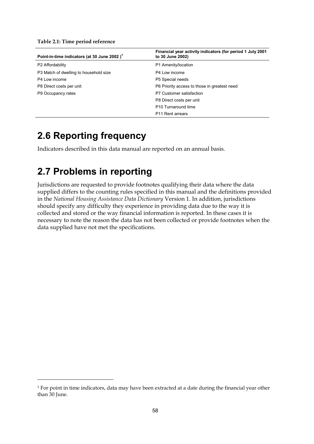<span id="page-10-0"></span>

| Point-in-time indicators (at 30 June 2002) <sup>1</sup> | Financial year activity indicators (for period 1 July 2001)<br>to 30 June 2002) |
|---------------------------------------------------------|---------------------------------------------------------------------------------|
| P2 Affordability                                        | P1 Amenity/location                                                             |
| P3 Match of dwelling to household size                  | P4 Low income                                                                   |
| P4 Low income                                           | P5 Special needs                                                                |
| P8 Direct costs per unit                                | P6 Priority access to those in greatest need                                    |
| P9 Occupancy rates                                      | P7 Customer satisfaction                                                        |
|                                                         | P8 Direct costs per unit                                                        |
|                                                         | P <sub>10</sub> Turnaround time                                                 |
|                                                         | P <sub>11</sub> Rent arrears                                                    |

## **2.6 Reporting frequency**

Indicators described in this data manual are reported on an annual basis.

## **2.7 Problems in reporting**

 $\overline{a}$ 

Jurisdictions are requested to provide footnotes qualifying their data where the data supplied differs to the counting rules specified in this manual and the definitions provided in the *National Housing Assistance Data Dictionary* Version 1. In addition, jurisdictions should specify any difficulty they experience in providing data due to the way it is collected and stored or the way financial information is reported. In these cases it is necessary to note the reason the data has not been collected or provide footnotes when the data supplied have not met the specifications.

<sup>&</sup>lt;sup>1</sup> For point in time indicators, data may have been extracted at a date during the financial year other than 30 June.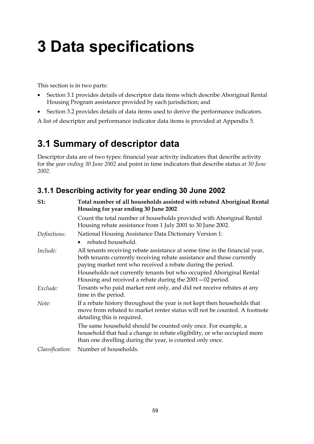# <span id="page-11-0"></span>**3 Data specifications**

This section is in two parts:

- Section 3.1 provides details of descriptor data items which describe Aboriginal Rental Housing Program assistance provided by each jurisdiction; and
- Section 3.2 provides details of data items used to derive the performance indicators.

A list of descriptor and performance indicator data items is provided at Appendix 5.

## **3.1 Summary of descriptor data**

Descriptor data are of two types: financial year activity indicators that describe activity for the *year ending 30 June 2002* and point in time indicators that describe status *at 30 June 2002.*

## **3.1.1 Describing activity for year ending 30 June 2002**

| S1:             | Total number of all households assisted with rebated Aboriginal Rental<br>Housing for year ending 30 June 2002                                                                                                       |
|-----------------|----------------------------------------------------------------------------------------------------------------------------------------------------------------------------------------------------------------------|
|                 | Count the total number of households provided with Aboriginal Rental<br>Housing rebate assistance from 1 July 2001 to 30 June 2002.                                                                                  |
| Definitions:    | National Housing Assistance Data Dictionary Version 1:                                                                                                                                                               |
|                 | rebated household.                                                                                                                                                                                                   |
| Include:        | All tenants receiving rebate assistance at some time in the financial year,<br>both tenants currently receiving rebate assistance and those currently<br>paying market rent who received a rebate during the period. |
|                 | Households not currently tenants but who occupied Aboriginal Rental<br>Housing and received a rebate during the $2001 - 02$ period.                                                                                  |
| Exclude:        | Tenants who paid market rent only, and did not receive rebates at any<br>time in the period.                                                                                                                         |
| Note:           | If a rebate history throughout the year is not kept then households that<br>move from rebated to market renter status will not be counted. A footnote<br>detailing this is required.                                 |
|                 | The same household should be counted only once. For example, a<br>household that had a change in rebate eligibility, or who occupied more<br>than one dwelling during the year, is counted only once.                |
| Classification: | Number of households.                                                                                                                                                                                                |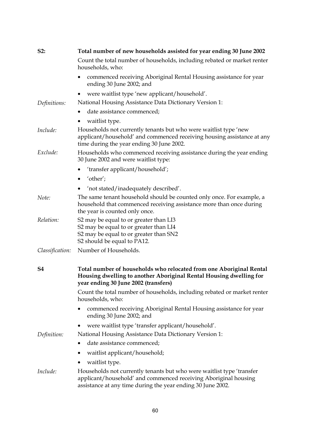| S2:             | Total number of new households assisted for year ending 30 June 2002                                                                                                                                    |
|-----------------|---------------------------------------------------------------------------------------------------------------------------------------------------------------------------------------------------------|
|                 | Count the total number of households, including rebated or market renter<br>households, who:                                                                                                            |
|                 | commenced receiving Aboriginal Rental Housing assistance for year<br>ending 30 June 2002; and                                                                                                           |
|                 | were waitlist type 'new applicant/household'.<br>$\bullet$                                                                                                                                              |
| Definitions:    | National Housing Assistance Data Dictionary Version 1:                                                                                                                                                  |
|                 | date assistance commenced;                                                                                                                                                                              |
|                 | waitlist type.                                                                                                                                                                                          |
| Include:        | Households not currently tenants but who were waitlist type 'new<br>applicant/household' and commenced receiving housing assistance at any<br>time during the year ending 30 June 2002.                 |
| Exclude:        | Households who commenced receiving assistance during the year ending<br>30 June 2002 and were waitlist type:                                                                                            |
|                 | 'transfer applicant/household';                                                                                                                                                                         |
|                 | $\bullet$ 'other';                                                                                                                                                                                      |
|                 | 'not stated/inadequately described'.                                                                                                                                                                    |
| Note:           | The same tenant household should be counted only once. For example, a<br>household that commenced receiving assistance more than once during<br>the year is counted only once.                          |
| Relation:       | S2 may be equal to or greater than LI3<br>S2 may be equal to or greater than LI4<br>S2 may be equal to or greater than SN2<br>S2 should be equal to PA12.                                               |
| Classification: | Number of Households.                                                                                                                                                                                   |
| S4              | Total number of households who relocated from one Aboriginal Rental<br>Housing dwelling to another Aboriginal Rental Housing dwelling for<br>vear ending 30 June 2002 (transfers)                       |
|                 | Count the total number of households, including rebated or market renter<br>households, who:                                                                                                            |
|                 | commenced receiving Aboriginal Rental Housing assistance for year<br>ending 30 June 2002; and                                                                                                           |
|                 | were waitlist type 'transfer applicant/household'.                                                                                                                                                      |
| Definition:     | National Housing Assistance Data Dictionary Version 1:                                                                                                                                                  |
|                 | date assistance commenced;                                                                                                                                                                              |
|                 | waitlist applicant/household;                                                                                                                                                                           |
|                 | waitlist type.                                                                                                                                                                                          |
| Include:        | Households not currently tenants but who were waitlist type 'transfer<br>applicant/household' and commenced receiving Aboriginal housing<br>assistance at any time during the year ending 30 June 2002. |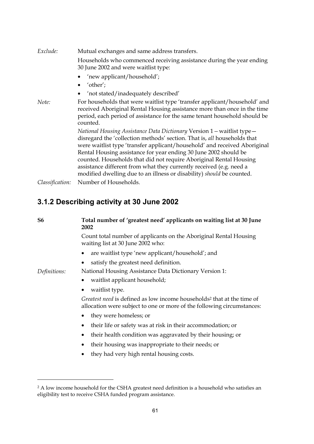<span id="page-13-0"></span>

| Exclude:        | Mutual exchanges and same address transfers.                                                                                                                                                                                                                                                                                                                                                                                                                                                                               |
|-----------------|----------------------------------------------------------------------------------------------------------------------------------------------------------------------------------------------------------------------------------------------------------------------------------------------------------------------------------------------------------------------------------------------------------------------------------------------------------------------------------------------------------------------------|
|                 | Households who commenced receiving assistance during the year ending<br>30 June 2002 and were waitlist type:                                                                                                                                                                                                                                                                                                                                                                                                               |
|                 | 'new applicant/household';                                                                                                                                                                                                                                                                                                                                                                                                                                                                                                 |
|                 | $\bullet$ 'other';                                                                                                                                                                                                                                                                                                                                                                                                                                                                                                         |
|                 | 'not stated/inadequately described'                                                                                                                                                                                                                                                                                                                                                                                                                                                                                        |
| Note:           | For households that were waitlist type 'transfer applicant/household' and<br>received Aboriginal Rental Housing assistance more than once in the time<br>period, each period of assistance for the same tenant household should be<br>counted.                                                                                                                                                                                                                                                                             |
|                 | National Housing Assistance Data Dictionary Version 1 – waitlist type –<br>disregard the 'collection methods' section. That is, all households that<br>were waitlist type 'transfer applicant/household' and received Aboriginal<br>Rental Housing assistance for year ending 30 June 2002 should be<br>counted. Households that did not require Aboriginal Rental Housing<br>assistance different from what they currently received (e.g. need a<br>modified dwelling due to an illness or disability) should be counted. |
| Classification: | Number of Households.                                                                                                                                                                                                                                                                                                                                                                                                                                                                                                      |

## **3.1.2 Describing activity at 30 June 2002**

 $\overline{a}$ 

| S <sub>6</sub> | Total number of 'greatest need' applicants on waiting list at 30 June<br>2002                                                                                |
|----------------|--------------------------------------------------------------------------------------------------------------------------------------------------------------|
|                | Count total number of applicants on the Aboriginal Rental Housing<br>waiting list at 30 June 2002 who:                                                       |
|                | are waitlist type 'new applicant/household'; and                                                                                                             |
|                | satisfy the greatest need definition.                                                                                                                        |
| Definitions:   | National Housing Assistance Data Dictionary Version 1:                                                                                                       |
|                | waitlist applicant household;                                                                                                                                |
|                | waitlist type.                                                                                                                                               |
|                | Greatest need is defined as low income households <sup>2</sup> that at the time of<br>allocation were subject to one or more of the following circumstances: |
|                | they were homeless; or                                                                                                                                       |
|                | their life or safety was at risk in their accommodation; or<br>٠                                                                                             |
|                | their health condition was aggravated by their housing; or<br>٠                                                                                              |
|                | their housing was inappropriate to their needs; or                                                                                                           |
|                | they had very high rental housing costs.                                                                                                                     |

<sup>&</sup>lt;sup>2</sup> A low income household for the CSHA greatest need definition is a household who satisfies an eligibility test to receive CSHA funded program assistance.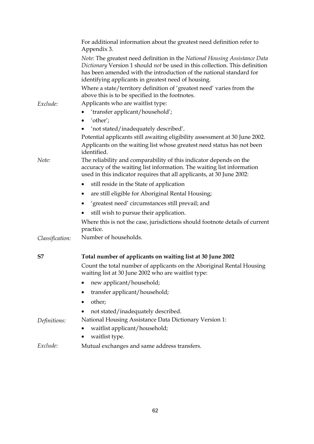|                 | For additional information about the greatest need definition refer to<br>Appendix 3.                                                                                                                                                                                                   |
|-----------------|-----------------------------------------------------------------------------------------------------------------------------------------------------------------------------------------------------------------------------------------------------------------------------------------|
|                 | Note: The greatest need definition in the National Housing Assistance Data<br>Dictionary Version 1 should not be used in this collection. This definition<br>has been amended with the introduction of the national standard for<br>identifying applicants in greatest need of housing. |
|                 | Where a state/territory definition of 'greatest need' varies from the<br>above this is to be specified in the footnotes.                                                                                                                                                                |
| Exclude:        | Applicants who are waitlist type:                                                                                                                                                                                                                                                       |
|                 | 'transfer applicant/household';                                                                                                                                                                                                                                                         |
|                 | 'other';<br>٠                                                                                                                                                                                                                                                                           |
|                 | 'not stated/inadequately described'.                                                                                                                                                                                                                                                    |
|                 | Potential applicants still awaiting eligibility assessment at 30 June 2002.                                                                                                                                                                                                             |
|                 | Applicants on the waiting list whose greatest need status has not been<br>identified.                                                                                                                                                                                                   |
| Note:           | The reliability and comparability of this indicator depends on the<br>accuracy of the waiting list information. The waiting list information<br>used in this indicator requires that all applicants, at 30 June 2002:                                                                   |
|                 | still reside in the State of application                                                                                                                                                                                                                                                |
|                 | are still eligible for Aboriginal Rental Housing;                                                                                                                                                                                                                                       |
|                 | 'greatest need' circumstances still prevail; and                                                                                                                                                                                                                                        |
|                 | still wish to pursue their application.                                                                                                                                                                                                                                                 |
|                 | Where this is not the case, jurisdictions should footnote details of current<br>practice.                                                                                                                                                                                               |
| Classification: | Number of households.                                                                                                                                                                                                                                                                   |
|                 |                                                                                                                                                                                                                                                                                         |
| S7              | Total number of applicants on waiting list at 30 June 2002                                                                                                                                                                                                                              |
|                 | Count the total number of applicants on the Aboriginal Rental Housing<br>waiting list at 30 June 2002 who are waitlist type:                                                                                                                                                            |
|                 | new applicant/household;                                                                                                                                                                                                                                                                |
|                 | transfer applicant/household;                                                                                                                                                                                                                                                           |
|                 | other;                                                                                                                                                                                                                                                                                  |
|                 | not stated/inadequately described.                                                                                                                                                                                                                                                      |
| Definitions:    | National Housing Assistance Data Dictionary Version 1:                                                                                                                                                                                                                                  |
|                 | waitlist applicant/household;                                                                                                                                                                                                                                                           |
|                 | waitlist type.                                                                                                                                                                                                                                                                          |
| Exclude:        | Mutual exchanges and same address transfers.                                                                                                                                                                                                                                            |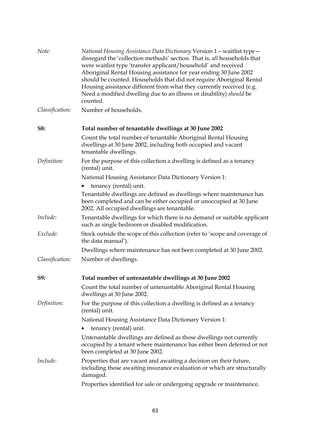| Note:           | National Housing Assistance Data Dictionary Version 1 – waitlist type –<br>disregard the 'collection methods' section. That is, all households that<br>were waitlist type 'transfer applicant/household' and received<br>Aboriginal Rental Housing assistance for year ending 30 June 2002<br>should be counted. Households that did not require Aboriginal Rental<br>Housing assistance different from what they currently received (e.g.<br>Need a modified dwelling due to an illness or disability) should be<br>counted. |
|-----------------|-------------------------------------------------------------------------------------------------------------------------------------------------------------------------------------------------------------------------------------------------------------------------------------------------------------------------------------------------------------------------------------------------------------------------------------------------------------------------------------------------------------------------------|
| Classification: | Number of households.                                                                                                                                                                                                                                                                                                                                                                                                                                                                                                         |
| S8:             | Total number of tenantable dwellings at 30 June 2002                                                                                                                                                                                                                                                                                                                                                                                                                                                                          |
|                 | Count the total number of tenantable Aboriginal Rental Housing<br>dwellings at 30 June 2002, including both occupied and vacant<br>tenantable dwellings.                                                                                                                                                                                                                                                                                                                                                                      |
| Definition:     | For the purpose of this collection a dwelling is defined as a tenancy<br>(rental) unit.                                                                                                                                                                                                                                                                                                                                                                                                                                       |
|                 | National Housing Assistance Data Dictionary Version 1:                                                                                                                                                                                                                                                                                                                                                                                                                                                                        |
|                 | tenancy (rental) unit.                                                                                                                                                                                                                                                                                                                                                                                                                                                                                                        |
|                 | Tenantable dwellings are defined as dwellings where maintenance has<br>been completed and can be either occupied or unoccupied at 30 June<br>2002. All occupied dwellings are tenantable.                                                                                                                                                                                                                                                                                                                                     |
| Include:        | Tenantable dwellings for which there is no demand or suitable applicant<br>such as single bedroom or disabled modification.                                                                                                                                                                                                                                                                                                                                                                                                   |
| Exclude:        | Stock outside the scope of this collection (refer to 'scope and coverage of<br>the data manual').                                                                                                                                                                                                                                                                                                                                                                                                                             |
|                 | Dwellings where maintenance has not been completed at 30 June 2002.                                                                                                                                                                                                                                                                                                                                                                                                                                                           |
| Classification: | Number of dwellings.                                                                                                                                                                                                                                                                                                                                                                                                                                                                                                          |
| S9:             | Total number of untenantable dwellings at 30 June 2002                                                                                                                                                                                                                                                                                                                                                                                                                                                                        |
|                 | Count the total number of untenantable Aboriginal Rental Housing<br>dwellings at 30 June 2002.                                                                                                                                                                                                                                                                                                                                                                                                                                |
| Definition:     | For the purpose of this collection a dwelling is defined as a tenancy<br>(rental) unit.                                                                                                                                                                                                                                                                                                                                                                                                                                       |
|                 | National Housing Assistance Data Dictionary Version 1:                                                                                                                                                                                                                                                                                                                                                                                                                                                                        |
|                 | tenancy (rental) unit.                                                                                                                                                                                                                                                                                                                                                                                                                                                                                                        |
|                 | Untenantable dwellings are defined as those dwellings not currently<br>occupied by a tenant where maintenance has either been deferred or not<br>been completed at 30 June 2002.                                                                                                                                                                                                                                                                                                                                              |
| Include:        | Properties that are vacant and awaiting a decision on their future,<br>including those awaiting insurance evaluation or which are structurally<br>damaged.                                                                                                                                                                                                                                                                                                                                                                    |
|                 | Properties identified for sale or undergoing upgrade or maintenance.                                                                                                                                                                                                                                                                                                                                                                                                                                                          |
|                 |                                                                                                                                                                                                                                                                                                                                                                                                                                                                                                                               |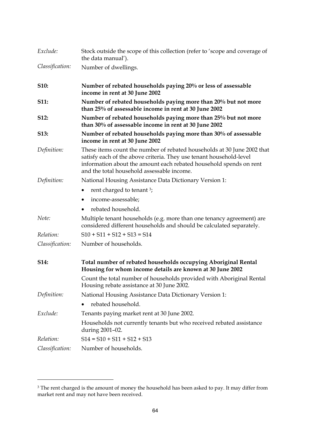| Exclude:        | Stock outside the scope of this collection (refer to 'scope and coverage of<br>the data manual').                                                                                                                                                                  |
|-----------------|--------------------------------------------------------------------------------------------------------------------------------------------------------------------------------------------------------------------------------------------------------------------|
| Classification: | Number of dwellings.                                                                                                                                                                                                                                               |
| <b>S10:</b>     | Number of rebated households paying 20% or less of assessable<br>income in rent at 30 June 2002                                                                                                                                                                    |
| <b>S11:</b>     | Number of rebated households paying more than 20% but not more<br>than 25% of assessable income in rent at 30 June 2002                                                                                                                                            |
| <b>S12:</b>     | Number of rebated households paying more than 25% but not more<br>than 30% of assessable income in rent at 30 June 2002                                                                                                                                            |
| <b>S13:</b>     | Number of rebated households paying more than 30% of assessable<br>income in rent at 30 June 2002                                                                                                                                                                  |
| Definition:     | These items count the number of rebated households at 30 June 2002 that<br>satisfy each of the above criteria. They use tenant household-level<br>information about the amount each rebated household spends on rent<br>and the total household assessable income. |
| Definition:     | National Housing Assistance Data Dictionary Version 1:                                                                                                                                                                                                             |
|                 | rent charged to tenant 3;                                                                                                                                                                                                                                          |
|                 | income-assessable;                                                                                                                                                                                                                                                 |
|                 | rebated household.                                                                                                                                                                                                                                                 |
| Note:           | Multiple tenant households (e.g. more than one tenancy agreement) are<br>considered different households and should be calculated separately.                                                                                                                      |
| Relation:       | $S10 + S11 + S12 + S13 = S14$                                                                                                                                                                                                                                      |
| Classification: | Number of households.                                                                                                                                                                                                                                              |
| <b>S14:</b>     | Total number of rebated households occupying Aboriginal Rental<br>Housing for whom income details are known at 30 June 2002                                                                                                                                        |
|                 | Count the total number of households provided with Aboriginal Rental<br>Housing rebate assistance at 30 June 2002.                                                                                                                                                 |
| Definition:     | National Housing Assistance Data Dictionary Version 1:                                                                                                                                                                                                             |
|                 | rebated household.                                                                                                                                                                                                                                                 |
| Exclude:        | Tenants paying market rent at 30 June 2002.                                                                                                                                                                                                                        |
|                 | Households not currently tenants but who received rebated assistance<br>during 2001-02.                                                                                                                                                                            |
| Relation:       | $S14 = S10 + S11 + S12 + S13$                                                                                                                                                                                                                                      |
| Classification: | Number of households.                                                                                                                                                                                                                                              |

 $\overline{a}$ 

 $^3$  The rent charged is the amount of money the household has been asked to pay. It may differ from market rent and may not have been received.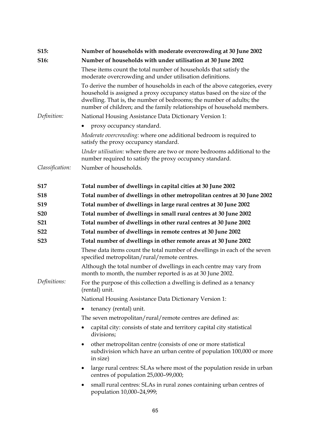| S15:            | Number of households with moderate overcrowding at 30 June 2002                                                                                                                                                                                                                                        |  |  |  |  |
|-----------------|--------------------------------------------------------------------------------------------------------------------------------------------------------------------------------------------------------------------------------------------------------------------------------------------------------|--|--|--|--|
| S16:            | Number of households with under utilisation at 30 June 2002                                                                                                                                                                                                                                            |  |  |  |  |
|                 | These items count the total number of households that satisfy the<br>moderate overcrowding and under utilisation definitions.                                                                                                                                                                          |  |  |  |  |
|                 | To derive the number of households in each of the above categories, every<br>household is assigned a proxy occupancy status based on the size of the<br>dwelling. That is, the number of bedrooms; the number of adults; the<br>number of children; and the family relationships of household members. |  |  |  |  |
| Definition:     | National Housing Assistance Data Dictionary Version 1:                                                                                                                                                                                                                                                 |  |  |  |  |
|                 | proxy occupancy standard.                                                                                                                                                                                                                                                                              |  |  |  |  |
|                 | Moderate overcrowding: where one additional bedroom is required to<br>satisfy the proxy occupancy standard.                                                                                                                                                                                            |  |  |  |  |
|                 | Under utilisation: where there are two or more bedrooms additional to the<br>number required to satisfy the proxy occupancy standard.                                                                                                                                                                  |  |  |  |  |
| Classification: | Number of households.                                                                                                                                                                                                                                                                                  |  |  |  |  |
| <b>S17</b>      | Total number of dwellings in capital cities at 30 June 2002                                                                                                                                                                                                                                            |  |  |  |  |
| <b>S18</b>      | Total number of dwellings in other metropolitan centres at 30 June 2002                                                                                                                                                                                                                                |  |  |  |  |
| S <sub>19</sub> | Total number of dwellings in large rural centres at 30 June 2002                                                                                                                                                                                                                                       |  |  |  |  |
| <b>S20</b>      | Total number of dwellings in small rural centres at 30 June 2002                                                                                                                                                                                                                                       |  |  |  |  |
| <b>S21</b>      | Total number of dwellings in other rural centres at 30 June 2002                                                                                                                                                                                                                                       |  |  |  |  |
| <b>S22</b>      | Total number of dwellings in remote centres at 30 June 2002                                                                                                                                                                                                                                            |  |  |  |  |
| <b>S23</b>      | Total number of dwellings in other remote areas at 30 June 2002                                                                                                                                                                                                                                        |  |  |  |  |
|                 | These data items count the total number of dwellings in each of the seven<br>specified metropolitan/rural/remote centres.                                                                                                                                                                              |  |  |  |  |
|                 | Although the total number of dwellings in each centre may vary from<br>month to month, the number reported is as at 30 June 2002.                                                                                                                                                                      |  |  |  |  |
| Definitions:    | For the purpose of this collection a dwelling is defined as a tenancy<br>(rental) unit.                                                                                                                                                                                                                |  |  |  |  |
|                 | National Housing Assistance Data Dictionary Version 1:                                                                                                                                                                                                                                                 |  |  |  |  |
|                 | tenancy (rental) unit.                                                                                                                                                                                                                                                                                 |  |  |  |  |
|                 | The seven metropolitan/rural/remote centres are defined as:                                                                                                                                                                                                                                            |  |  |  |  |
|                 | capital city: consists of state and territory capital city statistical<br>divisions;                                                                                                                                                                                                                   |  |  |  |  |
|                 | other metropolitan centre (consists of one or more statistical<br>$\bullet$<br>subdivision which have an urban centre of population 100,000 or more<br>in size)                                                                                                                                        |  |  |  |  |
|                 | large rural centres: SLAs where most of the population reside in urban<br>٠<br>centres of population 25,000-99,000;                                                                                                                                                                                    |  |  |  |  |
|                 | small rural centres: SLAs in rural zones containing urban centres of<br>population 10,000-24,999;                                                                                                                                                                                                      |  |  |  |  |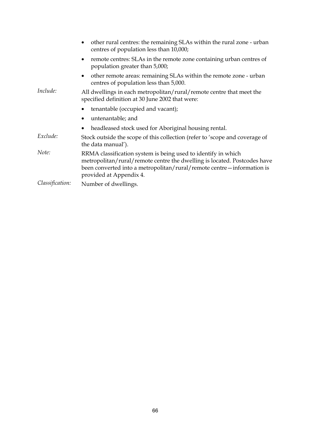|                 | other rural centres: the remaining SLAs within the rural zone - urban<br>centres of population less than 10,000;                                                                                                                                |  |  |  |  |
|-----------------|-------------------------------------------------------------------------------------------------------------------------------------------------------------------------------------------------------------------------------------------------|--|--|--|--|
|                 | remote centres: SLAs in the remote zone containing urban centres of<br>$\bullet$<br>population greater than 5,000;                                                                                                                              |  |  |  |  |
|                 | other remote areas: remaining SLAs within the remote zone - urban<br>$\bullet$<br>centres of population less than 5,000.                                                                                                                        |  |  |  |  |
| Include:        | All dwellings in each metropolitan/rural/remote centre that meet the<br>specified definition at 30 June 2002 that were:                                                                                                                         |  |  |  |  |
|                 | tenantable (occupied and vacant);                                                                                                                                                                                                               |  |  |  |  |
|                 | untenantable; and                                                                                                                                                                                                                               |  |  |  |  |
|                 | headleased stock used for Aboriginal housing rental.                                                                                                                                                                                            |  |  |  |  |
| Exclude:        | Stock outside the scope of this collection (refer to 'scope and coverage of<br>the data manual').                                                                                                                                               |  |  |  |  |
| Note:           | RRMA classification system is being used to identify in which<br>metropolitan/rural/remote centre the dwelling is located. Postcodes have<br>been converted into a metropolitan/rural/remote centre - information is<br>provided at Appendix 4. |  |  |  |  |
| Classification: | Number of dwellings.                                                                                                                                                                                                                            |  |  |  |  |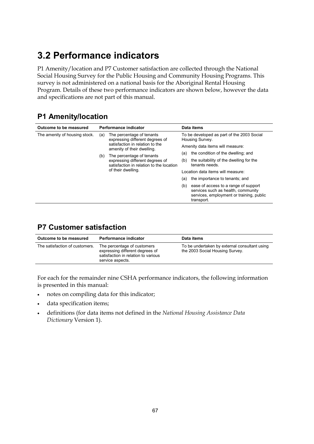# <span id="page-19-0"></span>**3.2 Performance indicators**

P1 Amenity/location and P7 Customer satisfaction are collected through the National Social Housing Survey for the Public Housing and Community Housing Programs. This survey is not administered on a national basis for the Aboriginal Rental Housing Program. Details of these two performance indicators are shown below, however the data and specifications are not part of this manual.

## **P1 Amenity/location**

| Outcome to be measured        |                                                               | Performance indicator                                                       |                                                               | Data items                                                                                                                           |  |  |
|-------------------------------|---------------------------------------------------------------|-----------------------------------------------------------------------------|---------------------------------------------------------------|--------------------------------------------------------------------------------------------------------------------------------------|--|--|
| The amenity of housing stock. | (a)                                                           | The percentage of tenants<br>expressing different degrees of                | To be developed as part of the 2003 Social<br>Housing Survey. |                                                                                                                                      |  |  |
|                               | satisfaction in relation to the<br>amenity of their dwelling. |                                                                             | Amenity data items will measure:                              |                                                                                                                                      |  |  |
|                               | The percentage of tenants<br>(b)                              | (a)                                                                         | the condition of the dwelling; and                            |                                                                                                                                      |  |  |
|                               |                                                               | expressing different degrees of<br>satisfaction in relation to the location | (b)                                                           | the suitability of the dwelling for the<br>tenants needs.                                                                            |  |  |
|                               |                                                               | of their dwelling.                                                          | Location data items will measure:                             |                                                                                                                                      |  |  |
|                               |                                                               |                                                                             | (a)                                                           | the importance to tenants; and                                                                                                       |  |  |
|                               |                                                               |                                                                             | (b)                                                           | ease of access to a range of support<br>services such as health, community<br>services, employment or training, public<br>transport. |  |  |

## **P7 Customer satisfaction**

| Outcome to be measured         | <b>Performance indicator</b>                                                                                              | Data items                                                                       |
|--------------------------------|---------------------------------------------------------------------------------------------------------------------------|----------------------------------------------------------------------------------|
| The satisfaction of customers. | The percentage of customers<br>expressing different degrees of<br>satisfaction in relation to various<br>service aspects. | To be undertaken by external consultant using<br>the 2003 Social Housing Survey. |

For each for the remainder nine CSHA performance indicators, the following information is presented in this manual:

- notes on compiling data for this indicator;
- data specification items;
- definitions (for data items not defined in the *National Housing Assistance Data Dictionary* Version 1).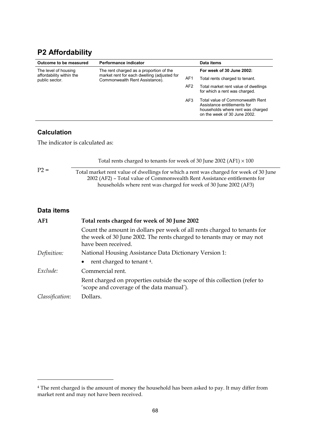## <span id="page-20-0"></span>**P2 Affordability**

| Outcome to be measured                     | Performance indicator                                                         |                 | Data items                                                                                                                           |
|--------------------------------------------|-------------------------------------------------------------------------------|-----------------|--------------------------------------------------------------------------------------------------------------------------------------|
| The level of housing                       | The rent charged as a proportion of the                                       |                 | For week of 30 June 2002:                                                                                                            |
| affordability within the<br>public sector. | market rent for each dwelling (adjusted for<br>Commonwealth Rent Assistance). | AF <sub>1</sub> | Total rents charged to tenant.                                                                                                       |
|                                            |                                                                               | AF <sub>2</sub> | Total market rent value of dwellings<br>for which a rent was charged.                                                                |
|                                            |                                                                               | AF3             | Total value of Commonwealth Rent<br>Assistance entitlements for<br>households where rent was charged<br>on the week of 30 June 2002. |

### **Calculation**

 $\overline{a}$ 

The indicator is calculated as:

|                 | Total rents charged to tenants for week of 30 June 2002 (AF1) $\times$ 100                                                                                                                                                             |  |  |  |  |
|-----------------|----------------------------------------------------------------------------------------------------------------------------------------------------------------------------------------------------------------------------------------|--|--|--|--|
| $P2 =$          | Total market rent value of dwellings for which a rent was charged for week of 30 June<br>2002 (AF2) – Total value of Commonwealth Rent Assistance entitlements for<br>households where rent was charged for week of 30 June 2002 (AF3) |  |  |  |  |
| Data items      |                                                                                                                                                                                                                                        |  |  |  |  |
| AF1             | Total rents charged for week of 30 June 2002                                                                                                                                                                                           |  |  |  |  |
|                 | Count the amount in dollars per week of all rents charged to tenants for<br>the week of 30 June 2002. The rents charged to tenants may or may not<br>have been received.                                                               |  |  |  |  |
| Definition:     | National Housing Assistance Data Dictionary Version 1:                                                                                                                                                                                 |  |  |  |  |
|                 | rent charged to tenant 4.                                                                                                                                                                                                              |  |  |  |  |
| Exclude:        | Commercial rent.                                                                                                                                                                                                                       |  |  |  |  |
|                 | Rent charged on properties outside the scope of this collection (refer to<br>'scope and coverage of the data manual').                                                                                                                 |  |  |  |  |
| Classification: | Dollars.                                                                                                                                                                                                                               |  |  |  |  |

<sup>4</sup> The rent charged is the amount of money the household has been asked to pay. It may differ from market rent and may not have been received.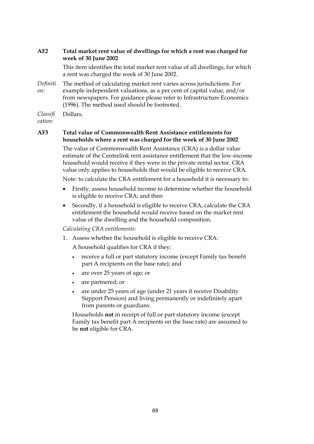### **AF2 Total market rent value of dwellings for which a rent was charged for week of 30 June 2002**

This item identifies the total market rent value of all dwellings, for which a rent was charged the week of 30 June 2002.

*Definiti on:* The method of calculating market rent varies across jurisdictions. For example independent valuations, as a per cent of capital value, and/or from newspapers. For guidance please refer to Infrastructure Economics (1996). The method used should be footnoted.

*Classifi* Dollars.

*cation*:

#### **AF3 Total value of Commonwealth Rent Assistance entitlements for households where a rent was charged for the week of 30 June 2002**

The value of Commonwealth Rent Assistance (CRA) is a dollar value estimate of the Centrelink rent assistance entitlement that the low-income household would receive if they were in the private rental sector. CRA value only applies to households that would be eligible to receive CRA.

Note: to calculate the CRA entitlement for a household it is necessary to:

- Firstly, assess household income to determine whether the household is eligible to receive CRA; and then
- Secondly, if a household is eligible to receive CRA, calculate the CRA entitlement the household would receive based on the market rent value of the dwelling and the household composition.

*Calculating CRA entitlements:*

1. Assess whether the household is eligible to receive CRA:

A household qualifies for CRA if they:

- receive a full or part statutory income (except Family tax benefit part A recipients on the base rate); and
- are over 25 years of age; or
- are partnered; or
- are under 25 years of age (under 21 years if receive Disability Support Pension) and living permanently or indefinitely apart from parents or guardians.

Households **not** in receipt of full or part statutory income (except Family tax benefit part A recipients on the base rate) are assumed to be **not** eligible for CRA.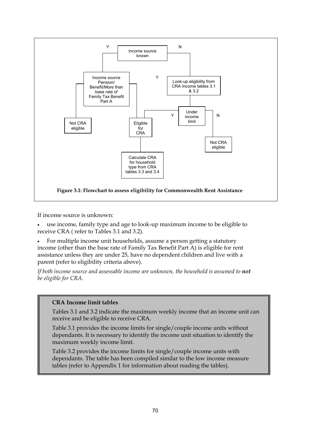

If income source is unknown:

• use income, family type and age to look-up maximum income to be eligible to receive CRA ( refer to Tables 3.1 and 3.2).

• For multiple income unit households, assume a person getting a statutory income (other than the base rate of Family Tax Benefit Part A) is eligible for rent assistance unless they are under 25, have no dependent children and live with a parent (refer to eligibility criteria above).

If both income source and assessable income are unknown, the household is assumed to not *be eligible for CRA.*

### **CRA Income limit tables**

Tables 3.1 and 3.2 indicate the maximum weekly income that an income unit can receive and be eligible to receive CRA.

Table 3.1 provides the income limits for single/couple income units without dependants. It is necessary to identify the income unit situation to identify the maximum weekly income limit.

Table 3.2 provides the income limits for single/couple income units with dependants. The table has been compiled similar to the low income measure tables (refer to Appendix 1 for information about reading the tables).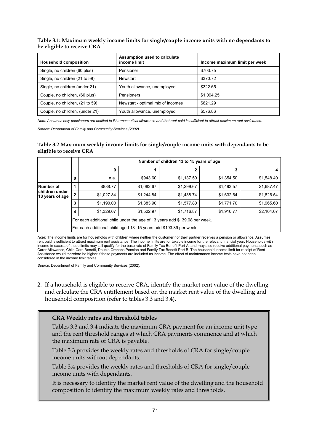#### **Table 3.1: Maximum weekly income limits for single/couple income units with no dependants to be eligible to receive CRA**

| <b>Household composition</b>    | Assumption used to calculate<br>income limit | Income maximum limit per week |
|---------------------------------|----------------------------------------------|-------------------------------|
| Single, no children (60 plus)   | Pensioner                                    | \$703.75                      |
| Single, no children (21 to 59)  | Newstart                                     | \$370.72                      |
| Single, no children (under 21)  | Youth allowance, unemployed                  | \$322.65                      |
| Couple, no children, (60 plus)  | Pensioners                                   | \$1.094.25                    |
| Couple, no children, (21 to 59) | Newstart - optimal mix of incomes            | \$621.29                      |
| Couple, no children, (under 21) | Youth allowance, unemployed                  | \$576.86                      |

*Note: Assumes only pensioners are entitled to Pharmaceutical allowance and that rent paid is sufficient to attract maximum rent assistance.*

*Source: Department of Family and Community Services (2002).*

#### **Table 3.2 Maximum weekly income limits for single/couple income units with dependants to be eligible to receive CRA**

|                                   |                                                                            | Number of children 13 to 15 years of age                          |            |            |            |            |  |
|-----------------------------------|----------------------------------------------------------------------------|-------------------------------------------------------------------|------------|------------|------------|------------|--|
|                                   |                                                                            | 0                                                                 |            | 2          | 3          |            |  |
|                                   | 0                                                                          | n.a.                                                              | \$943.60   | \$1,137.50 | \$1,354.50 | \$1,548.40 |  |
| Number of                         |                                                                            | \$888.77                                                          | \$1,082.67 | \$1,299.67 | \$1,493.57 | \$1,687.47 |  |
| children under<br>13 years of age | $\mathbf{2}$                                                               | \$1.027.84                                                        | \$1.244.84 | \$1,438.74 | \$1,632.64 | \$1,826.54 |  |
|                                   | 3                                                                          | \$1.190.00                                                        | \$1,383.90 | \$1,577.80 | \$1,771.70 | \$1,965.60 |  |
|                                   | 4                                                                          | \$1,910.77                                                        | \$2,104.67 |            |            |            |  |
|                                   | For each additional child under the age of 13 years add \$139.08 per week. |                                                                   |            |            |            |            |  |
|                                   |                                                                            | For each additional child aged 13-15 years add \$193.89 per week. |            |            |            |            |  |

*Note*: The income limits are for households with children where neither the customer nor their partner receives a pension or allowance. Assumes rent paid is sufficient to attract maximum rent assistance. The income limits are for taxable income for the relevant financial year. Households with income in excess of these limits may still qualify for the base rate of Family Tax Benefit Part A, and may also receive additional payments such as Carer Allowance, Child Care Benefit, Double Orphans Pension and Family Tax Benefit Part B. The household income limit for receipt of Rent Assistance would therefore be higher if these payments are included as income. The effect of maintenance income tests have not been considered in the income limit tables.

*Source:* Department of Family and Community Services (2002).

2. If a household is eligible to receive CRA, identify the market rent value of the dwelling and calculate the CRA entitlement based on the market rent value of the dwelling and household composition (refer to tables 3.3 and 3.4).

#### **CRA Weekly rates and threshold tables**

Tables 3.3 and 3.4 indicate the maximum CRA payment for an income unit type and the rent threshold ranges at which CRA payments commence and at which the maximum rate of CRA is payable.

Table 3.3 provides the weekly rates and thresholds of CRA for single/couple income units without dependants.

Table 3.4 provides the weekly rates and thresholds of CRA for single/couple income units with dependants.

It is necessary to identify the market rent value of the dwelling and the household composition to identify the maximum weekly rates and thresholds.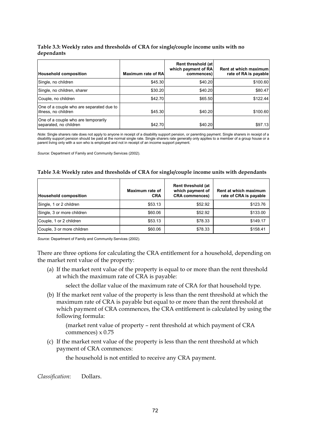#### **Table 3.3: Weekly rates and thresholds of CRA for single/couple income units with no dependants**

| <b>Household composition</b>                                     | <b>Maximum rate of RAI</b> | Rent threshold (at)<br>which payment of RA<br>commences) | Rent at which maximum<br>rate of RA is payable |
|------------------------------------------------------------------|----------------------------|----------------------------------------------------------|------------------------------------------------|
| Single, no children                                              | \$45.30                    | \$40.20                                                  | \$100.60                                       |
| Single, no children, sharer                                      | \$30.20                    | \$40.20                                                  | \$80.47                                        |
| Couple, no children                                              | \$42.70                    | \$65.50                                                  | \$122.44                                       |
| One of a couple who are separated due to<br>illness, no children | \$45.30                    | \$40.20                                                  | \$100.60                                       |
| One of a couple who are temporarily<br>separated, no children    | \$42.70                    | \$40.20                                                  | \$97.13                                        |

*Note:* Single sharers rate does not apply to anyone in receipt of a disability support pension, or parenting payment. Single sharers in receipt of a disability support pension should be paid at the normal single rate. Single sharers rate generally only applies to a member of a group house or a parent living only with a son who is employed and not in receipt of an income support payment.

*Source:* Department of Family and Community Services (2002).

#### **Table 3.4: Weekly rates and thresholds of CRA for single/couple income units with dependants**

| <b>Household composition</b> | Maximum rate of<br><b>CRA</b> | Rent threshold (at<br>which payment of<br><b>CRA commences)</b> | Rent at which maximum<br>rate of CRA is payable |
|------------------------------|-------------------------------|-----------------------------------------------------------------|-------------------------------------------------|
| Single, 1 or 2 children      | \$53.13                       | \$52.92                                                         | \$123.76                                        |
| Single, 3 or more children   | \$60.06                       | \$52.92                                                         | \$133.00                                        |
| Couple, 1 or 2 children      | \$53.13                       | \$78.33                                                         | \$149.17                                        |
| Couple, 3 or more children   | \$60.06                       | \$78.33                                                         | \$158.41                                        |

*Source:* Department of Family and Community Services (2002).

There are three options for calculating the CRA entitlement for a household, depending on the market rent value of the property:

(a) If the market rent value of the property is equal to or more than the rent threshold at which the maximum rate of CRA is payable:

select the dollar value of the maximum rate of CRA for that household type.

(b) If the market rent value of the property is less than the rent threshold at which the maximum rate of CRA is payable but equal to or more than the rent threshold at which payment of CRA commences, the CRA entitlement is calculated by using the following formula:

(market rent value of property – rent threshold at which payment of CRA commences) x 0.75

(c) If the market rent value of the property is less than the rent threshold at which payment of CRA commences:

the household is not entitled to receive any CRA payment.

*Classification*: Dollars.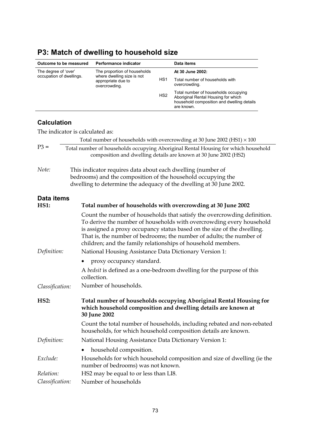| Outcome to be measured                           |                           | Performance indicator                                                                                                       |                 | Data items                                                                                                                                                                                                                                                                                                                                                          |  |  |
|--------------------------------------------------|---------------------------|-----------------------------------------------------------------------------------------------------------------------------|-----------------|---------------------------------------------------------------------------------------------------------------------------------------------------------------------------------------------------------------------------------------------------------------------------------------------------------------------------------------------------------------------|--|--|
| The degree of 'over'<br>occupation of dwellings. |                           | The proportion of households                                                                                                |                 | At 30 June 2002:                                                                                                                                                                                                                                                                                                                                                    |  |  |
|                                                  |                           | where dwelling size is not<br>appropriate due to<br>overcrowding.                                                           | HS1             | Total number of households with<br>overcrowding.                                                                                                                                                                                                                                                                                                                    |  |  |
|                                                  |                           |                                                                                                                             | HS <sub>2</sub> | Total number of households occupying<br>Aboriginal Rental Housing for which<br>household composition and dwelling details<br>are known.                                                                                                                                                                                                                             |  |  |
| <b>Calculation</b>                               |                           |                                                                                                                             |                 |                                                                                                                                                                                                                                                                                                                                                                     |  |  |
| The indicator is calculated as:                  |                           |                                                                                                                             |                 |                                                                                                                                                                                                                                                                                                                                                                     |  |  |
|                                                  |                           |                                                                                                                             |                 | Total number of households with overcrowding at 30 June 2002 (HS1) $\times$ 100                                                                                                                                                                                                                                                                                     |  |  |
| $P3 =$                                           |                           |                                                                                                                             |                 | Total number of households occupying Aboriginal Rental Housing for which household<br>composition and dwelling details are known at 30 June 2002 (HS2)                                                                                                                                                                                                              |  |  |
| Note:                                            |                           | This indicator requires data about each dwelling (number of<br>bedrooms) and the composition of the household occupying the |                 | dwelling to determine the adequacy of the dwelling at 30 June 2002.                                                                                                                                                                                                                                                                                                 |  |  |
| Data items                                       |                           |                                                                                                                             |                 |                                                                                                                                                                                                                                                                                                                                                                     |  |  |
| <b>HS1:</b>                                      |                           |                                                                                                                             |                 | Total number of households with overcrowding at 30 June 2002                                                                                                                                                                                                                                                                                                        |  |  |
| Definition:                                      |                           | National Housing Assistance Data Dictionary Version 1:                                                                      |                 | Count the number of households that satisfy the overcrowding definition.<br>To derive the number of households with overcrowding every household<br>is assigned a proxy occupancy status based on the size of the dwelling.<br>That is, the number of bedrooms; the number of adults; the number of<br>children; and the family relationships of household members. |  |  |
|                                                  | proxy occupancy standard. |                                                                                                                             |                 |                                                                                                                                                                                                                                                                                                                                                                     |  |  |
|                                                  |                           | collection.                                                                                                                 |                 | A bedsit is defined as a one-bedroom dwelling for the purpose of this                                                                                                                                                                                                                                                                                               |  |  |
| Classification:                                  |                           | Number of households.                                                                                                       |                 |                                                                                                                                                                                                                                                                                                                                                                     |  |  |
| HS2:                                             |                           | 30 June 2002                                                                                                                |                 | Total number of households occupying Aboriginal Rental Housing for<br>which household composition and dwelling details are known at                                                                                                                                                                                                                                 |  |  |
|                                                  |                           |                                                                                                                             |                 | Count the total number of households, including rebated and non-rebated<br>households, for which household composition details are known.                                                                                                                                                                                                                           |  |  |
| Definition:                                      |                           | National Housing Assistance Data Dictionary Version 1:                                                                      |                 |                                                                                                                                                                                                                                                                                                                                                                     |  |  |
|                                                  |                           | household composition.                                                                                                      |                 |                                                                                                                                                                                                                                                                                                                                                                     |  |  |
| Exclude:                                         |                           | Households for which household composition and size of dwelling (ie the<br>number of bedrooms) was not known.               |                 |                                                                                                                                                                                                                                                                                                                                                                     |  |  |
| Relation:                                        |                           | HS2 may be equal to or less than LI8.                                                                                       |                 |                                                                                                                                                                                                                                                                                                                                                                     |  |  |
| Classification:                                  |                           | Number of households                                                                                                        |                 |                                                                                                                                                                                                                                                                                                                                                                     |  |  |

 $\overline{a}$ 

## <span id="page-25-0"></span>**P3: Match of dwelling to household size**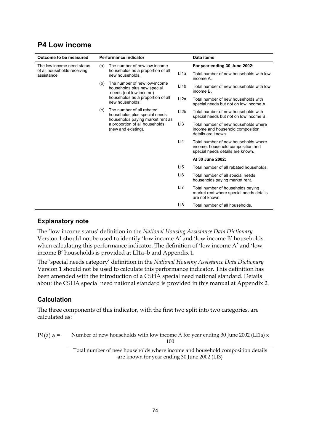### <span id="page-26-0"></span>**P4 Low income**

| Outcome to be measured                     |     | Performance indicator                                                                                                                                   |                 | Data items                                                                                                    |
|--------------------------------------------|-----|---------------------------------------------------------------------------------------------------------------------------------------------------------|-----------------|---------------------------------------------------------------------------------------------------------------|
| The low income need status                 | (a) | The number of new low-income<br>households as a proportion of all<br>new households.                                                                    |                 | For year ending 30 June 2002:                                                                                 |
| of all households receiving<br>assistance. |     |                                                                                                                                                         | LI1a            | Total number of new households with low<br>income A.                                                          |
|                                            | (b) | The number of new low-income<br>households plus new special<br>needs (not low income)<br>households as a proportion of all<br>new households.           | L11b            | Total number of new households with low<br>income B.                                                          |
|                                            |     |                                                                                                                                                         | L12a            | Total number of new households with<br>special needs but not on low income A.                                 |
|                                            | (c) | The number of all rebated<br>households plus special needs<br>households paying market rent as<br>a proportion of all households<br>(new and existing). | L12b            | Total number of new households with<br>special needs but not on low income B.                                 |
|                                            |     |                                                                                                                                                         | L <sub>13</sub> | Total number of new households where<br>income and household composition<br>details are known.                |
|                                            |     |                                                                                                                                                         | L <sub>14</sub> | Total number of new households where<br>income, household composition and<br>special needs details are known. |
|                                            |     |                                                                                                                                                         |                 | At 30 June 2002:                                                                                              |
|                                            |     |                                                                                                                                                         | L15             | Total number of all rebated households.                                                                       |
|                                            |     |                                                                                                                                                         | LI <sub>6</sub> | Total number of all special needs<br>households paying market rent.                                           |
|                                            |     |                                                                                                                                                         | LI7             | Total number of households paying<br>market rent where special needs details<br>are not known.                |
|                                            |     |                                                                                                                                                         | LI8             | Total number of all households.                                                                               |

#### **Explanatory note**

The 'low income status' definition in the *National Housing Assistance Data Dictionary* Version 1 should not be used to identify 'low income A' and 'low income B' households when calculating this performance indicator. The definition of 'low income A' and 'low income B' households is provided at LI1a–b and Appendix 1.

The 'special needs category' definition in the *National Housing Assistance Data Dictionary* Version 1 should not be used to calculate this performance indicator. This definition has been amended with the introduction of a CSHA special need national standard. Details about the CSHA special need national standard is provided in this manual at Appendix 2.

#### **Calculation**

The three components of this indicator, with the first two split into two categories, are calculated as:

P4(a)  $a =$  Number of new households with low income A for year ending 30 June 2002 (LI1a) x 100

> Total number of new households where income and household composition details are known for year ending 30 June 2002 (LI3)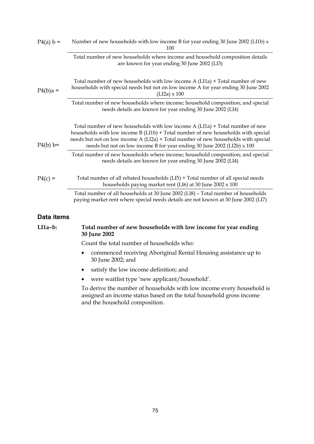| $P4(a) b =$ | Number of new households with low income B for year ending 30 June 2002 (LI1b) x<br>100                                                                                                                                                                                                                                              |
|-------------|--------------------------------------------------------------------------------------------------------------------------------------------------------------------------------------------------------------------------------------------------------------------------------------------------------------------------------------|
|             | Total number of new households where income and household composition details<br>are known for year ending 30 June 2002 (LI3)                                                                                                                                                                                                        |
| $P4(b)a =$  | Total number of new households with low income $A(LI1a) + Total number of new$<br>households with special needs but not on low income A for year ending 30 June 2002<br>$(LI2a) \times 100$                                                                                                                                          |
|             | Total number of new households where income; household composition; and special<br>needs details are known for year ending 30 June 2002 (LI4)                                                                                                                                                                                        |
| $P4(b) b=$  | Total number of new households with low income $A(LI1a) + Total number of new$<br>households with low income B (LI1b) + Total number of new households with special<br>needs but not on low income A (LI2a) + Total number of new households with special<br>needs but not on low income B for year ending 30 June 2002 (LI2b) x 100 |
|             | Total number of new households where income; household composition; and special<br>needs details are known for year ending 30 June 2002 (LI4)                                                                                                                                                                                        |
| $P4(c) =$   | Total number of all rebated households (LI5) + Total number of all special needs<br>households paying market rent (LI6) at 30 June 2002 x 100                                                                                                                                                                                        |
|             | Total number of all households at 30 June 2002 (LI8) - Total number of households<br>paying market rent where special needs details are not known at 30 June 2002 (LI7)                                                                                                                                                              |
|             |                                                                                                                                                                                                                                                                                                                                      |

#### **Data items**

#### **LI1a–b: Total number of new households with low income for year ending 30 June 2002**

Count the total number of households who:

- commenced receiving Aboriginal Rental Housing assistance up to 30 June 2002; and
- satisfy the low income definition; and
- were waitlist type 'new applicant/household'.

To derive the number of households with low income every household is assigned an income status based on the total household gross income and the household composition.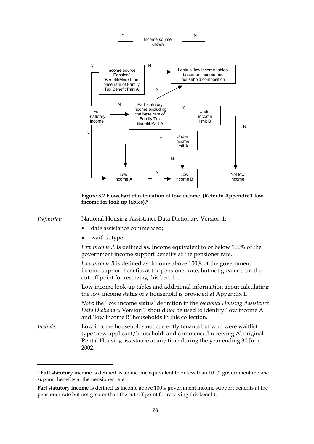

<sup>5</sup> **Full statutory income** is defined as an income equivalent to or less than 100% government income support benefits at the pensioner rate.

**Part statutory income** is defined as income above 100% government income support benefits at the pensioner rate but not greater than the cut-off point for receiving this benefit.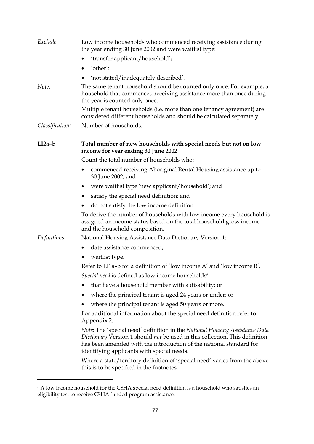|                 | the year ending 30 June 2002 and were waitlist type:                                                                                                                                                                                                                            |
|-----------------|---------------------------------------------------------------------------------------------------------------------------------------------------------------------------------------------------------------------------------------------------------------------------------|
|                 | 'transfer applicant/household';                                                                                                                                                                                                                                                 |
|                 | 'other';                                                                                                                                                                                                                                                                        |
|                 | 'not stated/inadequately described'.                                                                                                                                                                                                                                            |
| Note:           | The same tenant household should be counted only once. For example, a<br>household that commenced receiving assistance more than once during<br>the year is counted only once.                                                                                                  |
|                 | Multiple tenant households (i.e. more than one tenancy agreement) are<br>considered different households and should be calculated separately.                                                                                                                                   |
| Classification: | Number of households.                                                                                                                                                                                                                                                           |
| $LI2a-b$        | Total number of new households with special needs but not on low<br>income for year ending 30 June 2002                                                                                                                                                                         |
|                 | Count the total number of households who:                                                                                                                                                                                                                                       |
|                 | commenced receiving Aboriginal Rental Housing assistance up to<br>30 June 2002; and                                                                                                                                                                                             |
|                 | were waitlist type 'new applicant/household'; and                                                                                                                                                                                                                               |
|                 | satisfy the special need definition; and                                                                                                                                                                                                                                        |
|                 | do not satisfy the low income definition.                                                                                                                                                                                                                                       |
|                 | To derive the number of households with low income every household is<br>assigned an income status based on the total household gross income<br>and the household composition.                                                                                                  |
| Definitions:    | National Housing Assistance Data Dictionary Version 1:                                                                                                                                                                                                                          |
|                 | date assistance commenced;<br>$\bullet$                                                                                                                                                                                                                                         |
|                 | waitlist type.                                                                                                                                                                                                                                                                  |
|                 | Refer to LI1a-b for a definition of 'low income A' and 'low income B'.                                                                                                                                                                                                          |
|                 | Special need is defined as low income households <sup>6</sup> :                                                                                                                                                                                                                 |
|                 | that have a household member with a disability; or                                                                                                                                                                                                                              |
|                 | where the principal tenant is aged 24 years or under; or                                                                                                                                                                                                                        |
|                 | where the principal tenant is aged 50 years or more.                                                                                                                                                                                                                            |
|                 | For additional information about the special need definition refer to<br>Appendix 2.                                                                                                                                                                                            |
|                 | Note: The 'special need' definition in the National Housing Assistance Data<br>Dictionary Version 1 should not be used in this collection. This definition<br>has been amended with the introduction of the national standard for<br>identifying applicants with special needs. |
|                 | Where a state/territory definition of 'special need' varies from the above<br>this is to be specified in the footnotes.                                                                                                                                                         |

 $^6$  A low income household for the CSHA special need definition is a household who satisfies an eligibility test to receive CSHA funded program assistance.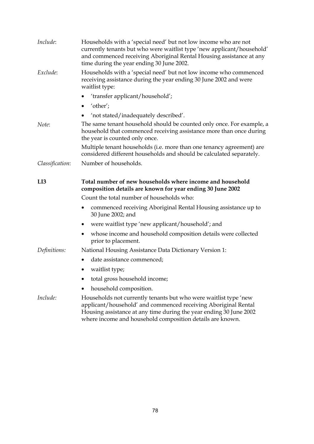| Include:        | Households with a 'special need' but not low income who are not<br>currently tenants but who were waitlist type 'new applicant/household'<br>and commenced receiving Aboriginal Rental Housing assistance at any<br>time during the year ending 30 June 2002. |
|-----------------|---------------------------------------------------------------------------------------------------------------------------------------------------------------------------------------------------------------------------------------------------------------|
| Exclude:        | Households with a 'special need' but not low income who commenced<br>receiving assistance during the year ending 30 June 2002 and were<br>waitlist type:                                                                                                      |
|                 | 'transfer applicant/household';                                                                                                                                                                                                                               |
|                 | $\bullet$ 'other';                                                                                                                                                                                                                                            |
|                 | 'not stated/inadequately described'.                                                                                                                                                                                                                          |
| Note:           | The same tenant household should be counted only once. For example, a<br>household that commenced receiving assistance more than once during<br>the year is counted only once.                                                                                |
|                 | Multiple tenant households (i.e. more than one tenancy agreement) are<br>considered different households and should be calculated separately.                                                                                                                 |
| Classification: | Number of households.                                                                                                                                                                                                                                         |
| LI3             | Total number of new households where income and household<br>composition details are known for year ending 30 June 2002                                                                                                                                       |
|                 | Count the total number of households who:                                                                                                                                                                                                                     |
|                 | commenced receiving Aboriginal Rental Housing assistance up to<br>30 June 2002; and                                                                                                                                                                           |
|                 | were waitlist type 'new applicant/household'; and                                                                                                                                                                                                             |
|                 | whose income and household composition details were collected<br>prior to placement.                                                                                                                                                                          |
| Definitions:    | National Housing Assistance Data Dictionary Version 1:                                                                                                                                                                                                        |
|                 | date assistance commenced;                                                                                                                                                                                                                                    |
|                 | waitlist type;                                                                                                                                                                                                                                                |
|                 |                                                                                                                                                                                                                                                               |
|                 | total gross household income;                                                                                                                                                                                                                                 |
|                 | household composition.                                                                                                                                                                                                                                        |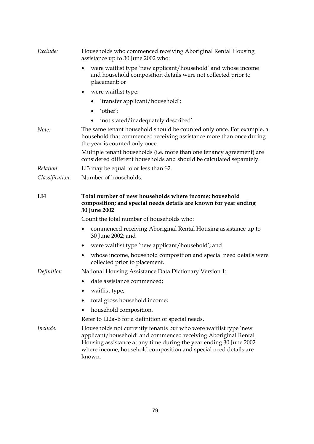| Exclude:        | Households who commenced receiving Aboriginal Rental Housing<br>assistance up to 30 June 2002 who:                                                                                                                                                                                     |
|-----------------|----------------------------------------------------------------------------------------------------------------------------------------------------------------------------------------------------------------------------------------------------------------------------------------|
|                 | were waitlist type 'new applicant/household' and whose income<br>and household composition details were not collected prior to<br>placement; or                                                                                                                                        |
|                 | were waitlist type:<br>٠                                                                                                                                                                                                                                                               |
|                 | • 'transfer applicant/household';                                                                                                                                                                                                                                                      |
|                 | $\bullet$ 'other';                                                                                                                                                                                                                                                                     |
|                 | 'not stated/inadequately described'.                                                                                                                                                                                                                                                   |
| Note:           | The same tenant household should be counted only once. For example, a<br>household that commenced receiving assistance more than once during<br>the year is counted only once.                                                                                                         |
|                 | Multiple tenant households (i.e. more than one tenancy agreement) are<br>considered different households and should be calculated separately.                                                                                                                                          |
| Relation:       | LI3 may be equal to or less than S2.                                                                                                                                                                                                                                                   |
| Classification: | Number of households.                                                                                                                                                                                                                                                                  |
| LI4             | Total number of new households where income; household<br>composition; and special needs details are known for year ending<br>30 June 2002                                                                                                                                             |
|                 | Count the total number of households who:                                                                                                                                                                                                                                              |
|                 | commenced receiving Aboriginal Rental Housing assistance up to<br>$\bullet$<br>30 June 2002; and                                                                                                                                                                                       |
|                 | were waitlist type 'new applicant/household'; and                                                                                                                                                                                                                                      |
|                 | whose income, household composition and special need details were<br>٠<br>collected prior to placement.                                                                                                                                                                                |
| Definition      | National Housing Assistance Data Dictionary Version 1:                                                                                                                                                                                                                                 |
|                 | date assistance commenced;<br>٠                                                                                                                                                                                                                                                        |
|                 | waitlist type;                                                                                                                                                                                                                                                                         |
|                 | total gross household income;                                                                                                                                                                                                                                                          |
|                 | household composition.                                                                                                                                                                                                                                                                 |
|                 | Refer to LI2a-b for a definition of special needs.                                                                                                                                                                                                                                     |
| Include:        | Households not currently tenants but who were waitlist type 'new<br>applicant/household' and commenced receiving Aboriginal Rental<br>Housing assistance at any time during the year ending 30 June 2002<br>where income, household composition and special need details are<br>known. |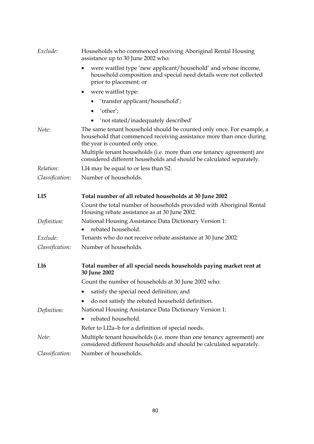| Households who commenced receiving Aboriginal Rental Housing<br>assistance up to 30 June 2002 who:                                                                             |
|--------------------------------------------------------------------------------------------------------------------------------------------------------------------------------|
| were waitlist type 'new applicant/household' and whose income,<br>household composition and special need details were not collected<br>prior to placement; or                  |
| were waitlist type:                                                                                                                                                            |
| • 'transfer applicant/household';                                                                                                                                              |
| $\bullet$ 'other';                                                                                                                                                             |
| 'not stated/inadequately described'                                                                                                                                            |
| The same tenant household should be counted only once. For example, a<br>household that commenced receiving assistance more than once during<br>the year is counted only once. |
| Multiple tenant households (i.e. more than one tenancy agreement) are<br>considered different households and should be calculated separately.                                  |
| LI4 may be equal to or less than S2.                                                                                                                                           |
| Number of households.                                                                                                                                                          |
| Total number of all rebated households at 30 June 2002                                                                                                                         |
| Count the total number of households provided with Aboriginal Rental<br>Housing rebate assistance as at 30 June 2002.                                                          |
| National Housing Assistance Data Dictionary Version 1:                                                                                                                         |
| rebated household.                                                                                                                                                             |
| Tenants who do not receive rebate assistance at 30 June 2002.                                                                                                                  |
| Number of households.                                                                                                                                                          |
| Total number of all special needs households paying market rent at                                                                                                             |
| Count the number of households at 30 June 2002 who:                                                                                                                            |
| satisfy the special need definition; and                                                                                                                                       |
| do not satisfy the rebated household definition.                                                                                                                               |
|                                                                                                                                                                                |
| National Housing Assistance Data Dictionary Version 1:                                                                                                                         |
| rebated household.                                                                                                                                                             |
| Refer to LI2a-b for a definition of special needs.                                                                                                                             |
| Multiple tenant households (i.e. more than one tenancy agreement) are<br>considered different households and should be calculated separately.                                  |
|                                                                                                                                                                                |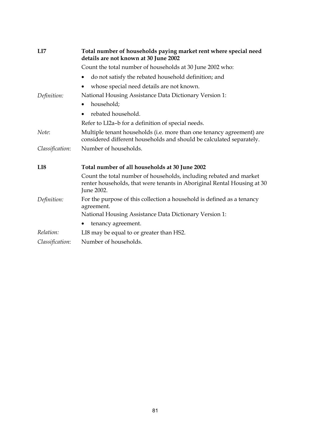| LI7             | Total number of households paying market rent where special need<br>details are not known at 30 June 2002                                                   |
|-----------------|-------------------------------------------------------------------------------------------------------------------------------------------------------------|
|                 | Count the total number of households at 30 June 2002 who:                                                                                                   |
|                 | do not satisfy the rebated household definition; and                                                                                                        |
|                 | whose special need details are not known.                                                                                                                   |
| Definition:     | National Housing Assistance Data Dictionary Version 1:                                                                                                      |
|                 | household;<br>$\bullet$                                                                                                                                     |
|                 | rebated household.                                                                                                                                          |
|                 | Refer to LI2a-b for a definition of special needs.                                                                                                          |
| Note:           | Multiple tenant households (i.e. more than one tenancy agreement) are<br>considered different households and should be calculated separately.               |
| Classification: | Number of households.                                                                                                                                       |
| LI8             | Total number of all households at 30 June 2002                                                                                                              |
|                 | Count the total number of households, including rebated and market<br>renter households, that were tenants in Aboriginal Rental Housing at 30<br>June 2002. |
| Definition:     | For the purpose of this collection a household is defined as a tenancy<br>agreement.                                                                        |
|                 | National Housing Assistance Data Dictionary Version 1:                                                                                                      |
|                 | tenancy agreement.                                                                                                                                          |
| Relation:       | LI8 may be equal to or greater than HS2.                                                                                                                    |
| Classification: | Number of households.                                                                                                                                       |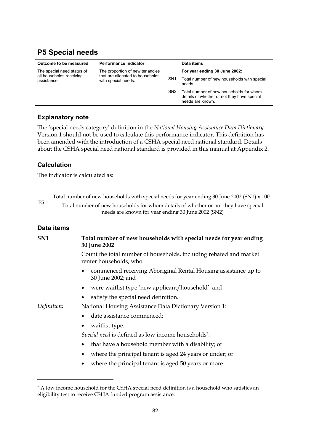## <span id="page-34-0"></span>**P5 Special needs**

| Outcome to be measured                                                | Performance indicator                                                                      |                 | Data items                                                                                                 |
|-----------------------------------------------------------------------|--------------------------------------------------------------------------------------------|-----------------|------------------------------------------------------------------------------------------------------------|
| The special need status of<br>all households receiving<br>assistance. | The proportion of new tenancies<br>that are allocated to households<br>with special needs. |                 | For year ending 30 June 2002:                                                                              |
|                                                                       |                                                                                            | SN <sub>1</sub> | Total number of new households with special<br>needs.                                                      |
|                                                                       |                                                                                            | SN <sub>2</sub> | Total number of new households for whom<br>details of whether or not they have special<br>needs are known. |

### **Explanatory note**

The 'special needs category' definition in the *National Housing Assistance Data Dictionary* Version 1 should not be used to calculate this performance indicator. This definition has been amended with the introduction of a CSHA special need national standard. Details about the CSHA special need national standard is provided in this manual at Appendix 2.

### **Calculation**

The indicator is calculated as:

|             | Total number of new households with special needs for year ending 30 June 2002 (SN1) $\times$ 100                                         |
|-------------|-------------------------------------------------------------------------------------------------------------------------------------------|
| $P5 =$      | Total number of new households for whom details of whether or not they have special<br>needs are known for year ending 30 June 2002 (SN2) |
| Data items  |                                                                                                                                           |
| SN1         | Total number of new households with special needs for year ending<br>30 June 2002                                                         |
|             | Count the total number of households, including rebated and market<br>renter households, who:                                             |
|             | commenced receiving Aboriginal Rental Housing assistance up to<br>٠<br>30 June 2002; and                                                  |
|             | were waitlist type 'new applicant/household'; and<br>٠                                                                                    |
|             | satisfy the special need definition.                                                                                                      |
| Definition: | National Housing Assistance Data Dictionary Version 1:                                                                                    |
|             | date assistance commenced;<br>٠                                                                                                           |
|             | waitlist type.<br>٠                                                                                                                       |
|             | Special need is defined as low income households <sup>7</sup> :                                                                           |
|             | that have a household member with a disability; or<br>$\bullet$                                                                           |
|             | where the principal tenant is aged 24 years or under; or                                                                                  |
|             | where the principal tenant is aged 50 years or more.                                                                                      |
|             |                                                                                                                                           |
|             |                                                                                                                                           |

<sup>&</sup>lt;sup>7</sup> A low income household for the CSHA special need definition is a household who satisfies an eligibility test to receive CSHA funded program assistance.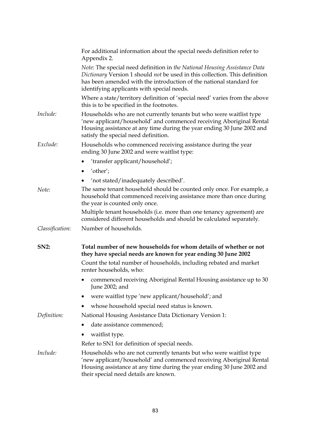|                 | For additional information about the special needs definition refer to<br>Appendix 2.                                                                                                                                                                                         |
|-----------------|-------------------------------------------------------------------------------------------------------------------------------------------------------------------------------------------------------------------------------------------------------------------------------|
|                 | Note: The special need definition in the National Housing Assistance Data<br>Dictionary Version 1 should not be used in this collection. This definition<br>has been amended with the introduction of the national standard for<br>identifying applicants with special needs. |
|                 | Where a state/territory definition of 'special need' varies from the above<br>this is to be specified in the footnotes.                                                                                                                                                       |
| Include:        | Households who are not currently tenants but who were waitlist type<br>'new applicant/household' and commenced receiving Aboriginal Rental<br>Housing assistance at any time during the year ending 30 June 2002 and<br>satisfy the special need definition.                  |
| Exclude:        | Households who commenced receiving assistance during the year<br>ending 30 June 2002 and were waitlist type:                                                                                                                                                                  |
|                 | 'transfer applicant/household';                                                                                                                                                                                                                                               |
|                 | 'other';                                                                                                                                                                                                                                                                      |
|                 | 'not stated/inadequately described'.                                                                                                                                                                                                                                          |
| Note:           | The same tenant household should be counted only once. For example, a<br>household that commenced receiving assistance more than once during<br>the year is counted only once.                                                                                                |
|                 | Multiple tenant households (i.e. more than one tenancy agreement) are<br>considered different households and should be calculated separately.                                                                                                                                 |
| Classification: | Number of households.                                                                                                                                                                                                                                                         |
| <b>SN2:</b>     | Total number of new households for whom details of whether or not<br>they have special needs are known for year ending 30 June 2002                                                                                                                                           |
|                 | Count the total number of households, including rebated and market<br>renter households, who:                                                                                                                                                                                 |
|                 | commenced receiving Aboriginal Rental Housing assistance up to 30<br>٠<br>June 2002; and                                                                                                                                                                                      |
|                 | were waitlist type 'new applicant/household'; and                                                                                                                                                                                                                             |
|                 | whose household special need status is known.                                                                                                                                                                                                                                 |
| Definition:     | National Housing Assistance Data Dictionary Version 1:                                                                                                                                                                                                                        |
|                 | date assistance commenced;                                                                                                                                                                                                                                                    |
|                 | waitlist type.                                                                                                                                                                                                                                                                |
|                 | Refer to SN1 for definition of special needs.                                                                                                                                                                                                                                 |
| Include:        | Households who are not currently tenants but who were waitlist type<br>'new applicant/household' and commenced receiving Aboriginal Rental<br>Housing assistance at any time during the year ending 30 June 2002 and<br>their special need details are known.                 |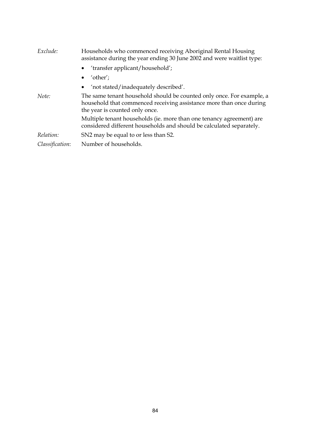| Exclude:        | Households who commenced receiving Aboriginal Rental Housing<br>assistance during the year ending 30 June 2002 and were waitlist type:                                         |
|-----------------|--------------------------------------------------------------------------------------------------------------------------------------------------------------------------------|
|                 | $\bullet$ 'transfer applicant/household';                                                                                                                                      |
|                 | $\bullet$ 'other';                                                                                                                                                             |
|                 | • 'not stated/inadequately described'.                                                                                                                                         |
| Note:           | The same tenant household should be counted only once. For example, a<br>household that commenced receiving assistance more than once during<br>the year is counted only once. |
|                 | Multiple tenant households (ie. more than one tenancy agreement) are<br>considered different households and should be calculated separately.                                   |
| Relation:       | SN2 may be equal to or less than S2.                                                                                                                                           |
| Classification: | Number of households.                                                                                                                                                          |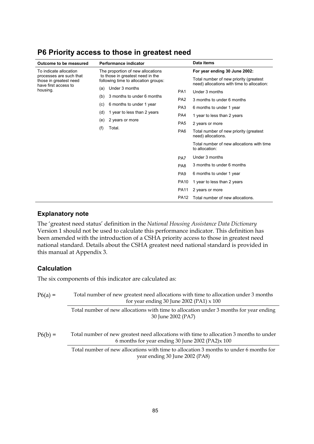| Outcome to be measured                                                    |                                   | Performance indicator                                                    |                                    | Data items                                                                           |
|---------------------------------------------------------------------------|-----------------------------------|--------------------------------------------------------------------------|------------------------------------|--------------------------------------------------------------------------------------|
| To indicate allocation                                                    | The proportion of new allocations |                                                                          | For year ending 30 June 2002:      |                                                                                      |
| processes are such that<br>those in greatest need<br>have first access to |                                   | to those in greatest need in the<br>following time to allocation groups: |                                    | Total number of new priority (greatest<br>need) allocations with time to allocation: |
| housing.                                                                  | (a)                               | Under 3 months                                                           | PA <sub>1</sub>                    | Under 3 months                                                                       |
|                                                                           | (b)                               | 3 months to under 6 months                                               | PA <sub>2</sub><br>PA <sub>3</sub> | 3 months to under 6 months                                                           |
|                                                                           | (c)                               | 6 months to under 1 year                                                 |                                    | 6 months to under 1 year                                                             |
|                                                                           | (d)                               | 1 year to less than 2 years                                              | PA4                                | 1 year to less than 2 years                                                          |
|                                                                           | (e)                               | 2 years or more<br>(f)<br>Total.                                         | PA <sub>5</sub>                    | 2 years or more                                                                      |
|                                                                           |                                   |                                                                          | PA <sub>6</sub>                    | Total number of new priority (greatest<br>need) allocations.                         |
|                                                                           |                                   |                                                                          |                                    | Total number of new allocations with time<br>to allocation:                          |
|                                                                           |                                   |                                                                          | PA7                                | Under 3 months                                                                       |
|                                                                           |                                   |                                                                          | PA <sub>8</sub>                    | 3 months to under 6 months                                                           |
|                                                                           |                                   |                                                                          | PA <sub>9</sub>                    | 6 months to under 1 year                                                             |
|                                                                           |                                   |                                                                          | <b>PA10</b>                        | 1 year to less than 2 years                                                          |
|                                                                           |                                   |                                                                          | <b>PA11</b>                        | 2 years or more                                                                      |
|                                                                           |                                   |                                                                          | <b>PA12</b>                        | Total number of new allocations.                                                     |

### **P6 Priority access to those in greatest need**

#### **Explanatory note**

The 'greatest need status' definition in the *National Housing Assistance Data Dictionary* Version 1 should not be used to calculate this performance indicator. This definition has been amended with the introduction of a CSHA priority access to those in greatest need national standard. Details about the CSHA greatest need national standard is provided in this manual at Appendix 3.

#### **Calculation**

The six components of this indicator are calculated as:

| $P6(a) =$ | Total number of new greatest need allocations with time to allocation under 3 months<br>for year ending 30 June 2002 (PA1) $\times$ 100     |
|-----------|---------------------------------------------------------------------------------------------------------------------------------------------|
|           | Total number of new allocations with time to allocation under 3 months for year ending<br>30 June 2002 (PA7)                                |
| $P6(b) =$ | Total number of new greatest need allocations with time to allocation 3 months to under<br>6 months for year ending 30 June 2002 (PA2)x 100 |
|           | Total number of new allocations with time to allocation 3 months to under 6 months for<br>year ending 30 June 2002 (PA8)                    |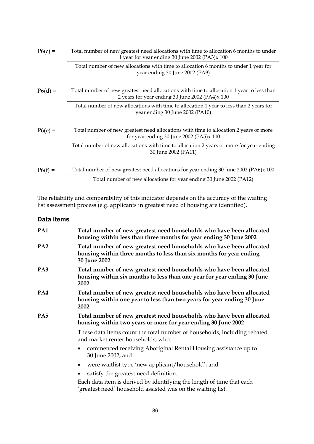| $P6(c) =$ | Total number of new greatest need allocations with time to allocation 6 months to under<br>1 year for year ending 30 June 2002 (PA3)x 100    |
|-----------|----------------------------------------------------------------------------------------------------------------------------------------------|
|           | Total number of new allocations with time to allocation 6 months to under 1 year for<br>year ending 30 June 2002 (PA9)                       |
| $P6(d) =$ | Total number of new greatest need allocations with time to allocation 1 year to less than<br>2 years for year ending 30 June 2002 (PA4)x 100 |
|           | Total number of new allocations with time to allocation 1 year to less than 2 years for<br>year ending 30 June 2002 (PA10)                   |
| $P6(e) =$ | Total number of new greatest need allocations with time to allocation 2 years or more<br>for year ending 30 June 2002 (PA5)x 100             |
|           | Total number of new allocations with time to allocation 2 years or more for year ending<br>30 June 2002 (PA11)                               |
| $P6(f) =$ | Total number of new greatest need allocations for year ending 30 June 2002 (PA6)x 100                                                        |
|           | Total number of new allocations for year ending 30 June 2002 (PA12)                                                                          |

The reliability and comparability of this indicator depends on the accuracy of the waiting list assessment process (e.g. applicants in greatest need of housing are identified).

| PA1             | Total number of new greatest need households who have been allocated<br>housing within less than three months for year ending 30 June 2002                  |  |  |
|-----------------|-------------------------------------------------------------------------------------------------------------------------------------------------------------|--|--|
| PA <sub>2</sub> | Total number of new greatest need households who have been allocated<br>housing within three months to less than six months for year ending<br>30 June 2002 |  |  |
| PA3             | Total number of new greatest need households who have been allocated<br>housing within six months to less than one year for year ending 30 June<br>2002     |  |  |
| PA4             | Total number of new greatest need households who have been allocated<br>housing within one year to less than two years for year ending 30 June<br>2002      |  |  |
| PA <sub>5</sub> | Total number of new greatest need households who have been allocated<br>housing within two years or more for year ending 30 June 2002                       |  |  |
|                 | These data items count the total number of households, including rebated<br>and market renter households, who:                                              |  |  |
|                 | commenced receiving Aboriginal Rental Housing assistance up to<br>٠<br>30 June 2002; and                                                                    |  |  |
|                 | were waitlist type 'new applicant/household'; and<br>$\bullet$                                                                                              |  |  |
|                 | satisfy the greatest need definition.                                                                                                                       |  |  |
|                 | Each data item is derived by identifying the length of time that each<br>'greatest need' household assisted was on the waiting list.                        |  |  |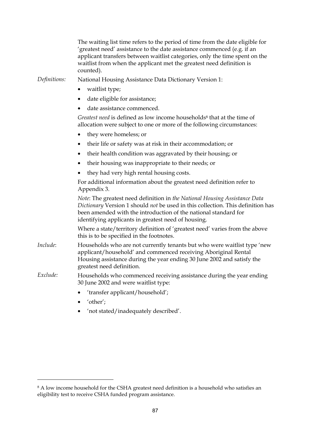|              | The waiting list time refers to the period of time from the date eligible for<br>'greatest need' assistance to the date assistance commenced (e.g. if an<br>applicant transfers between waitlist categories, only the time spent on the<br>waitlist from when the applicant met the greatest need definition is<br>counted). |
|--------------|------------------------------------------------------------------------------------------------------------------------------------------------------------------------------------------------------------------------------------------------------------------------------------------------------------------------------|
| Definitions: | National Housing Assistance Data Dictionary Version 1:                                                                                                                                                                                                                                                                       |
|              | waitlist type;<br>٠                                                                                                                                                                                                                                                                                                          |
|              | date eligible for assistance;<br>٠                                                                                                                                                                                                                                                                                           |
|              | date assistance commenced.                                                                                                                                                                                                                                                                                                   |
|              | Greatest need is defined as low income households <sup>8</sup> that at the time of<br>allocation were subject to one or more of the following circumstances:                                                                                                                                                                 |
|              | they were homeless; or<br>$\bullet$                                                                                                                                                                                                                                                                                          |
|              | their life or safety was at risk in their accommodation; or                                                                                                                                                                                                                                                                  |
|              | their health condition was aggravated by their housing; or                                                                                                                                                                                                                                                                   |
|              | their housing was inappropriate to their needs; or<br>٠                                                                                                                                                                                                                                                                      |
|              | they had very high rental housing costs.                                                                                                                                                                                                                                                                                     |
|              | For additional information about the greatest need definition refer to<br>Appendix 3.                                                                                                                                                                                                                                        |
|              | Note: The greatest need definition in the National Housing Assistance Data<br>Dictionary Version 1 should not be used in this collection. This definition has<br>been amended with the introduction of the national standard for<br>identifying applicants in greatest need of housing.                                      |
|              | Where a state/territory definition of 'greatest need' varies from the above<br>this is to be specified in the footnotes.                                                                                                                                                                                                     |
| Include:     | Households who are not currently tenants but who were waitlist type 'new<br>applicant/household' and commenced receiving Aboriginal Rental<br>Housing assistance during the year ending 30 June 2002 and satisfy the<br>greatest need definition.                                                                            |
| Exclude:     | Households who commenced receiving assistance during the year ending<br>30 June 2002 and were waitlist type:                                                                                                                                                                                                                 |
|              | 'transfer applicant/household';                                                                                                                                                                                                                                                                                              |
|              | 'other';                                                                                                                                                                                                                                                                                                                     |

• 'not stated/inadequately described'.

 $\overline{a}$ 

 $^8$  A low income household for the CSHA greatest need definition is a household who satisfies an eligibility test to receive CSHA funded program assistance.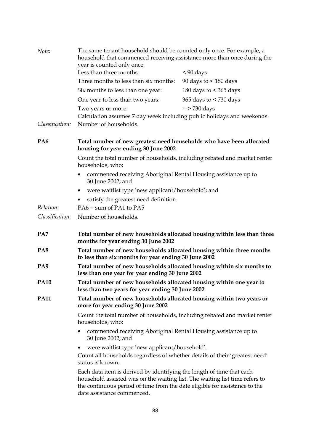| Note:           | The same tenant household should be counted only once. For example, a<br>household that commenced receiving assistance more than once during the<br>year is counted only once.                                                     |                          |  |
|-----------------|------------------------------------------------------------------------------------------------------------------------------------------------------------------------------------------------------------------------------------|--------------------------|--|
|                 | Less than three months:                                                                                                                                                                                                            | $< 90$ days              |  |
|                 | Three months to less than six months:                                                                                                                                                                                              | 90 days to $<$ 180 days  |  |
|                 | Six months to less than one year:                                                                                                                                                                                                  | 180 days to $<$ 365 days |  |
|                 | One year to less than two years:                                                                                                                                                                                                   | 365 days to < 730 days   |  |
|                 | Two years or more:                                                                                                                                                                                                                 | $=$ > 730 days           |  |
| Classification: | Calculation assumes 7 day week including public holidays and weekends.<br>Number of households.                                                                                                                                    |                          |  |
| PA <sub>6</sub> | Total number of new greatest need households who have been allocated<br>housing for year ending 30 June 2002                                                                                                                       |                          |  |
|                 | Count the total number of households, including rebated and market renter<br>households, who:                                                                                                                                      |                          |  |
|                 | commenced receiving Aboriginal Rental Housing assistance up to<br>٠<br>30 June 2002; and                                                                                                                                           |                          |  |
|                 | were waitlist type 'new applicant/household'; and<br>$\bullet$                                                                                                                                                                     |                          |  |
|                 | satisfy the greatest need definition.                                                                                                                                                                                              |                          |  |
| Relation:       | PA6 = sum of PA1 to PA5                                                                                                                                                                                                            |                          |  |
| Classification: | Number of households.                                                                                                                                                                                                              |                          |  |
| PA7             | Total number of new households allocated housing within less than three<br>months for year ending 30 June 2002                                                                                                                     |                          |  |
| PA <sub>8</sub> | Total number of new households allocated housing within three months<br>to less than six months for year ending 30 June 2002                                                                                                       |                          |  |
| PA <sub>9</sub> | Total number of new households allocated housing within six months to<br>less than one year for year ending 30 June 2002                                                                                                           |                          |  |
| <b>PA10</b>     | Total number of new households allocated housing within one year to<br>less than two years for year ending 30 June 2002                                                                                                            |                          |  |
| <b>PA11</b>     | Total number of new households allocated housing within two years or<br>more for year ending 30 June 2002                                                                                                                          |                          |  |
|                 | Count the total number of households, including rebated and market renter<br>households, who:                                                                                                                                      |                          |  |
|                 | commenced receiving Aboriginal Rental Housing assistance up to<br>30 June 2002; and                                                                                                                                                |                          |  |
|                 | were waitlist type 'new applicant/household'.<br>Count all households regardless of whether details of their 'greatest need'<br>status is known.                                                                                   |                          |  |
|                 | Each data item is derived by identifying the length of time that each<br>household assisted was on the waiting list. The waiting list time refers to<br>the continuous period of time from the date eligible for assistance to the |                          |  |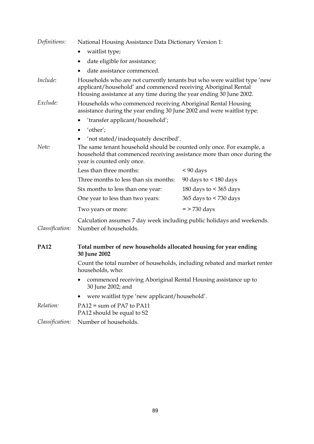| Definitions:    | National Housing Assistance Data Dictionary Version 1:                                                                                                                                                            |                                                                                                                                        |  |  |
|-----------------|-------------------------------------------------------------------------------------------------------------------------------------------------------------------------------------------------------------------|----------------------------------------------------------------------------------------------------------------------------------------|--|--|
|                 | waitlist type;<br>٠                                                                                                                                                                                               |                                                                                                                                        |  |  |
|                 | date eligible for assistance;<br>٠                                                                                                                                                                                |                                                                                                                                        |  |  |
|                 |                                                                                                                                                                                                                   |                                                                                                                                        |  |  |
| Include:        | Households who are not currently tenants but who were waitlist type 'new<br>applicant/household' and commenced receiving Aboriginal Rental<br>Housing assistance at any time during the year ending 30 June 2002. |                                                                                                                                        |  |  |
| Exclude:        |                                                                                                                                                                                                                   | Households who commenced receiving Aboriginal Rental Housing<br>assistance during the year ending 30 June 2002 and were waitlist type: |  |  |
|                 | 'transfer applicant/household';                                                                                                                                                                                   |                                                                                                                                        |  |  |
|                 | 'other';<br>$\bullet$                                                                                                                                                                                             |                                                                                                                                        |  |  |
|                 | 'not stated/inadequately described'.                                                                                                                                                                              |                                                                                                                                        |  |  |
| Note:           | The same tenant household should be counted only once. For example, a<br>household that commenced receiving assistance more than once during the<br>year is counted only once.                                    |                                                                                                                                        |  |  |
|                 | Less than three months:                                                                                                                                                                                           | $< 90$ days                                                                                                                            |  |  |
|                 | Three months to less than six months:                                                                                                                                                                             | 90 days to $\leq 180$ days                                                                                                             |  |  |
|                 | Six months to less than one year:                                                                                                                                                                                 | 180 days to $<$ 365 days                                                                                                               |  |  |
|                 | One year to less than two years:                                                                                                                                                                                  | 365 days to $<$ 730 days                                                                                                               |  |  |
|                 | Two years or more:                                                                                                                                                                                                | $=$ > 730 days                                                                                                                         |  |  |
| Classification: | Calculation assumes 7 day week including public holidays and weekends.<br>Number of households.                                                                                                                   |                                                                                                                                        |  |  |
| <b>PA12</b>     | Total number of new households allocated housing for year ending<br>30 June 2002                                                                                                                                  |                                                                                                                                        |  |  |
|                 | Count the total number of households, including rebated and market renter                                                                                                                                         |                                                                                                                                        |  |  |
|                 | commenced receiving Aboriginal Rental Housing assistance up to<br>30 June 2002; and                                                                                                                               |                                                                                                                                        |  |  |
|                 | were waitlist type 'new applicant/household'.                                                                                                                                                                     |                                                                                                                                        |  |  |
| Relation:       | $PA12 = sum of PA7 to PA11$<br>PA12 should be equal to S2                                                                                                                                                         |                                                                                                                                        |  |  |
| Classification: | Number of households.                                                                                                                                                                                             |                                                                                                                                        |  |  |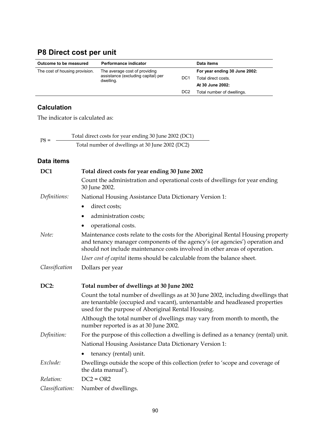# **P8 Direct cost per unit**

| Outcome to be measured         | Performance indicator                           |                  | Data items                    |
|--------------------------------|-------------------------------------------------|------------------|-------------------------------|
| The cost of housing provision. | The average cost of providing                   |                  | For year ending 30 June 2002: |
|                                | assistance (excluding capital) per<br>dwelling. | DC <sub>1</sub>  | Total direct costs.           |
|                                |                                                 |                  | At 30 June 2002:              |
|                                |                                                 | D <sub>C</sub> 2 | Total number of dwellings.    |

### **Calculation**

The indicator is calculated as:

| $PS =$ | Total direct costs for year ending 30 June 2002 (DC1) |
|--------|-------------------------------------------------------|
|        | Total number of dwellings at 30 June 2002 (DC2)       |

| DC1             | Total direct costs for year ending 30 June 2002                                                                                                                                                                                               |  |  |
|-----------------|-----------------------------------------------------------------------------------------------------------------------------------------------------------------------------------------------------------------------------------------------|--|--|
|                 | Count the administration and operational costs of dwellings for year ending<br>30 June 2002.                                                                                                                                                  |  |  |
| Definitions:    | National Housing Assistance Data Dictionary Version 1:                                                                                                                                                                                        |  |  |
|                 | direct costs;<br>$\bullet$                                                                                                                                                                                                                    |  |  |
|                 | administration costs;                                                                                                                                                                                                                         |  |  |
|                 | operational costs.                                                                                                                                                                                                                            |  |  |
| Note:           | Maintenance costs relate to the costs for the Aboriginal Rental Housing property<br>and tenancy manager components of the agency's (or agencies') operation and<br>should not include maintenance costs involved in other areas of operation. |  |  |
|                 | User cost of capital items should be calculable from the balance sheet.                                                                                                                                                                       |  |  |
| Classification  | Dollars per year                                                                                                                                                                                                                              |  |  |
|                 |                                                                                                                                                                                                                                               |  |  |
| <b>DC2:</b>     | Total number of dwellings at 30 June 2002                                                                                                                                                                                                     |  |  |
|                 |                                                                                                                                                                                                                                               |  |  |
|                 | Count the total number of dwellings as at 30 June 2002, including dwellings that<br>are tenantable (occupied and vacant), untenantable and headleased properties<br>used for the purpose of Aboriginal Rental Housing.                        |  |  |
|                 | Although the total number of dwellings may vary from month to month, the<br>number reported is as at 30 June 2002.                                                                                                                            |  |  |
| Definition:     | For the purpose of this collection a dwelling is defined as a tenancy (rental) unit.                                                                                                                                                          |  |  |
|                 | National Housing Assistance Data Dictionary Version 1:                                                                                                                                                                                        |  |  |
|                 | tenancy (rental) unit.                                                                                                                                                                                                                        |  |  |
| Exclude:        | Dwellings outside the scope of this collection (refer to 'scope and coverage of<br>the data manual').                                                                                                                                         |  |  |
| Relation:       | $DC2 = OR2$                                                                                                                                                                                                                                   |  |  |
| Classification: | Number of dwellings.                                                                                                                                                                                                                          |  |  |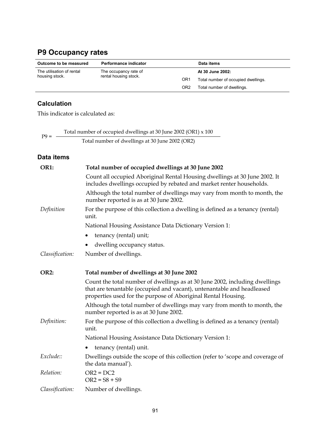## **P9 Occupancy rates**

| Outcome to be measured    | Performance indicator |                 | Data items                          |
|---------------------------|-----------------------|-----------------|-------------------------------------|
| The utilisation of rental | The occupancy rate of |                 | At 30 June 2002:                    |
| housing stock.            | rental housing stock. | OR <sub>1</sub> | Total number of occupied dwellings. |
|                           |                       | OR <sub>2</sub> | Total number of dwellings.          |

### **Calculation**

This indicator is calculated as:

P9 =  $\frac{\text{Total number of occupied dwellings at 30 June 2002 (OR1) x 100}}{P}$ Total number of dwellings at 30 June 2002 (OR2)

| OR1:            | Total number of occupied dwellings at 30 June 2002                                                                                                                                                                     |
|-----------------|------------------------------------------------------------------------------------------------------------------------------------------------------------------------------------------------------------------------|
|                 | Count all occupied Aboriginal Rental Housing dwellings at 30 June 2002. It<br>includes dwellings occupied by rebated and market renter households.                                                                     |
|                 | Although the total number of dwellings may vary from month to month, the<br>number reported is as at 30 June 2002.                                                                                                     |
| Definition      | For the purpose of this collection a dwelling is defined as a tenancy (rental)<br>unit.                                                                                                                                |
|                 | National Housing Assistance Data Dictionary Version 1:                                                                                                                                                                 |
|                 | tenancy (rental) unit;<br>٠                                                                                                                                                                                            |
|                 | dwelling occupancy status.                                                                                                                                                                                             |
| Classification: | Number of dwellings.                                                                                                                                                                                                   |
| OR2:            | Total number of dwellings at 30 June 2002                                                                                                                                                                              |
|                 | Count the total number of dwellings as at 30 June 2002, including dwellings<br>that are tenantable (occupied and vacant), untenantable and headleased<br>properties used for the purpose of Aboriginal Rental Housing. |
|                 | Although the total number of dwellings may vary from month to month, the<br>number reported is as at 30 June 2002.                                                                                                     |
| Definition:     | For the purpose of this collection a dwelling is defined as a tenancy (rental)<br>unit.                                                                                                                                |
|                 | National Housing Assistance Data Dictionary Version 1:                                                                                                                                                                 |
|                 | tenancy (rental) unit.<br>٠                                                                                                                                                                                            |
| Exclude::       | Dwellings outside the scope of this collection (refer to 'scope and coverage of<br>the data manual').                                                                                                                  |
| Relation:       | $OR2 = DC2$<br>$OR2 = S8 + S9$                                                                                                                                                                                         |
| Classification: | Number of dwellings.                                                                                                                                                                                                   |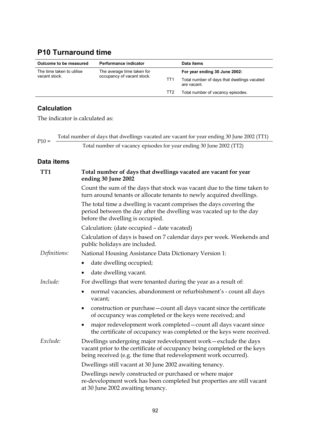## **P10 Turnaround time**

| Outcome to be measured    | Performance indicator      |                 | Data items                                                 |  |
|---------------------------|----------------------------|-----------------|------------------------------------------------------------|--|
| The time taken to utilise | The average time taken for |                 | For year ending 30 June 2002:                              |  |
| vacant stock.             | occupancy of vacant stock. | TT1             | Total number of days that dwellings vacated<br>are vacant. |  |
|                           |                            | TT <sub>2</sub> | Total number of vacancy episodes.                          |  |

### **Calculation**

The indicator is calculated as:

Total number of days that dwellings vacated are vacant for year ending 30 June 2002 (TT1) P10 = Total number of vacancy episodes for year ending 30 June 2002 (TT2)

| TT1          | Total number of days that dwellings vacated are vacant for year<br>ending 30 June 2002                                                                                                                         |  |  |  |  |  |  |
|--------------|----------------------------------------------------------------------------------------------------------------------------------------------------------------------------------------------------------------|--|--|--|--|--|--|
|              | Count the sum of the days that stock was vacant due to the time taken to<br>turn around tenants or allocate tenants to newly acquired dwellings.                                                               |  |  |  |  |  |  |
|              | The total time a dwelling is vacant comprises the days covering the<br>period between the day after the dwelling was vacated up to the day<br>before the dwelling is occupied.                                 |  |  |  |  |  |  |
|              | Calculation: (date occupied - date vacated)                                                                                                                                                                    |  |  |  |  |  |  |
|              | Calculation of days is based on 7 calendar days per week. Weekends and<br>public holidays are included.                                                                                                        |  |  |  |  |  |  |
| Definitions: | National Housing Assistance Data Dictionary Version 1:                                                                                                                                                         |  |  |  |  |  |  |
|              | date dwelling occupied;                                                                                                                                                                                        |  |  |  |  |  |  |
|              | date dwelling vacant.                                                                                                                                                                                          |  |  |  |  |  |  |
| Include:     | For dwellings that were tenanted during the year as a result of:                                                                                                                                               |  |  |  |  |  |  |
|              | normal vacancies, abandonment or refurbishment's - count all days<br>vacant;                                                                                                                                   |  |  |  |  |  |  |
|              | construction or purchase – count all days vacant since the certificate<br>٠<br>of occupancy was completed or the keys were received; and                                                                       |  |  |  |  |  |  |
|              | major redevelopment work completed - count all days vacant since<br>٠<br>the certificate of occupancy was completed or the keys were received.                                                                 |  |  |  |  |  |  |
| Exclude:     | Dwellings undergoing major redevelopment work-exclude the days<br>vacant prior to the certificate of occupancy being completed or the keys<br>being received (e.g. the time that redevelopment work occurred). |  |  |  |  |  |  |
|              | Dwellings still vacant at 30 June 2002 awaiting tenancy.                                                                                                                                                       |  |  |  |  |  |  |
|              | Dwellings newly constructed or purchased or where major<br>re-development work has been completed but properties are still vacant<br>at 30 June 2002 awaiting tenancy.                                         |  |  |  |  |  |  |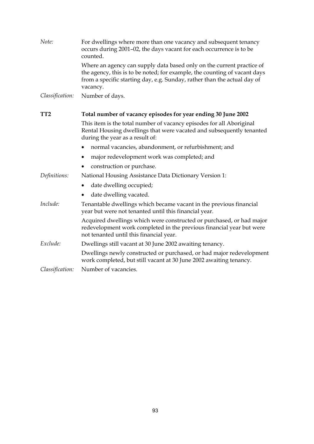| Note:           | For dwellings where more than one vacancy and subsequent tenancy<br>occurs during 2001-02, the days vacant for each occurrence is to be<br>counted.                                                                                        |  |  |  |  |  |
|-----------------|--------------------------------------------------------------------------------------------------------------------------------------------------------------------------------------------------------------------------------------------|--|--|--|--|--|
|                 | Where an agency can supply data based only on the current practice of<br>the agency, this is to be noted; for example, the counting of vacant days<br>from a specific starting day, e.g. Sunday, rather than the actual day of<br>vacancy. |  |  |  |  |  |
| Classification: | Number of days.                                                                                                                                                                                                                            |  |  |  |  |  |
| TT <sub>2</sub> | Total number of vacancy episodes for year ending 30 June 2002                                                                                                                                                                              |  |  |  |  |  |
|                 | This item is the total number of vacancy episodes for all Aboriginal<br>Rental Housing dwellings that were vacated and subsequently tenanted<br>during the year as a result of:                                                            |  |  |  |  |  |
|                 | normal vacancies, abandonment, or refurbishment; and                                                                                                                                                                                       |  |  |  |  |  |
|                 | major redevelopment work was completed; and<br>٠                                                                                                                                                                                           |  |  |  |  |  |
|                 | construction or purchase.                                                                                                                                                                                                                  |  |  |  |  |  |
| Definitions:    | National Housing Assistance Data Dictionary Version 1:                                                                                                                                                                                     |  |  |  |  |  |
|                 | date dwelling occupied;<br>٠                                                                                                                                                                                                               |  |  |  |  |  |
|                 | date dwelling vacated.                                                                                                                                                                                                                     |  |  |  |  |  |
| Include:        | Tenantable dwellings which became vacant in the previous financial<br>year but were not tenanted until this financial year.                                                                                                                |  |  |  |  |  |
|                 | Acquired dwellings which were constructed or purchased, or had major<br>redevelopment work completed in the previous financial year but were<br>not tenanted until this financial year.                                                    |  |  |  |  |  |
| Exclude:        | Dwellings still vacant at 30 June 2002 awaiting tenancy.                                                                                                                                                                                   |  |  |  |  |  |
|                 | Dwellings newly constructed or purchased, or had major redevelopment<br>work completed, but still vacant at 30 June 2002 awaiting tenancy.                                                                                                 |  |  |  |  |  |
| Classification: | Number of vacancies.                                                                                                                                                                                                                       |  |  |  |  |  |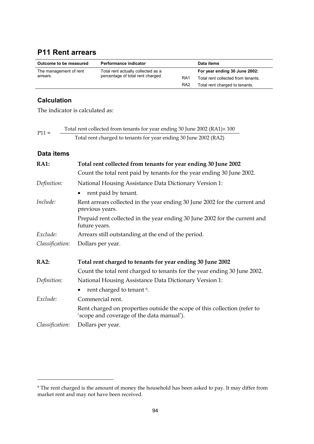### **P11 Rent arrears**

| Outcome to be measured<br>Performance indicator |                                    | Data items      |                                    |
|-------------------------------------------------|------------------------------------|-----------------|------------------------------------|
| The management of rent                          | Total rent actually collected as a |                 | For year ending 30 June 2002:      |
| arrears.                                        | percentage of total rent charged.  | RA <sub>1</sub> | Total rent collected from tenants. |
|                                                 |                                    | RA <sub>2</sub> | Total rent charged to tenants.     |

#### **Calculation**

The indicator is calculated as:

| $P11 =$ | Total rent collected from tenants for year ending 30 June 2002 (RA1)×100 |
|---------|--------------------------------------------------------------------------|
|         | Total rent charged to tenants for year ending 30 June 2002 (RA2)         |

#### **Data items**

 $\overline{a}$ 

| <b>RA1:</b>     | Total rent collected from tenants for year ending 30 June 2002                                                         |  |  |  |  |  |  |
|-----------------|------------------------------------------------------------------------------------------------------------------------|--|--|--|--|--|--|
|                 | Count the total rent paid by tenants for the year ending 30 June 2002.                                                 |  |  |  |  |  |  |
| Definition:     | National Housing Assistance Data Dictionary Version 1:                                                                 |  |  |  |  |  |  |
|                 | rent paid by tenant.<br>$\bullet$                                                                                      |  |  |  |  |  |  |
| Include:        | Rent arrears collected in the year ending 30 June 2002 for the current and<br>previous years.                          |  |  |  |  |  |  |
|                 | Prepaid rent collected in the year ending 30 June 2002 for the current and<br>future years.                            |  |  |  |  |  |  |
| Exclude:        | Arrears still outstanding at the end of the period.                                                                    |  |  |  |  |  |  |
| Classification: | Dollars per year.                                                                                                      |  |  |  |  |  |  |
| <b>RA2:</b>     | Total rent charged to tenants for year ending 30 June 2002                                                             |  |  |  |  |  |  |
|                 | Count the total rent charged to tenants for the year ending 30 June 2002.                                              |  |  |  |  |  |  |
| Definition:     | National Housing Assistance Data Dictionary Version 1:                                                                 |  |  |  |  |  |  |
|                 | rent charged to tenant 9.<br>٠                                                                                         |  |  |  |  |  |  |
| Exclude:        | Commercial rent.                                                                                                       |  |  |  |  |  |  |
|                 | Rent charged on properties outside the scope of this collection (refer to<br>'scope and coverage of the data manual'). |  |  |  |  |  |  |
| Classification: | Dollars per year.                                                                                                      |  |  |  |  |  |  |

<sup>9</sup> The rent charged is the amount of money the household has been asked to pay. It may differ from market rent and may not have been received.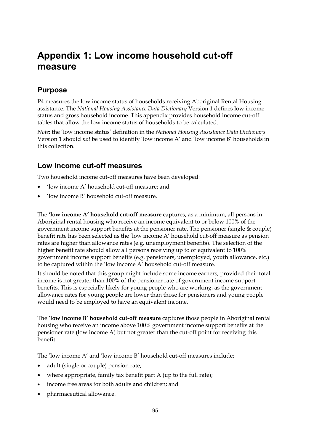# **Appendix 1: Low income household cut-off measure**

### **Purpose**

P4 measures the low income status of households receiving Aboriginal Rental Housing assistance. The *National Housing Assistance Data Dictionary* Version 1 defines low income status and gross household income. This appendix provides household income cut-off tables that allow the low income status of households to be calculated.

*Note*: the 'low income status' definition in the *National Housing Assistance Data Dictionary* Version 1 should *not* be used to identify 'low income A' and 'low income B' households in this collection.

### **Low income cut-off measures**

Two household income cut-off measures have been developed:

- 'low income A' household cut-off measure; and
- 'low income B' household cut-off measure.

The **'low income A' household cut-off measure** captures, as a minimum, all persons in Aboriginal rental housing who receive an income equivalent to or below 100% of the government income support benefits at the pensioner rate. The pensioner (single & couple) benefit rate has been selected as the 'low income A' household cut-off measure as pension rates are higher than allowance rates (e.g. unemployment benefits). The selection of the higher benefit rate should allow all persons receiving up to or equivalent to 100% government income support benefits (e.g. pensioners, unemployed, youth allowance, etc.) to be captured within the 'low income A' household cut-off measure.

It should be noted that this group might include some income earners, provided their total income is not greater than 100% of the pensioner rate of government income support benefits. This is especially likely for young people who are working, as the government allowance rates for young people are lower than those for pensioners and young people would need to be employed to have an equivalent income.

The **'low income B' household cut-off measure** captures those people in Aboriginal rental housing who receive an income above 100% government income support benefits at the pensioner rate (low income A) but not greater than the cut-off point for receiving this benefit.

The 'low income A' and 'low income B' household cut-off measures include:

- adult (single or couple) pension rate;
- where appropriate, family tax benefit part A (up to the full rate);
- income free areas for both adults and children; and
- pharmaceutical allowance.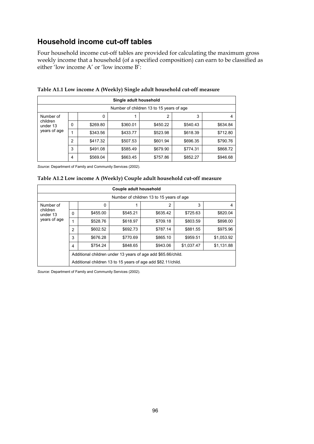### **Household income cut-off tables**

Four household income cut-off tables are provided for calculating the maximum gross weekly income that a household (of a specified composition) can earn to be classified as either 'low income A' or 'low income B':

|                      |   |          | Single adult household |                                          |          |          |
|----------------------|---|----------|------------------------|------------------------------------------|----------|----------|
|                      |   |          |                        | Number of children 13 to 15 years of age |          |          |
| Number of            |   | 0        |                        | $\overline{2}$                           | 3        |          |
| children<br>under 13 | 0 | \$269.80 | \$360.01               | \$450.22                                 | \$540.43 | \$634.84 |
| years of age         |   | \$343.56 | \$433.77               | \$523.98                                 | \$618.39 | \$712.80 |
|                      | 2 | \$417.32 | \$507.53               | \$601.94                                 | \$696.35 | \$790.76 |
|                      | 3 | \$491.08 | \$585.49               | \$679.90                                 | \$774.31 | \$868.72 |
|                      | 4 | \$569.04 | \$663.45               | \$757.86                                 | \$852.27 | \$946.68 |

**Table A1.1 Low income A (Weekly) Single adult household cut-off measure**

*Source*: Department of Family and Community Services (2002).

| Table A1.2 Low income A (Weekly) Couple adult household cut-off measure |  |  |
|-------------------------------------------------------------------------|--|--|
|                                                                         |  |  |

| Couple adult household               |   |                                                              |          |                                          |            |            |  |  |
|--------------------------------------|---|--------------------------------------------------------------|----------|------------------------------------------|------------|------------|--|--|
|                                      |   |                                                              |          | Number of children 13 to 15 years of age |            |            |  |  |
| Number of                            |   | $\Omega$                                                     |          | 2                                        | 3          | 4          |  |  |
| children<br>under 13<br>years of age | 0 | \$455.00                                                     | \$545.21 | \$635.42                                 | \$725.63   | \$820.04   |  |  |
|                                      |   | \$528.76                                                     | \$618.97 | \$709.18                                 | \$803.59   | \$898.00   |  |  |
|                                      | 2 | \$602.52                                                     | \$692.73 | \$787.14                                 | \$881.55   | \$975.96   |  |  |
|                                      | 3 | \$676.28                                                     | \$770.69 | \$865.10                                 | \$959.51   | \$1,053.92 |  |  |
|                                      | 4 | \$754.24                                                     | \$848.65 | \$943.06                                 | \$1.037.47 | \$1,131.88 |  |  |
|                                      |   | Additional children under 13 years of age add \$65.66/child. |          |                                          |            |            |  |  |
|                                      |   | Additional children 13 to 15 years of age add \$82.11/child. |          |                                          |            |            |  |  |

*Source*: Department of Family and Community Services (2002).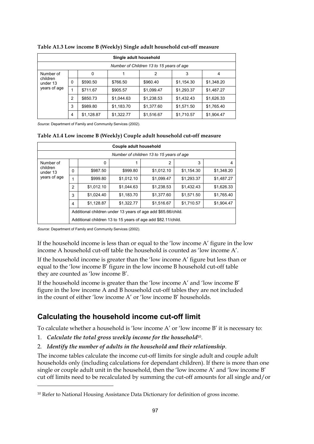| Single adult household                            |                |            |            |            |            |            |
|---------------------------------------------------|----------------|------------|------------|------------|------------|------------|
| Number of Children 13 to 15 years of age          |                |            |            |            |            |            |
| Number of<br>children<br>under 13<br>years of age |                | $\Omega$   |            | 2          | 3          | 4          |
|                                                   | 0              | \$590.50   | \$766.50   | \$960.40   | \$1,154.30 | \$1,348.20 |
|                                                   |                | \$711.67   | \$905.57   | \$1,099.47 | \$1,293.37 | \$1,487.27 |
|                                                   | 2              | \$850.73   | \$1,044.63 | \$1,238.53 | \$1,432.43 | \$1,626.33 |
|                                                   | 3              | \$989.80   | \$1,183.70 | \$1,377.60 | \$1,571.50 | \$1,765.40 |
|                                                   | $\overline{4}$ | \$1,128.87 | \$1,322.77 | \$1,516.67 | \$1,710.57 | \$1,904.47 |

**Table A1.3 Low income B (Weekly) Single adult household cut-off measure**

*Source*: Department of Family and Community Services (2002).

#### **Table A1.4 Low income B (Weekly) Couple adult household cut-off measure**

| Couple adult household               |                |                                                              |            |                                                              |            |            |  |  |
|--------------------------------------|----------------|--------------------------------------------------------------|------------|--------------------------------------------------------------|------------|------------|--|--|
|                                      |                |                                                              |            | Number of children 13 to 15 years of age                     |            |            |  |  |
| Number of                            |                | 0                                                            | 1          | 2                                                            | 3          | 4          |  |  |
| children<br>under 13<br>years of age | $\Omega$       | \$987.50                                                     | \$999.80   | \$1,012.10                                                   | \$1,154.30 | \$1,348.20 |  |  |
|                                      | 1              | \$999.80                                                     | \$1,012.10 | \$1.099.47                                                   | \$1,293.37 | \$1,487.27 |  |  |
|                                      | $\overline{2}$ | \$1,012.10                                                   | \$1,044.63 | \$1,238.53                                                   | \$1,432.43 | \$1,626.33 |  |  |
|                                      | 3              | \$1,024.40                                                   | \$1,183.70 | \$1,377.60                                                   | \$1,571.50 | \$1,765.40 |  |  |
|                                      | 4              | \$1,128.87                                                   | \$1,322.77 | \$1,516.67                                                   | \$1,710.57 | \$1,904.47 |  |  |
|                                      |                | Additional children under 13 years of age add \$65.66/child. |            |                                                              |            |            |  |  |
|                                      |                |                                                              |            | Additional children 13 to 15 years of age add \$82.11/child. |            |            |  |  |

*Source*: Department of Family and Community Services (2002).

 $\ddot{\phantom{a}}$ 

If the household income is less than or equal to the 'low income A' figure in the low income A household cut-off table the household is counted as 'low income A'.

If the household income is greater than the 'low income A' figure but less than or equal to the 'low income B' figure in the low income B household cut-off table they are counted as 'low income B'.

If the household income is greater than the 'low income A' and 'low income B' figure in the low income A and B household cut-off tables they are not included in the count of either 'low income A' or 'low income B' households.

### **Calculating the household income cut-off limit**

To calculate whether a household is 'low income A' or 'low income B' it is necessary to:

- 1. *Calculate the total gross weekly income for the household*10.
- 2. *Identify the number of adults in the household and their relationship*.

The income tables calculate the income cut-off limits for single adult and couple adult households only (including calculations for dependant children). If there is more than one single or couple adult unit in the household, then the 'low income A' and 'low income B' cut off limits need to be recalculated by summing the cut-off amounts for all single and/or

<sup>&</sup>lt;sup>10</sup> Refer to National Housing Assistance Data Dictionary for definition of gross income.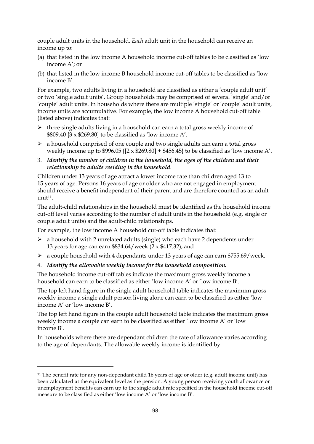couple adult units in the household. *Each* adult unit in the household can receive an income up to:

- (a) that listed in the low income A household income cut-off tables to be classified as 'low income A'; or
- (b) that listed in the low income B household income cut-off tables to be classified as 'low income B'.

For example, two adults living in a household are classified as either a 'couple adult unit' or two 'single adult units'. Group households may be comprised of several 'single' and/or 'couple' adult units. In households where there are multiple 'single' or 'couple' adult units, income units are accumulative. For example, the low income A household cut-off table (listed above) indicates that:

- > three single adults living in a household can earn a total gross weekly income of \$809.40 {3 x \$269.80} to be classified as 'low income A'.
- > a household comprised of one couple and two single adults can earn a total gross weekly income up to \$996.05  $\{[2 \times $269.80] + $456.45\}$  to be classified as 'low income A'.
- 3. *Identify the number of children in the household, the ages of the children and their relationship to adults residing in the household*.

Children under 13 years of age attract a lower income rate than children aged 13 to 15 years of age. Persons 16 years of age or older who are not engaged in employment should receive a benefit independent of their parent and are therefore counted as an adult unit<sup>11</sup>.

The adult-child relationships in the household must be identified as the household income cut-off level varies according to the number of adult units in the household (e.g. single or couple adult units) and the adult-child relationships.

For example, the low income A household cut-off table indicates that:

- > a household with 2 unrelated adults (single) who each have 2 dependents under 13 years for age can earn \$834.64/week (2 x \$417.32); and
- > a couple household with 4 dependants under 13 years of age can earn \$755.69/week.
- 4. *Identify the allowable weekly income for the household composition.*

 $\ddot{\phantom{a}}$ 

The household income cut-off tables indicate the maximum gross weekly income a household can earn to be classified as either 'low income A' or 'low income B'.

The top left hand figure in the single adult household table indicates the maximum gross weekly income a single adult person living alone can earn to be classified as either 'low income A' or 'low income B'.

The top left hand figure in the couple adult household table indicates the maximum gross weekly income a couple can earn to be classified as either 'low income A' or 'low income B'.

In households where there are dependant children the rate of allowance varies according to the age of dependants. The allowable weekly income is identified by:

<sup>&</sup>lt;sup>11</sup> The benefit rate for any non-dependant child 16 years of age or older (e.g. adult income unit) has been calculated at the equivalent level as the pension. A young person receiving youth allowance or unemployment benefits can earn up to the single adult rate specified in the household income cut-off measure to be classified as either 'low income A' or 'low income B'.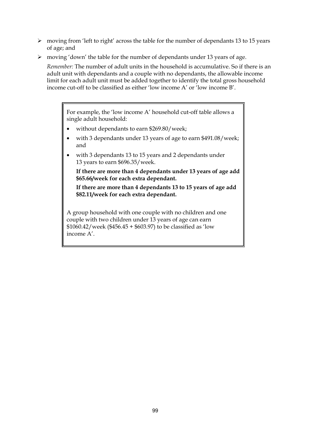- > moving from 'left to right' across the table for the number of dependants 13 to 15 years of age; and
- > moving 'down' the table for the number of dependants under 13 years of age.

*Remember:* The number of adult units in the household is accumulative. So if there is an adult unit with dependants and a couple with no dependants, the allowable income limit for each adult unit must be added together to identify the total gross household income cut-off to be classified as either 'low income A' or 'low income B'.

For example, the 'low income A' household cut-off table allows a single adult household:

- without dependants to earn \$269.80/week;
- with 3 dependants under 13 years of age to earn \$491.08/week; and
- with 3 dependants 13 to 15 years and 2 dependants under 13 years to earn \$696.35/week.

**If there are more than 4 dependants under 13 years of age add \$65.66/week for each extra dependant.**

**If there are more than 4 dependants 13 to 15 years of age add \$82.11/week for each extra dependant.**

A group household with one couple with no children and one couple with two children under 13 years of age can earn \$1060.42/week (\$456.45 + \$603.97) to be classified as 'low income A'.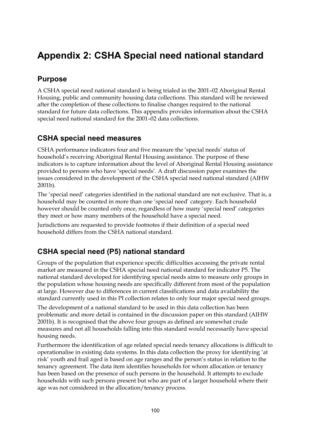# **Appendix 2: CSHA Special need national standard**

### **Purpose**

A CSHA special need national standard is being trialed in the 2001–02 Aboriginal Rental Housing, public and community housing data collections. This standard will be reviewed after the completion of these collections to finalise changes required to the national standard for future data collections. This appendix provides information about the CSHA special need national standard for the 2001–02 data collections.

### **CSHA special need measures**

CSHA performance indicators four and five measure the 'special needs' status of household's receiving Aboriginal Rental Housing assistance. The purpose of these indicators is to capture information about the level of Aboriginal Rental Housing assistance provided to persons who have 'special needs'. A draft discussion paper examines the issues considered in the development of the CSHA special need national standard (AIHW 2001b).

The 'special need' categories identified in the national standard are not exclusive. That is, a household may be counted in more than one 'special need' category. Each household however should be counted only once, regardless of how many 'special need' categories they meet or how many members of the household have a special need.

Jurisdictions are requested to provide footnotes if their definition of a special need household differs from the CSHA national standard.

### **CSHA special need (P5) national standard**

Groups of the population that experience specific difficulties accessing the private rental market are measured in the CSHA special need national standard for indicator P5. The national standard developed for identifying special needs aims to measure only groups in the population whose housing needs are specifically different from most of the population at large. However due to differences in current classifications and data availability the standard currently used in this PI collection relates to only four major special need groups.

The development of a national standard to be used in this data collection has been problematic and more detail is contained in the discussion paper on this standard (AIHW 2001b). It is recognised that the above four groups as defined are somewhat crude measures and not all households falling into this standard would necessarily have special housing needs.

Furthermore the identification of age related special needs tenancy allocations is difficult to operationalise in existing data systems. In this data collection the proxy for identifying 'at risk' youth and frail aged is based on age ranges and the person's status in relation to the tenancy agreement. The data item identifies households for whom allocation or tenancy has been based on the presence of such persons in the household. It attempts to exclude households with such persons present but who are part of a larger household where their age was not considered in the allocation/tenancy process.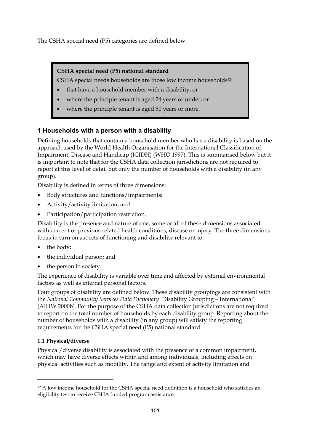The CSHA special need (P5) categories are defined below.

### **CSHA special need (P5) national standard**

CSHA special needs households are those low income households12:

- that have a household member with a disability; or
- where the principle tenant is aged 24 years or under; or
- where the principle tenant is aged 50 years or more.

### **1 Households with a person with a disability**

Defining households that contain a household member who has a disability is based on the approach used by the World Health Organisation for the International Classification of Impairment, Disease and Handicap (ICIDH) (WHO 1997). This is summarised below but it is important to note that for the CSHA data collection jurisdictions are not required to report at this level of detail but only the number of households with a disability (in any group).

Disability is defined in terms of three dimensions:

- Body structures and functions/impairments;
- Activity/activity limitation; and
- Participation/participation restriction.

Disability is the presence and nature of one, some or all of these dimensions associated with current or previous related health conditions, disease or injury. The three dimensions focus in turn on aspects of functioning and disability relevant to:

- the body:
- the individual person; and
- the person in society.

The experience of disability is variable over time and affected by external environmental factors as well as internal personal factors.

Four groups of disability are defined below. These disability groupings are consistent with the *National Community Services Data Dictionary* 'Disability Grouping – International' (AIHW 2000b). For the purpose of the CSHA data collection jurisdictions are not required to report on the total number of households by each disability group. Reporting about the number of households with a disability (in any group) will satisfy the reporting requirements for the CSHA special need (P5) national standard.

### **1.1 Physical/diverse**

 $\overline{a}$ 

Physical/diverse disability is associated with the presence of a common impairment, which may have diverse effects within and among individuals, including effects on physical activities such as mobility. The range and extent of activity limitation and

<sup>&</sup>lt;sup>12</sup> A low income household for the CSHA special need definition is a household who satisfies an eligibility test to receive CSHA funded program assistance.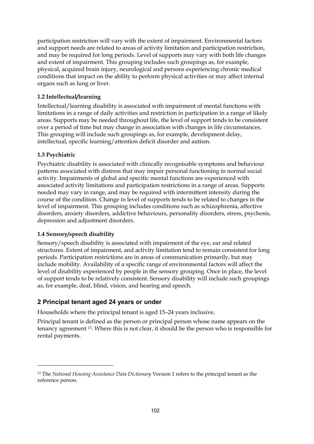participation restriction will vary with the extent of impairment. Environmental factors and support needs are related to areas of activity limitation and participation restriction, and may be required for long periods. Level of supports may vary with both life changes and extent of impairment. This grouping includes such groupings as, for example, physical, acquired brain injury, neurological and persons experiencing chronic medical conditions that impact on the ability to perform physical activities or may affect internal organs such as lung or liver.

#### **1.2 Intellectual/learning**

Intellectual/learning disability is associated with impairment of mental functions with limitations in a range of daily activities and restriction in participation in a range of likely areas. Supports may be needed throughout life, the level of support tends to be consistent over a period of time but may change in association with changes in life circumstances. This grouping will include such groupings as, for example, development delay, intellectual, specific learning/attention deficit disorder and autism.

#### **1.3 Psychiatric**

 $\overline{a}$ 

Psychiatric disability is associated with clinically recognisable symptoms and behaviour patterns associated with distress that may impair personal functioning in normal social activity. Impairments of global and specific mental functions are experienced with associated activity limitations and participation restrictions in a range of areas. Supports needed may vary in range, and may be required with intermittent intensity during the course of the condition. Change in level of supports tends to be related to changes in the level of impairment. This grouping includes conditions such as schizophrenia, affective disorders, anxiety disorders, addictive behaviours, personality disorders, stress, psychosis, depression and adjustment disorders.

#### **1.4 Sensory/speech disability**

Sensory/speech disability is associated with impairment of the eye, ear and related structures. Extent of impairment, and activity limitation tend to remain consistent for long periods. Participation restrictions are in areas of communication primarily, but may include mobility. Availability of a specific range of environmental factors will affect the level of disability experienced by people in the sensory grouping. Once in place, the level of support tends to be relatively consistent. Sensory disability will include such groupings as, for example, deaf, blind, vision, and hearing and speech.

#### **2 Principal tenant aged 24 years or under**

Households where the principal tenant is aged 15–24 years inclusive.

Principal tenant is defined as the person or principal person whose name appears on the tenancy agreement 13. Where this is not clear, it should be the person who is responsible for rental payments.

<sup>13</sup> The *National Housing Assistance Data Dictionary* Version 1 refers to the principal tenant as the reference person.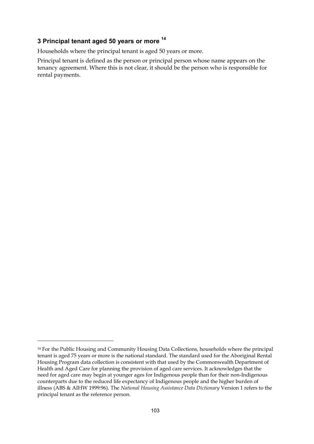### **3 Principal tenant aged 50 years or more 14**

Households where the principal tenant is aged 50 years or more.

Principal tenant is defined as the person or principal person whose name appears on the tenancy agreement. Where this is not clear, it should be the person who is responsible for rental payments.

 $\overline{a}$ 

<sup>14</sup> For the Public Housing and Community Housing Data Collections, households where the principal tenant is aged 75 years or more is the national standard. The standard used for the Aboriginal Rental Housing Program data collection is consistent with that used by the Commonwealth Department of Health and Aged Care for planning the provision of aged care services. It acknowledges that the need for aged care may begin at younger ages for Indigenous people than for their non-Indigenous counterparts due to the reduced life expectancy of Indigenous people and the higher burden of illness (ABS & AIHW 1999:96). The *National Housing Assistance Data Dictionary* Version 1 refers to the principal tenant as the reference person.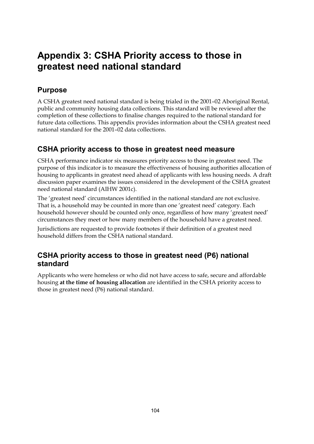# **Appendix 3: CSHA Priority access to those in greatest need national standard**

### **Purpose**

A CSHA greatest need national standard is being trialed in the 2001–02 Aboriginal Rental, public and community housing data collections. This standard will be reviewed after the completion of these collections to finalise changes required to the national standard for future data collections. This appendix provides information about the CSHA greatest need national standard for the 2001–02 data collections.

### **CSHA priority access to those in greatest need measure**

CSHA performance indicator six measures priority access to those in greatest need. The purpose of this indicator is to measure the effectiveness of housing authorities allocation of housing to applicants in greatest need ahead of applicants with less housing needs. A draft discussion paper examines the issues considered in the development of the CSHA greatest need national standard (AIHW 2001c).

The 'greatest need' circumstances identified in the national standard are not exclusive. That is, a household may be counted in more than one 'greatest need' category. Each household however should be counted only once, regardless of how many 'greatest need' circumstances they meet or how many members of the household have a greatest need.

Jurisdictions are requested to provide footnotes if their definition of a greatest need household differs from the CSHA national standard.

### **CSHA priority access to those in greatest need (P6) national standard**

Applicants who were homeless or who did not have access to safe, secure and affordable housing **at the time of housing allocation** are identified in the CSHA priority access to those in greatest need (P6) national standard.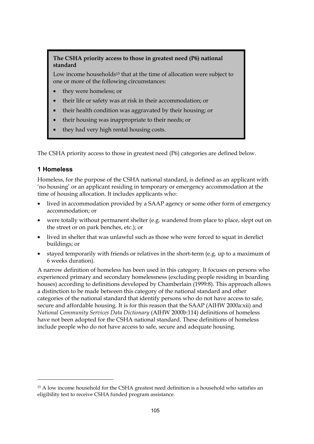#### **The CSHA priority access to those in greatest need (P6) national standard**

Low income households<sup>15</sup> that at the time of allocation were subject to one or more of the following circumstances:

- they were homeless; or
- their life or safety was at risk in their accommodation; or
- their health condition was aggravated by their housing; or
- their housing was inappropriate to their needs; or
- they had very high rental housing costs.

The CSHA priority access to those in greatest need (P6) categories are defined below.

#### **1 Homeless**

 $\overline{a}$ 

Homeless, for the purpose of the CSHA national standard, is defined as an applicant with 'no housing' or an applicant residing in temporary or emergency accommodation at the time of housing allocation. It includes applicants who:

- lived in accommodation provided by a SAAP agency or some other form of emergency accommodation; or
- were totally without permanent shelter (e.g. wandered from place to place, slept out on the street or on park benches, etc.); or
- lived in shelter that was unlawful such as those who were forced to squat in derelict buildings; or
- stayed temporarily with friends or relatives in the short-term (e.g. up to a maximum of 6 weeks duration).

A narrow definition of homeless has been used in this category. It focuses on persons who experienced primary and secondary homelessness (excluding people residing in boarding houses) according to definitions developed by Chamberlain (1999:8). This approach allows a distinction to be made between this category of the national standard and other categories of the national standard that identify persons who do not have access to safe, secure and affordable housing. It is for this reason that the SAAP (AIHW 2000a:xii) and *National Community Services Data Dictionary* (AIHW 2000b:114) definitions of homeless have not been adopted for the CSHA national standard. These definitions of homeless include people who do not have access to safe, secure and adequate housing.

<sup>&</sup>lt;sup>15</sup> A low income household for the CSHA greatest need definition is a household who satisfies an eligibility test to receive CSHA funded program assistance.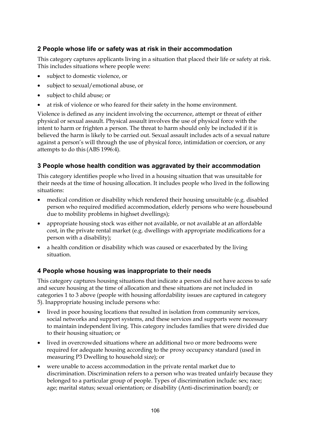### **2 People whose life or safety was at risk in their accommodation**

This category captures applicants living in a situation that placed their life or safety at risk. This includes situations where people were:

- subject to domestic violence, or
- subject to sexual/emotional abuse, or
- subject to child abuse; or
- at risk of violence or who feared for their safety in the home environment.

Violence is defined as any incident involving the occurrence, attempt or threat of either physical or sexual assault. Physical assault involves the use of physical force with the intent to harm or frighten a person. The threat to harm should only be included if it is believed the harm is likely to be carried out. Sexual assault includes acts of a sexual nature against a person's will through the use of physical force, intimidation or coercion, or any attempts to do this (ABS 1996:4).

#### **3 People whose health condition was aggravated by their accommodation**

This category identifies people who lived in a housing situation that was unsuitable for their needs at the time of housing allocation. It includes people who lived in the following situations:

- medical condition or disability which rendered their housing unsuitable (e.g. disabled person who required modified accommodation, elderly persons who were housebound due to mobility problems in highset dwellings);
- appropriate housing stock was either not available, or not available at an affordable cost, in the private rental market (e.g. dwellings with appropriate modifications for a person with a disability);
- a health condition or disability which was caused or exacerbated by the living situation.

### **4 People whose housing was inappropriate to their needs**

This category captures housing situations that indicate a person did not have access to safe and secure housing at the time of allocation and these situations are not included in categories 1 to 3 above (people with housing affordability issues are captured in category 5). Inappropriate housing include persons who:

- lived in poor housing locations that resulted in isolation from community services, social networks and support systems, and these services and supports were necessary to maintain independent living. This category includes families that were divided due to their housing situation; or
- lived in overcrowded situations where an additional two or more bedrooms were required for adequate housing according to the proxy occupancy standard (used in measuring P3 Dwelling to household size); or
- were unable to access accommodation in the private rental market due to discrimination. Discrimination refers to a person who was treated unfairly because they belonged to a particular group of people. Types of discrimination include: sex; race; age; marital status; sexual orientation; or disability (Anti-discrimination board); or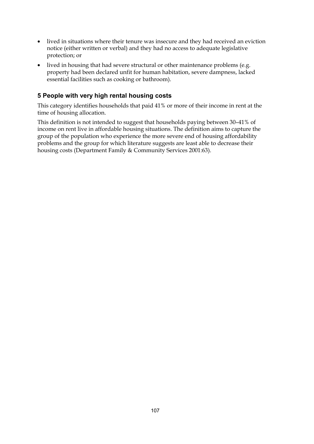- lived in situations where their tenure was insecure and they had received an eviction notice (either written or verbal) and they had no access to adequate legislative protection; or
- lived in housing that had severe structural or other maintenance problems (e.g. property had been declared unfit for human habitation, severe dampness, lacked essential facilities such as cooking or bathroom).

### **5 People with very high rental housing costs**

This category identifies households that paid 41% or more of their income in rent at the time of housing allocation.

This definition is not intended to suggest that households paying between 30–41% of income on rent live in affordable housing situations. The definition aims to capture the group of the population who experience the more severe end of housing affordability problems and the group for which literature suggests are least able to decrease their housing costs (Department Family & Community Services 2001:63).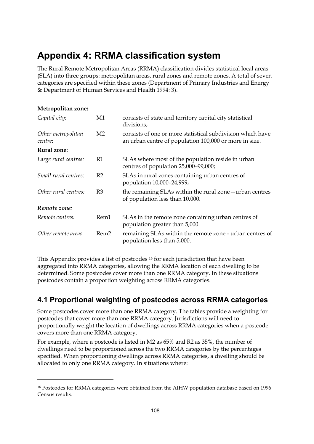# **Appendix 4: RRMA classification system**

The Rural Remote Metropolitan Areas (RRMA) classification divides statistical local areas (SLA) into three groups: metropolitan areas, rural zones and remote zones. A total of seven categories are specified within these zones (Department of Primary Industries and Energy & Department of Human Services and Health 1994: 3).

#### **Metropolitan zone:**

 $\overline{a}$ 

| Capital city:                 | M1               | consists of state and territory capital city statistical<br>divisions;                                               |
|-------------------------------|------------------|----------------------------------------------------------------------------------------------------------------------|
| Other metropolitan<br>centre: | M2               | consists of one or more statistical subdivision which have<br>an urban centre of population 100,000 or more in size. |
| <b>Rural zone:</b>            |                  |                                                                                                                      |
| Large rural centres:          | R1               | SLAs where most of the population reside in urban<br>centres of population 25,000-99,000;                            |
| Small rural centres:          | R <sub>2</sub>   | SLAs in rural zones containing urban centres of<br>population 10,000-24,999;                                         |
| Other rural centres:          | R <sub>3</sub>   | the remaining SLAs within the rural zone - urban centres<br>of population less than 10,000.                          |
| Remote zone:                  |                  |                                                                                                                      |
| Remote centres:               | Rem1             | SLAs in the remote zone containing urban centres of<br>population greater than 5,000.                                |
| Other remote areas:           | Rem <sub>2</sub> | remaining SLAs within the remote zone - urban centres of<br>population less than 5,000.                              |

This Appendix provides a list of postcodes 16 for each jurisdiction that have been aggregated into RRMA categories, allowing the RRMA location of each dwelling to be determined. Some postcodes cover more than one RRMA category. In these situations postcodes contain a proportion weighting across RRMA categories.

### **4.1 Proportional weighting of postcodes across RRMA categories**

Some postcodes cover more than one RRMA category. The tables provide a weighting for postcodes that cover more than one RRMA category. Jurisdictions will need to proportionally weight the location of dwellings across RRMA categories when a postcode covers more than one RRMA category.

For example, where a postcode is listed in M2 as 65% and R2 as 35%, the number of dwellings need to be proportioned across the two RRMA categories by the percentages specified. When proportioning dwellings across RRMA categories, a dwelling should be allocated to only one RRMA category. In situations where:

<sup>&</sup>lt;sup>16</sup> Postcodes for RRMA categories were obtained from the AIHW population database based on 1996 Census results.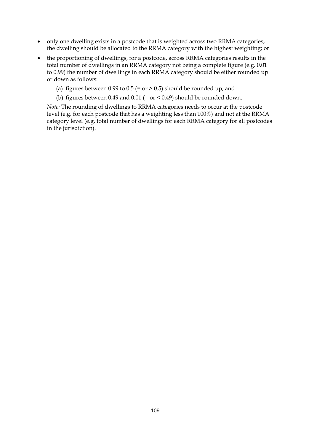- only one dwelling exists in a postcode that is weighted across two RRMA categories, the dwelling should be allocated to the RRMA category with the highest weighting; or
- the proportioning of dwellings, for a postcode, across RRMA categories results in the total number of dwellings in an RRMA category not being a complete figure (e.g. 0.01 to 0.99) the number of dwellings in each RRMA category should be either rounded up or down as follows:
	- (a) figures between 0.99 to 0.5 (= or  $>$  0.5) should be rounded up; and
	- (b) figures between 0.49 and 0.01 (= or < 0.49) should be rounded down.

*Note:* The rounding of dwellings to RRMA categories needs to occur at the postcode level (e.g. for each postcode that has a weighting less than 100%) and not at the RRMA category level (e.g. total number of dwellings for each RRMA category for all postcodes in the jurisdiction).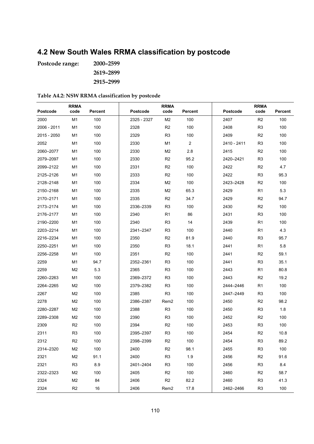# **4.2 New South Wales RRMA classification by postcode**

**Postcode range: 2000–2599 2619–2899 2915–2999**

| Table A4.2: NSW RRMA classification by postcode |  |  |
|-------------------------------------------------|--|--|
|-------------------------------------------------|--|--|

| <b>Postcode</b> | <b>RRMA</b><br>code | Percent | Postcode    | <b>RRMA</b><br>code | Percent        | Postcode    | <b>RRMA</b><br>code | Percent |
|-----------------|---------------------|---------|-------------|---------------------|----------------|-------------|---------------------|---------|
| 2000            | M <sub>1</sub>      | 100     | 2325 - 2327 | M <sub>2</sub>      | 100            | 2407        | R <sub>2</sub>      | 100     |
| 2006 - 2011     | M <sub>1</sub>      | 100     | 2328        | R <sub>2</sub>      | 100            | 2408        | R <sub>3</sub>      | 100     |
| 2015 - 2050     | M1                  | 100     | 2329        | R <sub>3</sub>      | 100            | 2409        | R <sub>2</sub>      | 100     |
| 2052            | M <sub>1</sub>      | 100     | 2330        | M <sub>1</sub>      | $\overline{2}$ | 2410 - 2411 | R3                  | 100     |
| 2060-2077       | M1                  | 100     | 2330        | M <sub>2</sub>      | 2.8            | 2415        | R <sub>2</sub>      | 100     |
| 2079-2097       | M1                  | 100     | 2330        | R <sub>2</sub>      | 95.2           | 2420-2421   | R3                  | 100     |
| 2099-2122       | M1                  | 100     | 2331        | R <sub>2</sub>      | 100            | 2422        | R <sub>2</sub>      | 4.7     |
| 2125-2126       | M1                  | 100     | 2333        | R <sub>2</sub>      | 100            | 2422        | R <sub>3</sub>      | 95.3    |
| 2128-2148       | M1                  | 100     | 2334        | M <sub>2</sub>      | 100            | 2423-2428   | R <sub>2</sub>      | 100     |
| 2150-2168       | M1                  | 100     | 2335        | M <sub>2</sub>      | 65.3           | 2429        | R <sub>1</sub>      | 5.3     |
| 2170-2171       | M1                  | 100     | 2335        | R <sub>2</sub>      | 34.7           | 2429        | R <sub>2</sub>      | 94.7    |
| 2173-2174       | M1                  | 100     | 2336-2339   | R <sub>3</sub>      | 100            | 2430        | R <sub>2</sub>      | 100     |
| 2176-2177       | M1                  | 100     | 2340        | R <sub>1</sub>      | 86             | 2431        | R <sub>3</sub>      | 100     |
| 2190-2200       | M1                  | 100     | 2340        | R <sub>3</sub>      | 14             | 2439        | R <sub>1</sub>      | 100     |
| 2203-2214       | M1                  | 100     | 2341-2347   | R <sub>3</sub>      | 100            | 2440        | R <sub>1</sub>      | 4.3     |
| 2216-2234       | M1                  | 100     | 2350        | R <sub>2</sub>      | 81.9           | 2440        | R <sub>3</sub>      | 95.7    |
| 2250-2251       | M1                  | 100     | 2350        | R <sub>3</sub>      | 18.1           | 2441        | R <sub>1</sub>      | 5.8     |
| 2256-2258       | M1                  | 100     | 2351        | R <sub>2</sub>      | 100            | 2441        | R <sub>2</sub>      | 59.1    |
| 2259            | M <sub>1</sub>      | 94.7    | 2352-2361   | R <sub>3</sub>      | 100            | 2441        | R <sub>3</sub>      | 35.1    |
| 2259            | M <sub>2</sub>      | 5.3     | 2365        | R <sub>3</sub>      | 100            | 2443        | R <sub>1</sub>      | 80.8    |
| 2260-2263       | M1                  | 100     | 2369-2372   | R <sub>3</sub>      | 100            | 2443        | R <sub>2</sub>      | 19.2    |
| 2264-2265       | M <sub>2</sub>      | 100     | 2379-2382   | R <sub>3</sub>      | 100            | 2444-2446   | R1                  | 100     |
| 2267            | M <sub>2</sub>      | 100     | 2385        | R <sub>3</sub>      | 100            | 2447-2449   | R <sub>3</sub>      | 100     |
| 2278            | M <sub>2</sub>      | 100     | 2386-2387   | Rem <sub>2</sub>    | 100            | 2450        | R <sub>2</sub>      | 98.2    |
| 2280-2287       | M2                  | 100     | 2388        | R <sub>3</sub>      | 100            | 2450        | R <sub>3</sub>      | 1.8     |
| 2289-2308       | M <sub>2</sub>      | 100     | 2390        | R <sub>3</sub>      | 100            | 2452        | R <sub>2</sub>      | 100     |
| 2309            | R <sub>2</sub>      | 100     | 2394        | R <sub>2</sub>      | 100            | 2453        | R <sub>3</sub>      | 100     |
| 2311            | R <sub>3</sub>      | 100     | 2395-2397   | R <sub>3</sub>      | 100            | 2454        | R <sub>2</sub>      | 10.8    |
| 2312            | R <sub>2</sub>      | 100     | 2398-2399   | R <sub>2</sub>      | 100            | 2454        | R <sub>3</sub>      | 89.2    |
| 2314-2320       | M2                  | 100     | 2400        | R <sub>2</sub>      | 98.1           | 2455        | R <sub>3</sub>      | 100     |
| 2321            | M2                  | 91.1    | 2400        | R <sub>3</sub>      | 1.9            | 2456        | R <sub>2</sub>      | 91.6    |
| 2321            | R <sub>3</sub>      | 8.9     | 2401-2404   | R <sub>3</sub>      | 100            | 2456        | R <sub>3</sub>      | 8.4     |
| 2322-2323       | M <sub>2</sub>      | 100     | 2405        | R <sub>2</sub>      | 100            | 2460        | R <sub>2</sub>      | 58.7    |
| 2324            | M <sub>2</sub>      | 84      | 2406        | R <sub>2</sub>      | 82.2           | 2460        | R <sub>3</sub>      | 41.3    |
| 2324            | R <sub>2</sub>      | 16      | 2406        | Rem <sub>2</sub>    | 17.8           | 2462-2466   | R <sub>3</sub>      | 100     |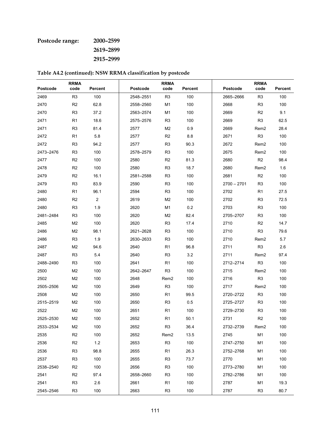# **Postcode range: 2000–2599**

**2619–2899**

**2915–2999**

|           | <b>RRMA</b>    |                |           | <b>RRMA</b>      |         |               | <b>RRMA</b>      |         |
|-----------|----------------|----------------|-----------|------------------|---------|---------------|------------------|---------|
| Postcode  | code           | <b>Percent</b> | Postcode  | code             | Percent | Postcode      | code             | Percent |
| 2469      | R <sub>3</sub> | 100            | 2548-2551 | R <sub>3</sub>   | 100     | 2665-2666     | R <sub>3</sub>   | 100     |
| 2470      | R <sub>2</sub> | 62.8           | 2558-2560 | M <sub>1</sub>   | 100     | 2668          | R <sub>3</sub>   | 100     |
| 2470      | R <sub>3</sub> | 37.2           | 2563-2574 | M1               | 100     | 2669          | R <sub>2</sub>   | 9.1     |
| 2471      | R <sub>1</sub> | 18.6           | 2575-2576 | R <sub>3</sub>   | 100     | 2669          | R <sub>3</sub>   | 62.5    |
| 2471      | R <sub>3</sub> | 81.4           | 2577      | M2               | 0.9     | 2669          | Rem <sub>2</sub> | 28.4    |
| 2472      | R <sub>1</sub> | 5.8            | 2577      | R2               | 8.8     | 2671          | R <sub>3</sub>   | 100     |
| 2472      | R <sub>3</sub> | 94.2           | 2577      | R <sub>3</sub>   | 90.3    | 2672          | Rem <sub>2</sub> | 100     |
| 2473-2476 | R <sub>3</sub> | 100            | 2578-2579 | R <sub>3</sub>   | 100     | 2675          | Rem2             | 100     |
| 2477      | R <sub>2</sub> | 100            | 2580      | R2               | 81.3    | 2680          | R <sub>2</sub>   | 98.4    |
| 2478      | R <sub>2</sub> | 100            | 2580      | R <sub>3</sub>   | 18.7    | 2680          | Rem2             | 1.6     |
| 2479      | R <sub>2</sub> | 16.1           | 2581-2588 | R <sub>3</sub>   | 100     | 2681          | R <sub>2</sub>   | 100     |
| 2479      | R <sub>3</sub> | 83.9           | 2590      | R <sub>3</sub>   | 100     | $2700 - 2701$ | R3               | 100     |
| 2480      | R <sub>1</sub> | 96.1           | 2594      | R <sub>3</sub>   | 100     | 2702          | R1               | 27.5    |
| 2480      | R <sub>2</sub> | $\overline{2}$ | 2619      | M <sub>2</sub>   | 100     | 2702          | R3               | 72.5    |
| 2480      | R <sub>3</sub> | 1.9            | 2620      | M1               | 0.2     | 2703          | R3               | 100     |
| 2481-2484 | R <sub>3</sub> | 100            | 2620      | M2               | 82.4    | 2705-2707     | R <sub>3</sub>   | 100     |
| 2485      | M <sub>2</sub> | 100            | 2620      | R <sub>3</sub>   | 17.4    | 2710          | R <sub>2</sub>   | 14.7    |
| 2486      | M <sub>2</sub> | 98.1           | 2621-2628 | R <sub>3</sub>   | 100     | 2710          | R <sub>3</sub>   | 79.6    |
| 2486      | R <sub>3</sub> | 1.9            | 2630-2633 | R <sub>3</sub>   | 100     | 2710          | Rem2             | 5.7     |
| 2487      | M2             | 94.6           | 2640      | R1               | 96.8    | 2711          | R <sub>3</sub>   | 2.6     |
| 2487      | R <sub>3</sub> | 5.4            | 2640      | R <sub>3</sub>   | 3.2     | 2711          | Rem <sub>2</sub> | 97.4    |
| 2488-2490 | R <sub>3</sub> | 100            | 2641      | R <sub>1</sub>   | 100     | 2712-2714     | R <sub>3</sub>   | 100     |
| 2500      | M <sub>2</sub> | 100            | 2642-2647 | R <sub>3</sub>   | 100     | 2715          | Rem <sub>2</sub> | 100     |
| 2502      | M2             | 100            | 2648      | Rem2             | 100     | 2716          | R <sub>3</sub>   | 100     |
| 2505-2506 | M <sub>2</sub> | 100            | 2649      | R <sub>3</sub>   | 100     | 2717          | Rem <sub>2</sub> | 100     |
| 2508      | M2             | 100            | 2650      | R <sub>1</sub>   | 99.5    | 2720-2722     | R <sub>3</sub>   | 100     |
| 2515-2519 | M <sub>2</sub> | 100            | 2650      | R <sub>3</sub>   | 0.5     | 2725-2727     | R <sub>3</sub>   | 100     |
| 2522      | M <sub>2</sub> | 100            | 2651      | R <sub>1</sub>   | 100     | 2729-2730     | R <sub>3</sub>   | 100     |
| 2525-2530 | M <sub>2</sub> | 100            | 2652      | R <sub>1</sub>   | 50.1    | 2731          | R <sub>2</sub>   | 100     |
| 2533-2534 | M <sub>2</sub> | 100            | 2652      | R <sub>3</sub>   | 36.4    | 2732-2739     | Rem <sub>2</sub> | 100     |
| 2535      | R <sub>2</sub> | 100            | 2652      | Rem <sub>2</sub> | 13.5    | 2745          | M1               | 100     |
| 2536      | R <sub>2</sub> | $1.2$          | 2653      | R <sub>3</sub>   | 100     | 2747-2750     | M1               | 100     |
| 2536      | R <sub>3</sub> | 98.8           | 2655      | R <sub>1</sub>   | 26.3    | 2752-2768     | M1               | 100     |
| 2537      | R <sub>3</sub> | 100            | 2655      | R <sub>3</sub>   | 73.7    | 2770          | M1               | 100     |
| 2538-2540 | R <sub>2</sub> | 100            | 2656      | R <sub>3</sub>   | 100     | 2773-2780     | M <sub>1</sub>   | 100     |
| 2541      | R <sub>2</sub> | 97.4           | 2658-2660 | R <sub>3</sub>   | 100     | 2782-2786     | M1               | 100     |
| 2541      | R <sub>3</sub> | 2.6            | 2661      | R <sub>1</sub>   | 100     | 2787          | M1               | 19.3    |
| 2545-2546 | R <sub>3</sub> | 100            | 2663      | R <sub>3</sub>   | 100     | 2787          | R <sub>3</sub>   | 80.7    |

**Table A4.2 (continued): NSW RRMA classification by postcode**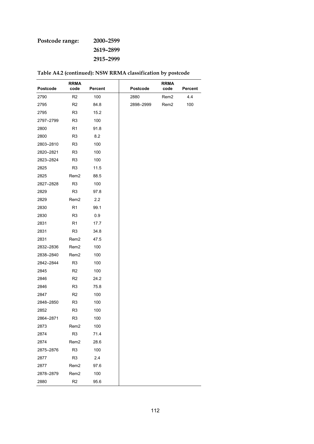### **Postcode range: 2000–2599 2619–2899**

**2915–2999**

| Postcode  | <b>RRMA</b><br>code | <b>Percent</b> | Postcode  | <b>RRMA</b><br>code | Percent |
|-----------|---------------------|----------------|-----------|---------------------|---------|
| 2790      | R <sub>2</sub>      | 100            | 2880      | Rem <sub>2</sub>    | 4.4     |
| 2795      | R <sub>2</sub>      | 84.8           | 2898-2999 | Rem <sub>2</sub>    | 100     |
| 2795      | R3                  | 15.2           |           |                     |         |
| 2797-2799 | R <sub>3</sub>      | 100            |           |                     |         |
| 2800      | R1                  | 91.8           |           |                     |         |
| 2800      | R <sub>3</sub>      | 8.2            |           |                     |         |
| 2803-2810 | R <sub>3</sub>      | 100            |           |                     |         |
| 2820-2821 | R <sub>3</sub>      | 100            |           |                     |         |
| 2823-2824 | R <sub>3</sub>      | 100            |           |                     |         |
| 2825      | R <sub>3</sub>      | 11.5           |           |                     |         |
| 2825      | Rem <sub>2</sub>    | 88.5           |           |                     |         |
| 2827-2828 | R3                  | 100            |           |                     |         |
| 2829      | R3                  | 97.8           |           |                     |         |
| 2829      | Rem <sub>2</sub>    | 2.2            |           |                     |         |
| 2830      | R <sub>1</sub>      | 99.1           |           |                     |         |
| 2830      | R3                  | 0.9            |           |                     |         |
| 2831      | R1                  | 17.7           |           |                     |         |
| 2831      | R <sub>3</sub>      | 34.8           |           |                     |         |
| 2831      | Rem <sub>2</sub>    | 47.5           |           |                     |         |
| 2832-2836 | Rem2                | 100            |           |                     |         |
| 2838-2840 | Rem <sub>2</sub>    | 100            |           |                     |         |
| 2842-2844 | R3                  | 100            |           |                     |         |
| 2845      | R <sub>2</sub>      | 100            |           |                     |         |
| 2846      | R <sub>2</sub>      | 24.2           |           |                     |         |
| 2846      | R3                  | 75.8           |           |                     |         |
| 2847      | R <sub>2</sub>      | 100            |           |                     |         |
| 2848-2850 | R3                  | 100            |           |                     |         |
| 2852      | R <sub>3</sub>      | 100            |           |                     |         |
| 2864-2871 | R <sub>3</sub>      | 100            |           |                     |         |
| 2873      | Rem <sub>2</sub>    | 100            |           |                     |         |
| 2874      | R <sub>3</sub>      | 71.4           |           |                     |         |
| 2874      | Rem <sub>2</sub>    | 28.6           |           |                     |         |
| 2875-2876 | R <sub>3</sub>      | 100            |           |                     |         |
| 2877      | R <sub>3</sub>      | 2.4            |           |                     |         |
| 2877      | Rem <sub>2</sub>    | 97.6           |           |                     |         |
| 2878-2879 | Rem <sub>2</sub>    | 100            |           |                     |         |
| 2880      | R <sub>2</sub>      | 95.6           |           |                     |         |

|  |  | Table A4.2 (continued): NSW RRMA classification by postcode |  |  |  |
|--|--|-------------------------------------------------------------|--|--|--|
|--|--|-------------------------------------------------------------|--|--|--|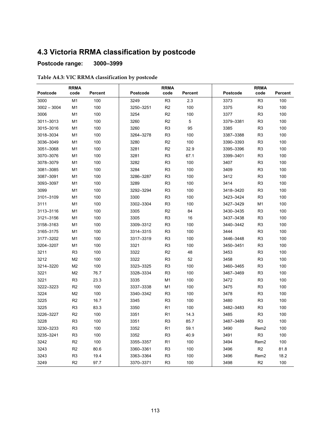# **4.3 Victoria RRMA classification by postcode**

### **Postcode range: 3000–3999**

#### **Table A4.3: VIC RRMA classification by postcode**

|               | <b>RRMA</b>    |         |           | <b>RRMA</b>    |         |                 |                  |         |
|---------------|----------------|---------|-----------|----------------|---------|-----------------|------------------|---------|
| Postcode      | code           | Percent | Postcode  | code           | Percent | <b>Postcode</b> | code             | Percent |
| 3000          | M1             | 100     | 3249      | R <sub>3</sub> | 2.3     | 3373            | R <sub>3</sub>   | 100     |
| $3002 - 3004$ | M1             | 100     | 3250-3251 | R <sub>2</sub> | 100     | 3375            | R <sub>3</sub>   | 100     |
| 3006          | M1             | 100     | 3254      | R <sub>2</sub> | 100     | 3377            | R <sub>3</sub>   | 100     |
| 3011-3013     | M1             | 100     | 3260      | R <sub>2</sub> | 5       | 3379-3381       | R <sub>3</sub>   | 100     |
| 3015-3016     | M1             | 100     | 3260      | R <sub>3</sub> | 95      | 3385            | R <sub>3</sub>   | 100     |
| 3018-3034     | M1             | 100     | 3264-3278 | R <sub>3</sub> | 100     | 3387-3388       | R <sub>3</sub>   | 100     |
| 3036-3049     | M1             | 100     | 3280      | R <sub>2</sub> | 100     | 3390-3393       | R <sub>3</sub>   | 100     |
| 3051-3068     | M1             | 100     | 3281      | R2             | 32.9    | 3395-3396       | R <sub>3</sub>   | 100     |
| 3070-3076     | M1             | 100     | 3281      | R <sub>3</sub> | 67.1    | 3399-3401       | R <sub>3</sub>   | 100     |
| 3078-3079     | M1             | 100     | 3282      | R <sub>3</sub> | 100     | 3407            | R <sub>3</sub>   | 100     |
| 3081-3085     | M1             | 100     | 3284      | R <sub>3</sub> | 100     | 3409            | R <sub>3</sub>   | 100     |
| 3087-3091     | M1             | 100     | 3286-3287 | R <sub>3</sub> | 100     | 3412            | R <sub>3</sub>   | 100     |
| 3093-3097     | M1             | 100     | 3289      | R <sub>3</sub> | 100     | 3414            | R <sub>3</sub>   | 100     |
| 3099          | M1             | 100     | 3292-3294 | R <sub>3</sub> | 100     | 3418-3420       | R <sub>3</sub>   | 100     |
| 3101-3109     | M1             | 100     | 3300      | R <sub>3</sub> | 100     | 3423-3424       | R <sub>3</sub>   | 100     |
| 3111          | M <sub>1</sub> | 100     | 3302-3304 | R <sub>3</sub> | 100     | 3427-3429       | M <sub>1</sub>   | 100     |
| 3113-3116     | M1             | 100     | 3305      | R <sub>2</sub> | 84      | 3430-3435       | R <sub>3</sub>   | 100     |
| 3121-3156     | M1             | 100     | 3305      | R <sub>3</sub> | 16      | 3437-3438       | R <sub>3</sub>   | 100     |
| 3158-3163     | M <sub>1</sub> | 100     | 3309-3312 | R <sub>3</sub> | 100     | 3440-3442       | R <sub>3</sub>   | 100     |
| 3165-3175     | M <sub>1</sub> | 100     | 3314-3315 | R <sub>3</sub> | 100     | 3444            | R <sub>3</sub>   | 100     |
| 3177-3202     | M1             | 100     | 3317-3319 | R <sub>3</sub> | 100     | 3446-3448       | R <sub>3</sub>   | 100     |
| 3204-3207     | M <sub>1</sub> | 100     | 3321      | R <sub>3</sub> | 100     | 3450-3451       | R <sub>3</sub>   | 100     |
| 3211          | R <sub>3</sub> | 100     | 3322      | R <sub>2</sub> | 48      | 3453            | R <sub>3</sub>   | 100     |
| 3212          | M <sub>2</sub> | 100     | 3322      | R <sub>3</sub> | 52      | 3458            | R <sub>3</sub>   | 100     |
| 3214-3220     | M <sub>2</sub> | 100     | 3323-3325 | R <sub>3</sub> | 100     | 3460-3465       | R <sub>3</sub>   | 100     |
| 3221          | M <sub>2</sub> | 76.7    | 3328-3334 | R <sub>3</sub> | 100     | 3467-3469       | R <sub>3</sub>   | 100     |
| 3221          | R <sub>3</sub> | 23.3    | 3335      | M <sub>1</sub> | 100     | 3472            | R <sub>3</sub>   | 100     |
| 3222-3223     | R <sub>2</sub> | 100     | 3337-3338 | M1             | 100     | 3475            | R <sub>3</sub>   | 100     |
| 3224          | M <sub>2</sub> | 100     | 3340-3342 | R <sub>3</sub> | 100     | 3478            | R <sub>3</sub>   | 100     |
| 3225          | R <sub>2</sub> | 16.7    | 3345      | R <sub>3</sub> | 100     | 3480            | R <sub>3</sub>   | 100     |
| 3225          | R <sub>3</sub> | 83.3    | 3350      | R <sub>1</sub> | 100     | 3482-3483       | R <sub>3</sub>   | 100     |
| 3226-3227     | R <sub>2</sub> | 100     | 3351      | R <sub>1</sub> | 14.3    | 3485            | R <sub>3</sub>   | 100     |
| 3228          | R3             | 100     | 3351      | R3             | 85.7    | 3487-3489       | R3               | 100     |
| 3230-3233     | R <sub>3</sub> | 100     | 3352      | R <sub>1</sub> | 59.1    | 3490            | Rem <sub>2</sub> | 100     |
| 3235-3241     | R <sub>3</sub> | 100     | 3352      | R <sub>3</sub> | 40.9    | 3491            | R <sub>3</sub>   | 100     |
| 3242          | R <sub>2</sub> | 100     | 3355-3357 | R <sub>1</sub> | 100     | 3494            | Rem <sub>2</sub> | 100     |
| 3243          | R <sub>2</sub> | 80.6    | 3360-3361 | R <sub>3</sub> | 100     | 3496            | R <sub>2</sub>   | 81.8    |
| 3243          | R <sub>3</sub> | 19.4    | 3363-3364 | R <sub>3</sub> | 100     | 3496            | Rem <sub>2</sub> | 18.2    |
| 3249          | R <sub>2</sub> | 97.7    | 3370-3371 | R <sub>3</sub> | 100     | 3498            | R2               | 100     |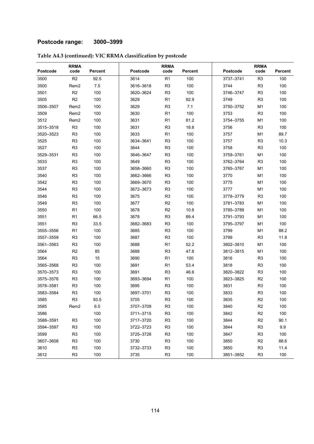### **Postcode range: 3000–3999**

|           | <b>RRMA</b>      |                | <b>RRMA</b>     |                |         | <b>RRMA</b> |                |                |
|-----------|------------------|----------------|-----------------|----------------|---------|-------------|----------------|----------------|
| Postcode  | code             | <b>Percent</b> | <b>Postcode</b> | code           | Percent | Postcode    | code           | <b>Percent</b> |
| 3500      | R2               | 92.5           | 3614            | R1             | 100     | 3737-3741   | R <sub>3</sub> | 100            |
| 3500      | Rem <sub>2</sub> | 7.5            | 3616-3618       | R <sub>3</sub> | 100     | 3744        | R <sub>3</sub> | 100            |
| 3501      | R <sub>2</sub>   | 100            | 3620-3624       | R <sub>3</sub> | 100     | 3746-3747   | R <sub>3</sub> | 100            |
| 3505      | R2               | 100            | 3629            | R <sub>1</sub> | 92.9    | 3749        | R <sub>3</sub> | 100            |
| 3506-3507 | Rem <sub>2</sub> | 100            | 3629            | R <sub>3</sub> | 7.1     | 3750-3752   | M1             | 100            |
| 3509      | Rem <sub>2</sub> | 100            | 3630            | R <sub>1</sub> | 100     | 3753        | R <sub>3</sub> | 100            |
| 3512      | Rem <sub>2</sub> | 100            | 3631            | R <sub>1</sub> | 81.2    | 3754-3755   | M <sub>1</sub> | 100            |
| 3515-3518 | R <sub>3</sub>   | 100            | 3631            | R <sub>3</sub> | 18.8    | 3756        | R3             | 100            |
| 3520-3523 | R <sub>3</sub>   | 100            | 3633            | R <sub>1</sub> | 100     | 3757        | M <sub>1</sub> | 89.7           |
| 3525      | R <sub>3</sub>   | 100            | 3634-3641       | R <sub>3</sub> | 100     | 3757        | R <sub>3</sub> | 10.3           |
| 3527      | R <sub>3</sub>   | 100            | 3644            | R <sub>3</sub> | 100     | 3758        | R <sub>3</sub> | 100            |
| 3529-3531 | R <sub>3</sub>   | 100            | 3646-3647       | R <sub>3</sub> | 100     | 3759-3761   | M1             | 100            |
| 3533      | R <sub>3</sub>   | 100            | 3649            | R <sub>3</sub> | 100     | 3762-3764   | R <sub>3</sub> | 100            |
| 3537      | R <sub>3</sub>   | 100            | 3658-3660       | R <sub>3</sub> | 100     | 3765-3767   | M1             | 100            |
| 3540      | R <sub>3</sub>   | 100            | 3662-3666       | R <sub>3</sub> | 100     | 3770        | M1             | 100            |
| 3542      | R <sub>3</sub>   | 100            | 3669-3670       | R <sub>3</sub> | 100     | 3775        | M1             | 100            |
| 3544      | R <sub>3</sub>   | 100            | 3672-3673       | R <sub>3</sub> | 100     | 3777        | M <sub>1</sub> | 100            |
| 3546      | R <sub>3</sub>   | 100            | 3675            | R <sub>3</sub> | 100     | 3778-3779   | R <sub>3</sub> | 100            |
| 3549      | R <sub>3</sub>   | 100            | 3677            | R <sub>2</sub> | 100     | 3781-3783   | M1             | 100            |
| 3550      | R <sub>1</sub>   | 100            | 3678            | R <sub>2</sub> | 10.6    | 3785-3789   | M <sub>1</sub> | 100            |
| 3551      | R <sub>1</sub>   | 66.5           | 3678            | R <sub>3</sub> | 89.4    | 3791-3793   | M1             | 100            |
| 3551      | R <sub>3</sub>   | 33.5           | 3682-3683       | R <sub>3</sub> | 100     | 3795-3797   | M1             | 100            |
| 3555-3556 | R <sub>1</sub>   | 100            | 3685            | R <sub>3</sub> | 100     | 3799        | M1             | 88.2           |
| 3557-3559 | R <sub>3</sub>   | 100            | 3687            | R <sub>3</sub> | 100     | 3799        | R <sub>3</sub> | 11.8           |
| 3561-3563 | R <sub>3</sub>   | 100            | 3688            | R <sub>1</sub> | 52.2    | 3802-3810   | M1             | 100            |
| 3564      | R <sub>2</sub>   | 85             | 3688            | R <sub>3</sub> | 47.8    | 3812-3815   | M1             | 100            |
| 3564      | R <sub>3</sub>   | 15             | 3690            | R <sub>1</sub> | 100     | 3816        | R <sub>3</sub> | 100            |
| 3565-3568 | R <sub>3</sub>   | 100            | 3691            | R <sub>1</sub> | 53.4    | 3818        | R <sub>3</sub> | 100            |
| 3570-3573 | R <sub>3</sub>   | 100            | 3691            | R <sub>3</sub> | 46.6    | 3820-3822   | R <sub>3</sub> | 100            |
| 3575-3576 | R <sub>3</sub>   | 100            | 3693-3694       | R <sub>1</sub> | 100     | 3823-3825   | R <sub>2</sub> | 100            |
| 3578-3581 | R <sub>3</sub>   | 100            | 3695            | R <sub>3</sub> | 100     | 3831        | R <sub>3</sub> | 100            |
| 3583-3584 | R <sub>3</sub>   | 100            | 3697-3701       | R <sub>3</sub> | 100     | 3833        | R <sub>3</sub> | 100            |
| 3585      | R <sub>3</sub>   | 93.5           | 3705            | R <sub>3</sub> | 100     | 3835        | R2             | 100            |
| 3585      | Rem2             | 6.5            | 3707-3709       | R <sub>3</sub> | 100     | 3840        | R <sub>2</sub> | 100            |
| 3586      |                  | 100            | 3711-3715       | R <sub>3</sub> | 100     | 3842        | R2             | 100            |
| 3588-3591 | R <sub>3</sub>   | 100            | 3717-3720       | R <sub>3</sub> | 100     | 3844        | R <sub>2</sub> | 90.1           |
| 3594-3597 | R <sub>3</sub>   | 100            | 3722-3723       | R <sub>3</sub> | 100     | 3844        | R <sub>3</sub> | 9.9            |
| 3599      | R <sub>3</sub>   | 100            | 3725-3728       | R <sub>3</sub> | 100     | 3847        | R <sub>3</sub> | 100            |
| 3607-3608 | R <sub>3</sub>   | 100            | 3730            | R <sub>3</sub> | 100     | 3850        | R <sub>2</sub> | 88.6           |
| 3610      | R <sub>3</sub>   | 100            | 3732-3733       | R <sub>3</sub> | 100     | 3850        | R <sub>3</sub> | 11.4           |
| 3612      | R <sub>3</sub>   | 100            | 3735            | R <sub>3</sub> | 100     | 3851-3852   | R <sub>3</sub> | 100            |

### **Table A4.3 (continued): VIC RRMA classification by postcode**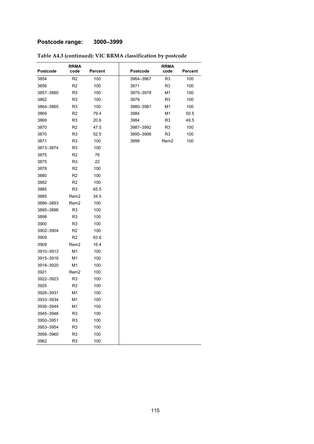### **Postcode range: 3000–3999**

|           | <b>RRMA</b>      |                | <b>RRMA</b> |                |                |
|-----------|------------------|----------------|-------------|----------------|----------------|
| Postcode  | code             | <b>Percent</b> | Postcode    | code           | <b>Percent</b> |
| 3854      | R <sub>2</sub>   | 100            | 3964-3967   | R3             | 100            |
| 3856      | R <sub>2</sub>   | 100            | 3971        | R3             | 100            |
| 3857-3860 | R <sub>3</sub>   | 100            | 3975-3978   | M1             | 100            |
| 3862      | R <sub>3</sub>   | 100            | 3979        | R3             | 100            |
| 3864-3865 | R <sub>3</sub>   | 100            | 3980-3981   | M1             | 100            |
| 3869      | R <sub>2</sub>   | 79.4           | 3984        | M1             | 50.5           |
| 3869      | R <sub>3</sub>   | 20.6           | 3984        | R3             | 49.5           |
| 3870      | R <sub>2</sub>   | 47.5           | 3987-3992   | R <sub>3</sub> | 100            |
| 3870      | R <sub>3</sub>   | 52.5           | 3995-3996   | R <sub>3</sub> | 100            |
| 3871      | R <sub>3</sub>   | 100            | 3999        | Rem2           | 100            |
| 3873–3874 | R <sub>3</sub>   | 100            |             |                |                |
| 3875      | R <sub>2</sub>   | 78             |             |                |                |
| 3875      | R <sub>3</sub>   | 22             |             |                |                |
| 3878      | R <sub>2</sub>   | 100            |             |                |                |
| 3880      | R <sub>2</sub>   | 100            |             |                |                |
| 3882      | R <sub>2</sub>   | 100            |             |                |                |
| 3885      | R <sub>3</sub>   | 65.5           |             |                |                |
| 3885      | Rem <sub>2</sub> | 34.5           |             |                |                |
| 3886-3893 | Rem2             | 100            |             |                |                |
| 3895-3896 | R <sub>3</sub>   | 100            |             |                |                |
| 3898      | R <sub>3</sub>   | 100            |             |                |                |
| 3900      | R <sub>3</sub>   | 100            |             |                |                |
| 3902-3904 | R <sub>2</sub>   | 100            |             |                |                |
| 3909      | R <sub>2</sub>   | 83.6           |             |                |                |
| 3909      | Rem <sub>2</sub> | 16.4           |             |                |                |
| 3910-3913 | M <sub>1</sub>   | 100            |             |                |                |
| 3915-3916 | M1               | 100            |             |                |                |
| 3918-3920 | M1               | 100            |             |                |                |
| 3921      | Rem <sub>2</sub> | 100            |             |                |                |
| 3922-3923 | R <sub>3</sub>   | 100            |             |                |                |
| 3925      | R <sub>3</sub>   | 100            |             |                |                |
| 3926-3931 | M <sub>1</sub>   | 100            |             |                |                |
| 3933-3934 | M1               | 100            |             |                |                |
| 3936-3944 | M1               | 100            |             |                |                |
| 3945-3946 | R <sub>3</sub>   | 100            |             |                |                |
| 3950-3951 | R <sub>3</sub>   | 100            |             |                |                |
| 3953-3954 | R <sub>3</sub>   | 100            |             |                |                |
| 3956-3960 | R <sub>3</sub>   | 100            |             |                |                |
| 3962      | R <sub>3</sub>   | 100            |             |                |                |

#### **Table A4.3 (continued): VIC RRMA classification by postcode**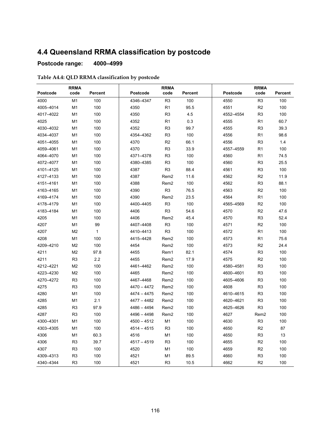# **4.4 Queensland RRMA classification by postcode**

#### **Postcode range: 4000–4999**

#### **Table A4.4: QLD RRMA classification by postcode**

|           | <b>RRMA</b>    |                | <b>RRMA</b>   |                  |         | <b>RRMA</b>     |                  |         |  |
|-----------|----------------|----------------|---------------|------------------|---------|-----------------|------------------|---------|--|
| Postcode  | code           | <b>Percent</b> | Postcode      | code             | Percent | <b>Postcode</b> | code             | Percent |  |
| 4000      | M <sub>1</sub> | 100            | 4346-4347     | R <sub>3</sub>   | 100     | 4550            | R <sub>3</sub>   | 100     |  |
| 4005-4014 | M1             | 100            | 4350          | R <sub>1</sub>   | 95.5    | 4551            | R2               | 100     |  |
| 4017-4022 | M1             | 100            | 4350          | R <sub>3</sub>   | 4.5     | 4552-4554       | R <sub>3</sub>   | 100     |  |
| 4025      | M <sub>1</sub> | 100            | 4352          | R <sub>1</sub>   | 0.3     | 4555            | R <sub>1</sub>   | 60.7    |  |
| 4030-4032 | M <sub>1</sub> | 100            | 4352          | R <sub>3</sub>   | 99.7    | 4555            | R <sub>3</sub>   | 39.3    |  |
| 4034-4037 | M1             | 100            | 4354-4362     | R <sub>3</sub>   | 100     | 4556            | R <sub>1</sub>   | 98.6    |  |
| 4051-4055 | M1             | 100            | 4370          | R <sub>2</sub>   | 66.1    | 4556            | R <sub>3</sub>   | 1.4     |  |
| 4059-4061 | M1             | 100            | 4370          | R <sub>3</sub>   | 33.9    | 4557-4559       | R <sub>1</sub>   | 100     |  |
| 4064-4070 | M <sub>1</sub> | 100            | 4371-4378     | R <sub>3</sub>   | 100     | 4560            | R <sub>1</sub>   | 74.5    |  |
| 4072-4077 | M <sub>1</sub> | 100            | 4380-4385     | R <sub>3</sub>   | 100     | 4560            | R <sub>3</sub>   | 25.5    |  |
| 4101-4125 | M1             | 100            | 4387          | R <sub>3</sub>   | 88.4    | 4561            | R <sub>3</sub>   | 100     |  |
| 4127-4133 | M <sub>1</sub> | 100            | 4387          | Rem <sub>2</sub> | 11.6    | 4562            | R <sub>2</sub>   | 11.9    |  |
| 4151-4161 | M1             | 100            | 4388          | Rem <sub>2</sub> | 100     | 4562            | R <sub>3</sub>   | 88.1    |  |
| 4163-4165 | M1             | 100            | 4390          | R <sub>3</sub>   | 76.5    | 4563            | R <sub>2</sub>   | 100     |  |
| 4169-4174 | M <sub>1</sub> | 100            | 4390          | Rem <sub>2</sub> | 23.5    | 4564            | R <sub>1</sub>   | 100     |  |
| 4178-4179 | M <sub>1</sub> | 100            | 4400-4405     | R <sub>3</sub>   | 100     | 4565-4569       | R <sub>2</sub>   | 100     |  |
| 4183-4184 | M1             | 100            | 4406          | R <sub>3</sub>   | 54.6    | 4570            | R <sub>2</sub>   | 47.6    |  |
| 4205      | M <sub>1</sub> | 100            | 4406          | Rem <sub>2</sub> | 45.4    | 4570            | R <sub>3</sub>   | 52.4    |  |
| 4207      | M1             | 99             | 4407-4408     | R <sub>3</sub>   | 100     | 4571            | R2               | 100     |  |
| 4207      | M2             | $\mathbf{1}$   | 4410-4413     | R <sub>3</sub>   | 100     | 4572            | R <sub>1</sub>   | 100     |  |
| 4208      | M1             | 100            | 4415-4428     | Rem <sub>2</sub> | 100     | 4573            | R <sub>1</sub>   | 75.6    |  |
| 4209-4210 | M2             | 100            | 4454          | Rem <sub>2</sub> | 100     | 4573            | R <sub>2</sub>   | 24.4    |  |
| 4211      | M2             | 97.8           | 4455          | Rem1             | 82.1    | 4574            | R <sub>3</sub>   | 100     |  |
| 4211      | R <sub>3</sub> | 2.2            | 4455          | Rem <sub>2</sub> | 17.9    | 4575            | R <sub>2</sub>   | 100     |  |
| 4212-4221 | M2             | 100            | 4461-4462     | Rem <sub>2</sub> | 100     | 4580-4581       | R <sub>3</sub>   | 100     |  |
| 4223-4230 | M <sub>2</sub> | 100            | 4465          | Rem <sub>2</sub> | 100     | 4600-4601       | R <sub>3</sub>   | 100     |  |
| 4270-4272 | R <sub>3</sub> | 100            | 4467-4468     | Rem <sub>2</sub> | 100     | 4605-4606       | R <sub>3</sub>   | 100     |  |
| 4275      | R <sub>3</sub> | 100            | $4470 - 4472$ | Rem <sub>2</sub> | 100     | 4608            | R <sub>3</sub>   | 100     |  |
| 4280      | M <sub>1</sub> | 100            | $4474 - 4475$ | Rem <sub>2</sub> | 100     | 4610-4615       | R <sub>3</sub>   | 100     |  |
| 4285      | M <sub>1</sub> | 2.1            | 4477 – 4482   | Rem <sub>2</sub> | 100     | 4620-4621       | R <sub>3</sub>   | 100     |  |
| 4285      | R <sub>3</sub> | 97.9           | $4486 - 4494$ | Rem <sub>2</sub> | 100     | 4625-4626       | R <sub>3</sub>   | 100     |  |
| 4287      | R <sub>3</sub> | 100            | 4496 - 4498   | Rem <sub>2</sub> | 100     | 4627            | Rem <sub>2</sub> | 100     |  |
| 4300-4301 | M1             | 100            | $4500 - 4512$ | M1               | 100     | 4630            | R3               | 100     |  |
| 4303-4305 | M1             | 100            | $4514 - 4515$ | R <sub>3</sub>   | 100     | 4650            | R <sub>2</sub>   | 87      |  |
| 4306      | M1             | 60.3           | 4516          | M1               | 100     | 4650            | R <sub>3</sub>   | 13      |  |
| 4306      | R <sub>3</sub> | 39.7           | $4517 - 4519$ | R <sub>3</sub>   | 100     | 4655            | R <sub>2</sub>   | 100     |  |
| 4307      | R <sub>3</sub> | 100            | 4520          | M1               | 100     | 4659            | R <sub>2</sub>   | 100     |  |
| 4309-4313 | R <sub>3</sub> | 100            | 4521          | M1               | 89.5    | 4660            | R <sub>3</sub>   | 100     |  |
| 4340-4344 | R <sub>3</sub> | 100            | 4521          | R <sub>3</sub>   | 10.5    | 4662            | R <sub>2</sub>   | 100     |  |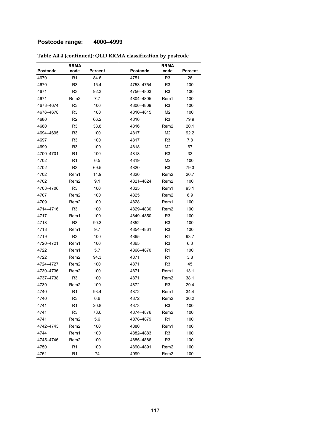### **Postcode range: 4000–4999**

|           | <b>RRMA</b>      |         | <b>RRMA</b> |                  |                |
|-----------|------------------|---------|-------------|------------------|----------------|
| Postcode  | code             | Percent | Postcode    | code             | <b>Percent</b> |
| 4670      | R1               | 84.6    | 4751        | R <sub>3</sub>   | 26             |
| 4670      | R <sub>3</sub>   | 15.4    | 4753-4754   | R <sub>3</sub>   | 100            |
| 4671      | R <sub>3</sub>   | 92.3    | 4756–4803   | R <sub>3</sub>   | 100            |
| 4671      | Rem2             | 7.7     | 4804-4805   | Rem1             | 100            |
| 4673-4674 | R <sub>3</sub>   | 100     | 4806-4809   | R <sub>3</sub>   | 100            |
| 4676-4678 | R <sub>3</sub>   | 100     | 4810-4815   | M2               | 100            |
| 4680      | R <sub>2</sub>   | 66.2    | 4816        | R <sub>3</sub>   | 79.9           |
| 4680      | R <sub>3</sub>   | 33.8    | 4816        | Rem2             | 20.1           |
| 4694-4695 | R <sub>3</sub>   | 100     | 4817        | M <sub>2</sub>   | 92.2           |
| 4697      | R <sub>3</sub>   | 100     | 4817        | R <sub>3</sub>   | 7.8            |
| 4699      | R <sub>3</sub>   | 100     | 4818        | M <sub>2</sub>   | 67             |
| 4700–4701 | R <sub>1</sub>   | 100     | 4818        | R <sub>3</sub>   | 33             |
| 4702      | R <sub>1</sub>   | 6.5     | 4819        | M2               | 100            |
| 4702      | R <sub>3</sub>   | 69.5    | 4820        | R <sub>3</sub>   | 79.3           |
| 4702      | Rem1             | 14.9    | 4820        | Rem2             | 20.7           |
| 4702      | Rem <sub>2</sub> | 9.1     | 4821-4824   | Rem2             | 100            |
| 4703-4706 | R <sub>3</sub>   | 100     | 4825        | Rem1             | 93.1           |
| 4707      | Rem2             | 100     | 4825        | Rem2             | 6.9            |
| 4709      | Rem2             | 100     | 4828        | Rem1             | 100            |
| 4714-4716 | R <sub>3</sub>   | 100     | 4829-4830   | Rem2             | 100            |
| 4717      | Rem1             | 100     | 4849-4850   | R <sub>3</sub>   | 100            |
| 4718      | R <sub>3</sub>   | 90.3    | 4852        | R <sub>3</sub>   | 100            |
| 4718      | Rem1             | 9.7     | 4854-4861   | R3               | 100            |
| 4719      | R <sub>3</sub>   | 100     | 4865        | R1               | 93.7           |
| 4720-4721 | Rem1             | 100     | 4865        | R3               | 6.3            |
| 4722      | Rem1             | 5.7     | 4868-4870   | R <sub>1</sub>   | 100            |
| 4722      | Rem2             | 94.3    | 4871        | R <sub>1</sub>   | 3.8            |
| 4724–4727 | Rem <sub>2</sub> | 100     | 4871        | R <sub>3</sub>   | 45             |
| 4730-4736 | Rem2             | 100     | 4871        | Rem1             | 13.1           |
| 4737-4738 | R <sub>3</sub>   | 100     | 4871        | Rem2             | 38.1           |
| 4739      | Rem2             | 100     | 4872        | R <sub>3</sub>   | 29.4           |
| 4740      | R <sub>1</sub>   | 93.4    | 4872        | Rem1             | 34.4           |
| 4740      | R <sub>3</sub>   | 6.6     | 4872        | Rem <sub>2</sub> | 36.2           |
| 4741      | R1               | 20.8    | 4873        | R <sub>3</sub>   | 100            |
| 4741      | R <sub>3</sub>   | 73.6    | 4874-4876   | Rem <sub>2</sub> | 100            |
| 4741      | Rem2             | 5.6     | 4878-4879   | R <sub>1</sub>   | 100            |
| 4742-4743 | Rem <sub>2</sub> | 100     | 4880        | Rem1             | 100            |
| 4744      | Rem1             | 100     | 4882-4883   | R <sub>3</sub>   | 100            |
| 4745-4746 | Rem <sub>2</sub> | 100     | 4885-4886   | R <sub>3</sub>   | 100            |
| 4750      | R <sub>1</sub>   | 100     | 4890-4891   | Rem <sub>2</sub> | 100            |
| 4751      | R <sub>1</sub>   | 74      | 4999        | Rem <sub>2</sub> | 100            |

### **Table A4.4 (continued): QLD RRMA classification by postcode**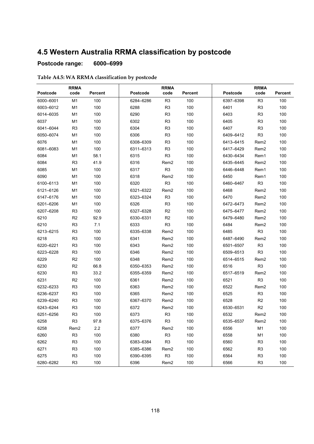# **4.5 Western Australia RRMA classification by postcode**

### **Postcode range: 6000–6999**

#### **Table A4.5: WA RRMA classification by postcode**

| Postcode  | <b>RRMA</b><br>code | <b>Percent</b> | Postcode  | <b>RRMA</b><br>code | Percent | Postcode  | <b>RRMA</b><br>code | Percent |
|-----------|---------------------|----------------|-----------|---------------------|---------|-----------|---------------------|---------|
| 6000-6001 | M <sub>1</sub>      | 100            | 6284-6286 | R <sub>3</sub>      | 100     | 6397-6398 | R <sub>3</sub>      | 100     |
| 6003-6012 | M1                  | 100            | 6288      | R <sub>3</sub>      | 100     | 6401      | R <sub>3</sub>      | 100     |
| 6014-6035 | M1                  | 100            | 6290      | R <sub>3</sub>      | 100     | 6403      | R <sub>3</sub>      | 100     |
| 6037      | M <sub>1</sub>      | 100            | 6302      | R <sub>3</sub>      | 100     | 6405      | R <sub>3</sub>      | 100     |
| 6041-6044 | R <sub>3</sub>      | 100            | 6304      | R <sub>3</sub>      | 100     | 6407      | R <sub>3</sub>      | 100     |
| 6050-6074 | M1                  | 100            | 6306      | R <sub>3</sub>      | 100     | 6409-6412 | R <sub>3</sub>      | 100     |
| 6076      | M <sub>1</sub>      | 100            | 6308-6309 | R <sub>3</sub>      | 100     | 6413-6415 | Rem <sub>2</sub>    | 100     |
| 6081-6083 | M1                  | 100            | 6311-6313 | R <sub>3</sub>      | 100     | 6417-6429 | Rem2                | 100     |
| 6084      | M <sub>1</sub>      | 58.1           | 6315      | R <sub>3</sub>      | 100     | 6430-6434 | Rem1                | 100     |
| 6084      | R <sub>3</sub>      | 41.9           | 6316      | Rem <sub>2</sub>    | 100     | 6435-6445 | Rem <sub>2</sub>    | 100     |
| 6085      | M <sub>1</sub>      | 100            | 6317      | R <sub>3</sub>      | 100     | 6446-6448 | Rem1                | 100     |
| 6090      | M <sub>1</sub>      | 100            | 6318      | Rem <sub>2</sub>    | 100     | 6450      | Rem1                | 100     |
| 6100-6113 | M1                  | 100            | 6320      | R <sub>3</sub>      | 100     | 6460-6467 | R <sub>3</sub>      | 100     |
| 6121-6126 | M1                  | 100            | 6321-6322 | Rem <sub>2</sub>    | 100     | 6468      | Rem <sub>2</sub>    | 100     |
| 6147-6176 | M <sub>1</sub>      | 100            | 6323-6324 | R <sub>3</sub>      | 100     | 6470      | Rem <sub>2</sub>    | 100     |
| 6201-6206 | M1                  | 100            | 6326      | R <sub>3</sub>      | 100     | 6472-6473 | Rem <sub>2</sub>    | 100     |
| 6207-6208 | R <sub>3</sub>      | 100            | 6327-6328 | R <sub>2</sub>      | 100     | 6475-6477 | Rem <sub>2</sub>    | 100     |
| 6210      | R <sub>2</sub>      | 92.9           | 6330-6331 | R <sub>2</sub>      | 100     | 6479-6480 | Rem <sub>2</sub>    | 100     |
| 6210      | R <sub>3</sub>      | 7.1            | 6333      | R <sub>3</sub>      | 100     | 6484      | Rem <sub>2</sub>    | 100     |
| 6213-6215 | R <sub>3</sub>      | 100            | 6335-6338 | Rem <sub>2</sub>    | 100     | 6485      | R <sub>3</sub>      | 100     |
| 6218      | R <sub>3</sub>      | 100            | 6341      | Rem <sub>2</sub>    | 100     | 6487-6490 | Rem <sub>2</sub>    | 100     |
| 6220-6221 | R <sub>3</sub>      | 100            | 6343      | Rem <sub>2</sub>    | 100     | 6501-6507 | R <sub>3</sub>      | 100     |
| 6223-6228 | R <sub>3</sub>      | 100            | 6346      | Rem <sub>2</sub>    | 100     | 6509-6513 | R <sub>3</sub>      | 100     |
| 6229      | R <sub>2</sub>      | 100            | 6348      | Rem <sub>2</sub>    | 100     | 6514-6515 | Rem2                | 100     |
| 6230      | R <sub>2</sub>      | 66.8           | 6350-6353 | Rem <sub>2</sub>    | 100     | 6516      | R <sub>3</sub>      | 100     |
| 6230      | R <sub>3</sub>      | 33.2           | 6355-6359 | Rem <sub>2</sub>    | 100     | 6517-6519 | Rem <sub>2</sub>    | 100     |
| 6231      | R <sub>2</sub>      | 100            | 6361      | Rem <sub>2</sub>    | 100     | 6521      | R <sub>3</sub>      | 100     |
| 6232-6233 | R <sub>3</sub>      | 100            | 6363      | Rem <sub>2</sub>    | 100     | 6522      | Rem <sub>2</sub>    | 100     |
| 6236-6237 | R <sub>3</sub>      | 100            | 6365      | Rem <sub>2</sub>    | 100     | 6525      | R <sub>3</sub>      | 100     |
| 6239-6240 | R <sub>3</sub>      | 100            | 6367-6370 | Rem <sub>2</sub>    | 100     | 6528      | R <sub>2</sub>      | 100     |
| 6243-6244 | R <sub>3</sub>      | 100            | 6372      | Rem <sub>2</sub>    | 100     | 6530-6531 | R <sub>2</sub>      | 100     |
| 6251-6256 | R <sub>3</sub>      | 100            | 6373      | R <sub>3</sub>      | 100     | 6532      | Rem2                | 100     |
| 6258      | R <sub>3</sub>      | 97.8           | 6375-6376 | R <sub>3</sub>      | 100     | 6535-6537 | Rem <sub>2</sub>    | 100     |
| 6258      | Rem <sub>2</sub>    | 2.2            | 6377      | Rem <sub>2</sub>    | 100     | 6556      | M1                  | 100     |
| 6260      | R <sub>3</sub>      | 100            | 6380      | R <sub>3</sub>      | 100     | 6558      | M1                  | 100     |
| 6262      | R <sub>3</sub>      | 100            | 6383-6384 | R <sub>3</sub>      | 100     | 6560      | R <sub>3</sub>      | 100     |
| 6271      | R <sub>3</sub>      | 100            | 6385-6386 | Rem2                | 100     | 6562      | R <sub>3</sub>      | 100     |
| 6275      | R <sub>3</sub>      | 100            | 6390-6395 | R <sub>3</sub>      | 100     | 6564      | R <sub>3</sub>      | 100     |
| 6280-6282 | R <sub>3</sub>      | 100            | 6396      | Rem <sub>2</sub>    | 100     | 6566      | R <sub>3</sub>      | 100     |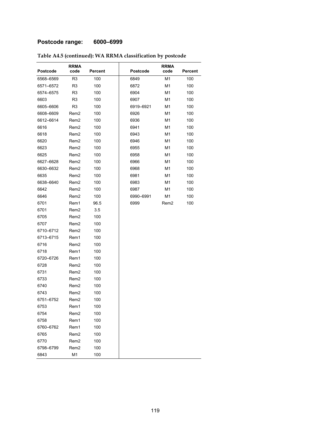### **Postcode range: 6000–6999**

|           | <b>RRMA</b>      |         |           | <b>RRMA</b>    |                |
|-----------|------------------|---------|-----------|----------------|----------------|
| Postcode  | code             | Percent | Postcode  | code           | <b>Percent</b> |
| 6568-6569 | R <sub>3</sub>   | 100     | 6849      | M1             | 100            |
| 6571-6572 | R <sub>3</sub>   | 100     | 6872      | M <sub>1</sub> | 100            |
| 6574–6575 | R <sub>3</sub>   | 100     | 6904      | M1             | 100            |
| 6603      | R <sub>3</sub>   | 100     | 6907      | M1             | 100            |
| 6605-6606 | R <sub>3</sub>   | 100     | 6919-6921 | M1             | 100            |
| 6608-6609 | Rem <sub>2</sub> | 100     | 6926      | M1             | 100            |
| 6612-6614 | Rem <sub>2</sub> | 100     | 6936      | M1             | 100            |
| 6616      | Rem2             | 100     | 6941      | M1             | 100            |
| 6618      | Rem <sub>2</sub> | 100     | 6943      | M1             | 100            |
| 6620      | Rem <sub>2</sub> | 100     | 6946      | M1             | 100            |
| 6623      | Rem <sub>2</sub> | 100     | 6955      | M1             | 100            |
| 6625      | Rem <sub>2</sub> | 100     | 6958      | M1             | 100            |
| 6627–6628 | Rem <sub>2</sub> | 100     | 6966      | M1             | 100            |
| 6630-6632 | Rem <sub>2</sub> | 100     | 6968      | M1             | 100            |
| 6635      | Rem <sub>2</sub> | 100     | 6981      | M1             | 100            |
| 6638-6640 | Rem2             | 100     | 6983      | M1             | 100            |
| 6642      | Rem <sub>2</sub> | 100     | 6987      | M1             | 100            |
| 6646      | Rem <sub>2</sub> | 100     | 6990-6991 | M1             | 100            |
| 6701      | Rem1             | 96.5    | 6999      | Rem2           | 100            |
| 6701      | Rem <sub>2</sub> | 3.5     |           |                |                |
| 6705      | Rem <sub>2</sub> | 100     |           |                |                |
| 6707      | Rem <sub>2</sub> | 100     |           |                |                |
| 6710-6712 | Rem2             | 100     |           |                |                |
| 6713-6715 | Rem1             | 100     |           |                |                |
| 6716      | Rem <sub>2</sub> | 100     |           |                |                |
| 6718      | Rem1             | 100     |           |                |                |
| 6720-6726 | Rem1             | 100     |           |                |                |
| 6728      | Rem <sub>2</sub> | 100     |           |                |                |
| 6731      | Rem <sub>2</sub> | 100     |           |                |                |
| 6733      | Rem2             | 100     |           |                |                |
| 6740      | Rem <sub>2</sub> | 100     |           |                |                |
| 6743      | Rem <sub>2</sub> | 100     |           |                |                |
| 6751-6752 | Rem <sub>2</sub> | 100     |           |                |                |
| 6753      | Rem1             | 100     |           |                |                |
| 6754      | Rem <sub>2</sub> | 100     |           |                |                |
| 6758      | Rem1             | 100     |           |                |                |
| 6760-6762 | Rem1             | 100     |           |                |                |
| 6765      | Rem <sub>2</sub> | 100     |           |                |                |
| 6770      | Rem <sub>2</sub> | 100     |           |                |                |
| 6798-6799 | Rem <sub>2</sub> | 100     |           |                |                |
| 6843      | M1               | 100     |           |                |                |

#### **Table A4.5 (continued): WA RRMA classification by postcode**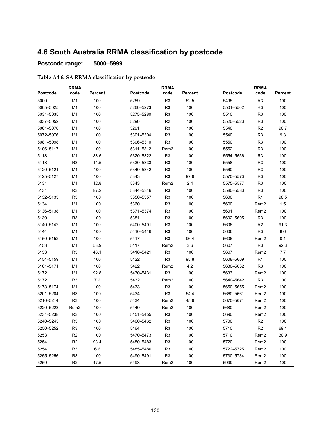## **4.6 South Australia RRMA classification by postcode**

### **Postcode range: 5000–5999**

| Table A4.6: SA RRMA classification by postcode |
|------------------------------------------------|
|------------------------------------------------|

| <b>RRMA</b> |                  | <b>RRMA</b>    |           |                  | <b>RRMA</b> |                 |                  |                |
|-------------|------------------|----------------|-----------|------------------|-------------|-----------------|------------------|----------------|
| Postcode    | code             | <b>Percent</b> | Postcode  | code             | Percent     | <b>Postcode</b> | code             | <b>Percent</b> |
| 5000        | M <sub>1</sub>   | 100            | 5259      | R <sub>3</sub>   | 52.5        | 5495            | R <sub>3</sub>   | 100            |
| 5005-5025   | M <sub>1</sub>   | 100            | 5260-5273 | R <sub>3</sub>   | 100         | 5501-5502       | R <sub>3</sub>   | 100            |
| 5031-5035   | M1               | 100            | 5275-5280 | R <sub>3</sub>   | 100         | 5510            | R <sub>3</sub>   | 100            |
| 5037-5052   | M1               | 100            | 5290      | R <sub>2</sub>   | 100         | 5520-5523       | R <sub>3</sub>   | 100            |
| 5061-5070   | M1               | 100            | 5291      | R <sub>3</sub>   | 100         | 5540            | R <sub>2</sub>   | 90.7           |
| 5072-5076   | M <sub>1</sub>   | 100            | 5301-5304 | R <sub>3</sub>   | 100         | 5540            | R <sub>3</sub>   | 9.3            |
| 5081-5098   | M <sub>1</sub>   | 100            | 5306-5310 | R <sub>3</sub>   | 100         | 5550            | R <sub>3</sub>   | 100            |
| 5106-5117   | M <sub>1</sub>   | 100            | 5311-5312 | Rem <sub>2</sub> | 100         | 5552            | R <sub>3</sub>   | 100            |
| 5118        | M1               | 88.5           | 5320-5322 | R <sub>3</sub>   | 100         | 5554-5556       | R <sub>3</sub>   | 100            |
| 5118        | R <sub>3</sub>   | 11.5           | 5330-5333 | R <sub>3</sub>   | 100         | 5558            | R <sub>3</sub>   | 100            |
| 5120-5121   | M1               | 100            | 5340-5342 | R <sub>3</sub>   | 100         | 5560            | R <sub>3</sub>   | 100            |
| 5125-5127   | M1               | 100            | 5343      | R <sub>3</sub>   | 97.6        | 5570-5573       | R <sub>3</sub>   | 100            |
| 5131        | M1               | 12.8           | 5343      | Rem <sub>2</sub> | 2.4         | 5575-5577       | R <sub>3</sub>   | 100            |
| 5131        | R <sub>3</sub>   | 87.2           | 5344-5346 | R <sub>3</sub>   | 100         | 5580-5583       | R <sub>3</sub>   | 100            |
| 5132-5133   | R <sub>3</sub>   | 100            | 5350-5357 | R <sub>3</sub>   | 100         | 5600            | R <sub>1</sub>   | 98.5           |
| 5134        | M <sub>1</sub>   | 100            | 5360      | R <sub>3</sub>   | 100         | 5600            | Rem <sub>2</sub> | 1.5            |
| 5136-5138   | M1               | 100            | 5371-5374 | R <sub>3</sub>   | 100         | 5601            | Rem <sub>2</sub> | 100            |
| 5139        | R <sub>3</sub>   | 100            | 5381      | R <sub>3</sub>   | 100         | 5602-5605       | R <sub>3</sub>   | 100            |
| 5140-5142   | M1               | 100            | 5400-5401 | R <sub>3</sub>   | 100         | 5606            | R <sub>2</sub>   | 91.3           |
| 5144        | M <sub>1</sub>   | 100            | 5410-5416 | R <sub>3</sub>   | 100         | 5606            | R <sub>3</sub>   | 8.6            |
| 5150-5152   | M1               | 100            | 5417      | R <sub>3</sub>   | 96.4        | 5606            | Rem <sub>2</sub> | 0.1            |
| 5153        | M1               | 53.9           | 5417      | Rem <sub>2</sub> | 3.6         | 5607            | R <sub>3</sub>   | 92.3           |
| 5153        | R <sub>3</sub>   | 46.1           | 5418-5421 | R <sub>3</sub>   | 100         | 5607            | Rem <sub>2</sub> | 7.7            |
| 5154-5159   | M1               | 100            | 5422      | R <sub>3</sub>   | 95.8        | 5608-5609       | R <sub>1</sub>   | 100            |
| 5161-5171   | M1               | 100            | 5422      | Rem <sub>2</sub> | 4.2         | 5630-5632       | R <sub>3</sub>   | 100            |
| 5172        | M1               | 92.8           | 5430-5431 | R <sub>3</sub>   | 100         | 5633            | Rem2             | 100            |
| 5172        | R <sub>3</sub>   | 7.2            | 5432      | Rem <sub>2</sub> | 100         | 5640-5642       | R <sub>3</sub>   | 100            |
| 5173-5174   | M1               | 100            | 5433      | R <sub>3</sub>   | 100         | 5650-5655       | Rem <sub>2</sub> | 100            |
| 5201-5204   | R <sub>3</sub>   | 100            | 5434      | R <sub>3</sub>   | 54.4        | 5660-5661       | Rem2             | 100            |
| 5210-5214   | R <sub>3</sub>   | 100            | 5434      | Rem <sub>2</sub> | 45.6        | 5670-5671       | Rem <sub>2</sub> | 100            |
| 5220-5223   | Rem <sub>2</sub> | 100            | 5440      | Rem <sub>2</sub> | 100         | 5680            | Rem <sub>2</sub> | 100            |
| 5231-5238   | R <sub>3</sub>   | 100            | 5451-5455 | R <sub>3</sub>   | 100         | 5690            | Rem <sub>2</sub> | 100            |
| 5240–5245   | R3               | 100            | 5460-5462 | R3               | 100         | 5700            | R <sub>2</sub>   | 100            |
| 5250-5252   | R <sub>3</sub>   | 100            | 5464      | R <sub>3</sub>   | 100         | 5710            | R <sub>2</sub>   | 69.1           |
| 5253        | R <sub>2</sub>   | 100            | 5470-5473 | R <sub>3</sub>   | 100         | 5710            | Rem <sub>2</sub> | 30.9           |
| 5254        | R <sub>2</sub>   | 93.4           | 5480-5483 | R <sub>3</sub>   | 100         | 5720            | Rem <sub>2</sub> | 100            |
| 5254        | R <sub>3</sub>   | 6.6            | 5485-5486 | R <sub>3</sub>   | 100         | 5722-5725       | Rem <sub>2</sub> | 100            |
| 5255-5256   | R <sub>3</sub>   | 100            | 5490-5491 | R <sub>3</sub>   | 100         | 5730-5734       | Rem <sub>2</sub> | 100            |
| 5259        | R <sub>2</sub>   | 47.5           | 5493      | Rem <sub>2</sub> | 100         | 5999            | Rem <sub>2</sub> | 100            |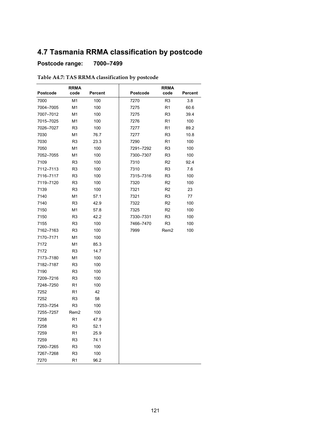## **4.7 Tasmania RRMA classification by postcode**

### **Postcode range: 7000–7499**

|           | <b>RRMA</b>      |         |                 | <b>RRMA</b>    |         |
|-----------|------------------|---------|-----------------|----------------|---------|
| Postcode  | code             | Percent | <b>Postcode</b> | code           | Percent |
| 7000      | M <sub>1</sub>   | 100     | 7270            | R <sub>3</sub> | 3.8     |
| 7004-7005 | M1               | 100     | 7275            | R1             | 60.6    |
| 7007-7012 | M1               | 100     | 7275            | R3             | 39.4    |
| 7015–7025 | M1               | 100     | 7276            | R1             | 100     |
| 7026-7027 | R <sub>3</sub>   | 100     | 7277            | R1             | 89.2    |
| 7030      | M1               | 76.7    | 7277            | R3             | 10.8    |
| 7030      | R3               | 23.3    | 7290            | R1             | 100     |
| 7050      | M <sub>1</sub>   | 100     | 7291–7292       | R3             | 100     |
| 7052-7055 | M1               | 100     | 7300-7307       | R3             | 100     |
| 7109      | R <sub>3</sub>   | 100     | 7310            | R2             | 92.4    |
| 7112-7113 | R3               | 100     | 7310            | R3             | 7.6     |
| 7116-7117 | R <sub>3</sub>   | 100     | 7315–7316       | R <sub>3</sub> | 100     |
| 7119-7120 | R3               | 100     | 7320            | R2             | 100     |
| 7139      | R3               | 100     | 7321            | R2             | 23      |
| 7140      | M1               | 57.1    | 7321            | R <sub>3</sub> | 77      |
| 7140      | R <sub>3</sub>   | 42.9    | 7322            | R <sub>2</sub> | 100     |
| 7150      | M1               | 57.8    | 7325            | R2             | 100     |
| 7150      | R <sub>3</sub>   | 42.2    | 7330-7331       | R <sub>3</sub> | 100     |
| 7155      | R <sub>3</sub>   | 100     | 7466-7470       | R <sub>3</sub> | 100     |
| 7162-7163 | R3               | 100     | 7999            | Rem2           | 100     |
| 7170-7171 | M <sub>1</sub>   | 100     |                 |                |         |
| 7172      | M1               | 85.3    |                 |                |         |
| 7172      | R <sub>3</sub>   | 14.7    |                 |                |         |
| 7173-7180 | M <sub>1</sub>   | 100     |                 |                |         |
| 7182-7187 | R <sub>3</sub>   | 100     |                 |                |         |
| 7190      | R <sub>3</sub>   | 100     |                 |                |         |
| 7209-7216 | R3               | 100     |                 |                |         |
| 7248–7250 | R1               | 100     |                 |                |         |
| 7252      | R1               | 42      |                 |                |         |
| 7252      | R3               | 58      |                 |                |         |
| 7253–7254 | R <sub>3</sub>   | 100     |                 |                |         |
| 7255-7257 | Rem <sub>2</sub> | 100     |                 |                |         |
| 7258      | R <sub>1</sub>   | 47.9    |                 |                |         |
| 7258      | R3               | 52.1    |                 |                |         |
| 7259      | R <sub>1</sub>   | 25.9    |                 |                |         |
| 7259      | R <sub>3</sub>   | 74.1    |                 |                |         |
| 7260–7265 | R <sub>3</sub>   | 100     |                 |                |         |
| 7267-7268 | R <sub>3</sub>   | 100     |                 |                |         |
| 7270      | R <sub>1</sub>   | 96.2    |                 |                |         |

### **Table A4.7: TAS RRMA classification by postcode**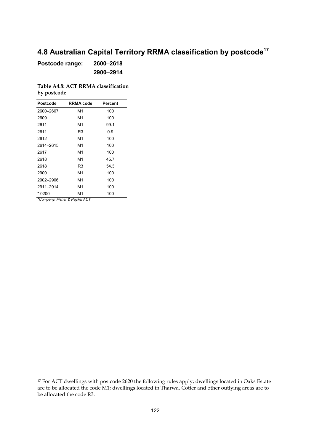# **4.8 Australian Capital Territory RRMA classification by postcode<sup>17</sup>**

**Postcode range: 2600–2618 2900–2914**

**Table A4.8: ACT RRMA classification by postcode**

| Postcode    | <b>RRMA code</b> | Percent |
|-------------|------------------|---------|
| 2600-2607   | М1               | 100     |
| 2609        | М1               | 100     |
| 2611        | М1               | 99.1    |
| 2611        | R3               | 0.9     |
| 2612        | М1               | 100     |
| 2614-2615   | М1               | 100     |
| 2617        | М1               | 100     |
| 2618        | М1               | 45.7    |
| 2618        | R3               | 54.3    |
| 2900        | М1               | 100     |
| 2902-2906   | М1               | 100     |
| 2911-2914   | М1               | 100     |
| * 0200<br>ļ | M1               | 100     |

*\*Company: Fisher & Paykel ACT*

 $\overline{a}$ 

<sup>&</sup>lt;sup>17</sup> For ACT dwellings with postcode 2620 the following rules apply; dwellings located in Oaks Estate are to be allocated the code M1; dwellings located in Tharwa, Cotter and other outlying areas are to be allocated the code R3.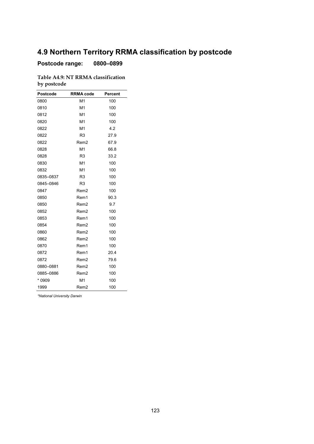## **4.9 Northern Territory RRMA classification by postcode**

**Postcode range: 0800–0899**

**Table A4.9: NT RRMA classification by postcode**

| Postcode  | <b>RRMA code</b> | Percent |
|-----------|------------------|---------|
| 0800      | M1               | 100     |
| 0810      | M <sub>1</sub>   | 100     |
| 0812      | M1               | 100     |
| 0820      | M <sub>1</sub>   | 100     |
| 0822      | M1               | 4.2     |
| 0822      | R <sub>3</sub>   | 27.9    |
| 0822      | Rem <sub>2</sub> | 67.9    |
| 0828      | M <sub>1</sub>   | 66.8    |
| 0828      | R <sub>3</sub>   | 33.2    |
| 0830      | M1               | 100     |
| 0832      | M <sub>1</sub>   | 100     |
| 0835-0837 | R <sub>3</sub>   | 100     |
| 0845-0846 | R <sub>3</sub>   | 100     |
| 0847      | Rem <sub>2</sub> | 100     |
| 0850      | Rem1             | 90.3    |
| 0850      | Rem2             | 9.7     |
| 0852      | Rem <sub>2</sub> | 100     |
| 0853      | Rem1             | 100     |
| 0854      | Rem2             | 100     |
| 0860      | Rem <sub>2</sub> | 100     |
| 0862      | Rem <sub>2</sub> | 100     |
| 0870      | Rem1             | 100     |
| 0872      | Rem1             | 20.4    |
| 0872      | Rem <sub>2</sub> | 79.6    |
| 0880-0881 | Rem2             | 100     |
| 0885-0886 | Rem <sub>2</sub> | 100     |
| * 0909    | M <sub>1</sub>   | 100     |
| 1999      | Rem <sub>2</sub> | 100     |

*\*National University Darwin*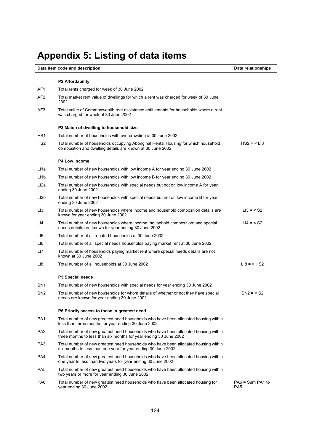# **Appendix 5: Listing of data items**

#### **Data item code and description** Data relationships

|                   | <b>P2 Affordability</b>                                                                                                                                  |                                       |
|-------------------|----------------------------------------------------------------------------------------------------------------------------------------------------------|---------------------------------------|
| AF1               | Total rents charged for week of 30 June 2002                                                                                                             |                                       |
| AF <sub>2</sub>   | Total market rent value of dwellings for which a rent was charged for week of 30 June<br>2002                                                            |                                       |
| AF3               | Total value of Commonwealth rent assistance entitlements for households where a rent<br>was charged for week of 30 June 2002                             |                                       |
|                   | P3 Match of dwelling to household size                                                                                                                   |                                       |
| HS <sub>1</sub>   | Total number of households with overcrowding at 30 June 2002                                                                                             |                                       |
| HS <sub>2</sub>   | Total number of households occupying Aboriginal Rental Housing for which household<br>composition and dwelling details are known at 30 June 2002         | $HS2 = < L18$                         |
|                   | <b>P4 Low income</b>                                                                                                                                     |                                       |
| LI1a              | Total number of new households with low income A for year ending 30 June 2002                                                                            |                                       |
| LI <sub>1</sub> b | Total number of new households with low income B for year ending 30 June 2002                                                                            |                                       |
| Ll2a              | Total number of new households with special needs but not on low income A for year<br>ending 30 June 2002                                                |                                       |
| LI <sub>2</sub> b | Total number of new households with special needs but not on low income B for year<br>ending 30 June 2002                                                |                                       |
| LI3               | Total number of new households where income and household composition details are<br>known for year ending 30 June 2002                                  | $LI3 = < S2$                          |
| LI4               | Total number of new households where income; household composition; and special<br>needs details are known for year ending 30 June 2002                  | $LI4 = < S2$                          |
| LI5               | Total number of all rebated households at 30 June 2002                                                                                                   |                                       |
| LI6               | Total number of all special needs households paying market rent at 30 June 2002                                                                          |                                       |
| LI7               | Total number of households paying market rent where special needs details are not<br>known at 30 June 2002                                               |                                       |
| LI8               | Total number of all households at 30 June 2002                                                                                                           | $L18 = > HS2$                         |
|                   | P5 Special needs                                                                                                                                         |                                       |
| SN <sub>1</sub>   | Total number of new households with special needs for year ending 30 June 2002                                                                           |                                       |
| SN <sub>2</sub>   | Total number of new households for whom details of whether or not they have special<br>needs are known for year ending 30 June 2002                      | $SN2 = < S2$                          |
|                   | P6 Priority access to those in greatest need                                                                                                             |                                       |
| PA <sub>1</sub>   | Total number of new greatest need households who have been allocated housing within<br>less than three months for year ending 30 June 2002               |                                       |
| PA <sub>2</sub>   | Total number of new greatest need households who have been allocated housing within<br>three months to less than six months for year ending 30 June 2002 |                                       |
| PA3               | Total number of new greatest need households who have been allocated housing within<br>six months to less than one year for year ending 30 June 2002     |                                       |
| PA4               | Total number of new greatest need households who have been allocated housing within<br>one year to less than two years for year ending 30 June 2002      |                                       |
| PA5               | Total number of new greatest need households who have been allocated housing within<br>two years or more for year ending 30 June 2002                    |                                       |
| PA6               | Total number of new greatest need households who have been allocated housing for<br>year ending 30 June 2002                                             | $PA6 = Sum PA1$ to<br>PA <sub>5</sub> |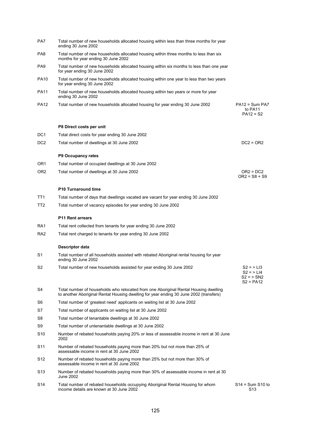| PA7             | Total number of new households allocated housing within less than three months for year<br>ending 30 June 2002                                                                 |                                                            |
|-----------------|--------------------------------------------------------------------------------------------------------------------------------------------------------------------------------|------------------------------------------------------------|
| PA8             | Total number of new households allocated housing within three months to less than six<br>months for year ending 30 June 2002                                                   |                                                            |
| PA <sub>9</sub> | Total number of new households allocated housing within six months to less than one year<br>for year ending 30 June 2002                                                       |                                                            |
| <b>PA10</b>     | Total number of new households allocated housing within one year to less than two years<br>for year ending 30 June 2002                                                        |                                                            |
| <b>PA11</b>     | Total number of new households allocated housing within two years or more for year<br>ending 30 June 2002                                                                      |                                                            |
| PA12            | Total number of new households allocated housing for year ending 30 June 2002                                                                                                  | $PA12 = Sum PAT$<br>to PA11<br>$PA12 = S2$                 |
|                 | P8 Direct costs per unit                                                                                                                                                       |                                                            |
| DC <sub>1</sub> | Total direct costs for year ending 30 June 2002                                                                                                                                |                                                            |
| DC <sub>2</sub> | Total number of dwellings at 30 June 2002                                                                                                                                      | $DC2 = OR2$                                                |
|                 | P9 Occupancy rates                                                                                                                                                             |                                                            |
| OR <sub>1</sub> | Total number of occupied dwellings at 30 June 2002                                                                                                                             |                                                            |
| OR <sub>2</sub> | Total number of dwellings at 30 June 2002                                                                                                                                      | $OR2 = DC2$<br>$OR2 = S8 + S9$                             |
|                 | P10 Turnaround time                                                                                                                                                            |                                                            |
| TT <sub>1</sub> | Total number of days that dwellings vacated are vacant for year ending 30 June 2002                                                                                            |                                                            |
| TT <sub>2</sub> | Total number of vacancy episodes for year ending 30 June 2002                                                                                                                  |                                                            |
|                 | <b>P11 Rent arrears</b>                                                                                                                                                        |                                                            |
| RA <sub>1</sub> | Total rent collected from tenants for year ending 30 June 2002                                                                                                                 |                                                            |
| RA <sub>2</sub> | Total rent charged to tenants for year ending 30 June 2002                                                                                                                     |                                                            |
|                 | Descriptor data                                                                                                                                                                |                                                            |
| S1              | Total number of all households assisted with rebated Aboriginal rental housing for year<br>ending 30 June 2002                                                                 |                                                            |
| S2              | Total number of new households assisted for year ending 30 June 2002                                                                                                           | $S2 = > L13$<br>$S2 = > L14$<br>$S2 = SNI2$<br>$S2 = PA12$ |
| S4              | Total number of households who relocated from one Aboriginal Rental Housing dwelling<br>to another Aboriginal Rental Housing dwelling for year ending 30 June 2002 (transfers) |                                                            |
| S6              | Total number of 'greatest need' applicants on waiting list at 30 June 2002                                                                                                     |                                                            |
| S7              | Total number of applicants on waiting list at 30 June 2002                                                                                                                     |                                                            |
| S8              | Total number of tenantable dwellings at 30 June 2002                                                                                                                           |                                                            |
| S9              | Total number of untenantable dwellings at 30 June 2002                                                                                                                         |                                                            |
| S10             | Number of rebated households paying 20% or less of assessable income in rent at 30 June<br>2002                                                                                |                                                            |
| S <sub>11</sub> | Number of rebated households paying more than 20% but not more than 25% of<br>assessable income in rent at 30 June 2002                                                        |                                                            |
| S12             | Number of rebated households paying more than 25% but not more than 30% of<br>assessable income in rent at 30 June 2002                                                        |                                                            |
| S13             | Number of rebated households paying more than 30% of assessable income in rent at 30<br>June 2002                                                                              |                                                            |
| S14             | Total number of rebated households occupying Aboriginal Rental Housing for whom<br>income details are known at 30 June 2002                                                    | $S14 = Sum S10 to$<br>S <sub>13</sub>                      |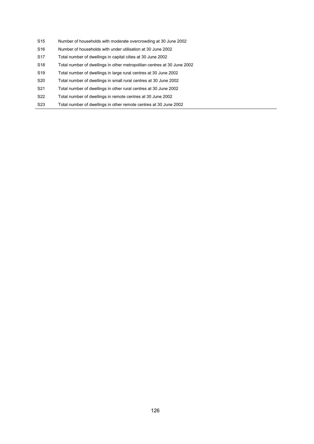- S15 Number of households with moderate overcrowding at 30 June 2002
- S16 Number of households with under utilisation at 30 June 2002
- S17 Total number of dwellings in capital cities at 30 June 2002
- S18 Total number of dwellings in other metropolitan centres at 30 June 2002
- S19 Total number of dwellings in large rural centres at 30 June 2002
- S20 Total number of dwellings in small rural centres at 30 June 2002
- S21 Total number of dwellings in other rural centres at 30 June 2002
- S22 Total number of dwellings in remote centres at 30 June 2002
- S23 Total number of dwellings in other remote centres at 30 June 2002